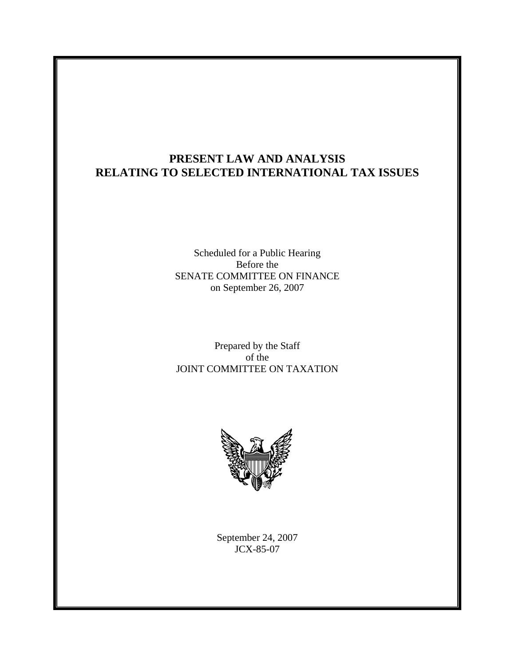# **PRESENT LAW AND ANALYSIS RELATING TO SELECTED INTERNATIONAL TAX ISSUES**

Scheduled for a Public Hearing Before the SENATE COMMITTEE ON FINANCE on September 26, 2007

Prepared by the Staff of the JOINT COMMITTEE ON TAXATION



September 24, 2007 JCX-85-07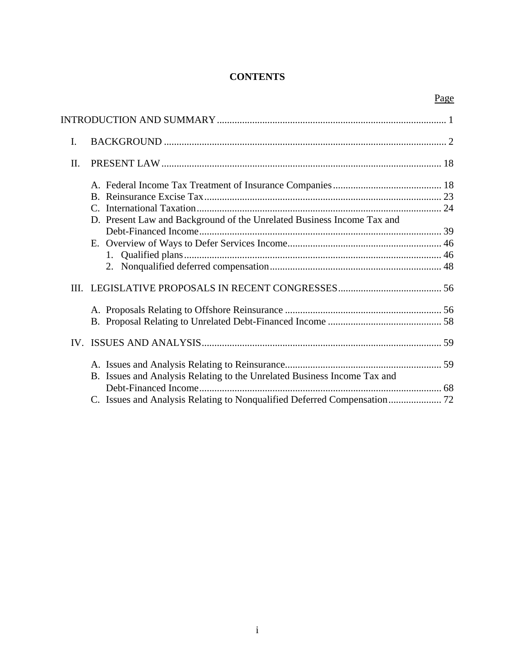# **CONTENTS**

| I.       |                                                                          |  |
|----------|--------------------------------------------------------------------------|--|
| II.      |                                                                          |  |
|          |                                                                          |  |
|          |                                                                          |  |
|          |                                                                          |  |
|          | D. Present Law and Background of the Unrelated Business Income Tax and   |  |
|          |                                                                          |  |
|          |                                                                          |  |
|          |                                                                          |  |
|          |                                                                          |  |
|          |                                                                          |  |
|          |                                                                          |  |
|          |                                                                          |  |
| $IV_{-}$ |                                                                          |  |
|          |                                                                          |  |
|          | B. Issues and Analysis Relating to the Unrelated Business Income Tax and |  |
|          |                                                                          |  |
|          |                                                                          |  |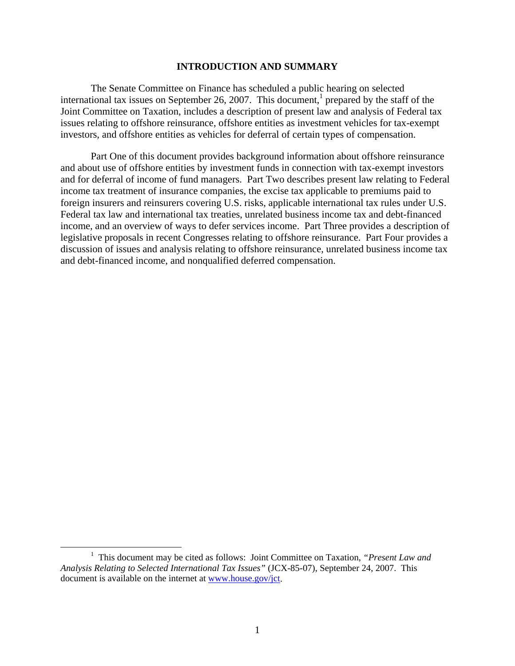#### **INTRODUCTION AND SUMMARY**

The Senate Committee on Finance has scheduled a public hearing on selected international tax issues on September 26, 2007. This document,<sup>1</sup> prepared by the staff of the Joint Committee on Taxation, includes a description of present law and analysis of Federal tax issues relating to offshore reinsurance, offshore entities as investment vehicles for tax-exempt investors, and offshore entities as vehicles for deferral of certain types of compensation.

Part One of this document provides background information about offshore reinsurance and about use of offshore entities by investment funds in connection with tax-exempt investors and for deferral of income of fund managers. Part Two describes present law relating to Federal income tax treatment of insurance companies, the excise tax applicable to premiums paid to foreign insurers and reinsurers covering U.S. risks, applicable international tax rules under U.S. Federal tax law and international tax treaties, unrelated business income tax and debt-financed income, and an overview of ways to defer services income. Part Three provides a description of legislative proposals in recent Congresses relating to offshore reinsurance. Part Four provides a discussion of issues and analysis relating to offshore reinsurance, unrelated business income tax and debt-financed income, and nonqualified deferred compensation.

<sup>&</sup>lt;u>1</u> <sup>1</sup> This document may be cited as follows: Joint Committee on Taxation, "Present Law and *Analysis Relating to Selected International Tax Issues"* (JCX-85-07), September 24, 2007. This document is available on the internet at www.house.gov/jct.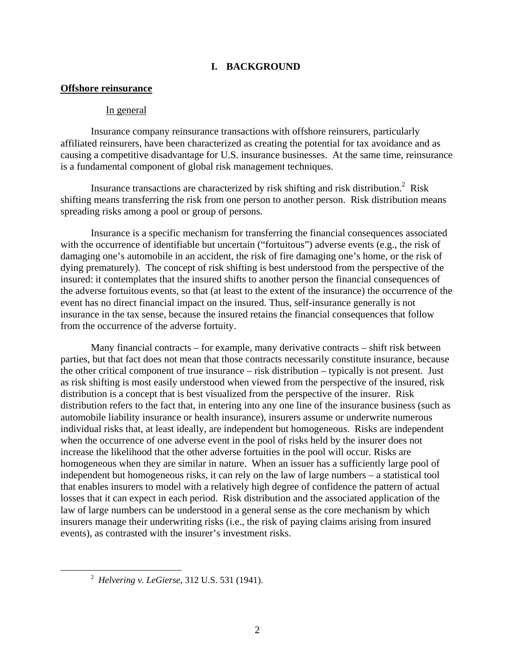## **I. BACKGROUND**

#### **Offshore reinsurance**

#### In general

Insurance company reinsurance transactions with offshore reinsurers, particularly affiliated reinsurers, have been characterized as creating the potential for tax avoidance and as causing a competitive disadvantage for U.S. insurance businesses. At the same time, reinsurance is a fundamental component of global risk management techniques.

Insurance transactions are characterized by risk shifting and risk distribution.<sup>2</sup> Risk shifting means transferring the risk from one person to another person. Risk distribution means spreading risks among a pool or group of persons.

Insurance is a specific mechanism for transferring the financial consequences associated with the occurrence of identifiable but uncertain ("fortuitous") adverse events (e.g., the risk of damaging one's automobile in an accident, the risk of fire damaging one's home, or the risk of dying prematurely). The concept of risk shifting is best understood from the perspective of the insured: it contemplates that the insured shifts to another person the financial consequences of the adverse fortuitous events, so that (at least to the extent of the insurance) the occurrence of the event has no direct financial impact on the insured. Thus, self-insurance generally is not insurance in the tax sense, because the insured retains the financial consequences that follow from the occurrence of the adverse fortuity.

Many financial contracts – for example, many derivative contracts – shift risk between parties, but that fact does not mean that those contracts necessarily constitute insurance, because the other critical component of true insurance – risk distribution – typically is not present. Just as risk shifting is most easily understood when viewed from the perspective of the insured, risk distribution is a concept that is best visualized from the perspective of the insurer. Risk distribution refers to the fact that, in entering into any one line of the insurance business (such as automobile liability insurance or health insurance), insurers assume or underwrite numerous individual risks that, at least ideally, are independent but homogeneous. Risks are independent when the occurrence of one adverse event in the pool of risks held by the insurer does not increase the likelihood that the other adverse fortuities in the pool will occur. Risks are homogeneous when they are similar in nature. When an issuer has a sufficiently large pool of independent but homogeneous risks, it can rely on the law of large numbers – a statistical tool that enables insurers to model with a relatively high degree of confidence the pattern of actual losses that it can expect in each period. Risk distribution and the associated application of the law of large numbers can be understood in a general sense as the core mechanism by which insurers manage their underwriting risks (i.e., the risk of paying claims arising from insured events), as contrasted with the insurer's investment risks.

 $\overline{\phantom{a}}$  2 *Helvering v. LeGierse*, 312 U.S. 531 (1941).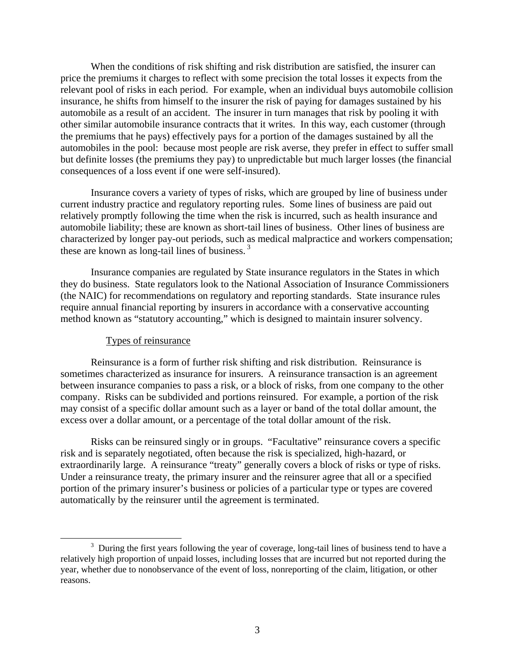When the conditions of risk shifting and risk distribution are satisfied, the insurer can price the premiums it charges to reflect with some precision the total losses it expects from the relevant pool of risks in each period. For example, when an individual buys automobile collision insurance, he shifts from himself to the insurer the risk of paying for damages sustained by his automobile as a result of an accident. The insurer in turn manages that risk by pooling it with other similar automobile insurance contracts that it writes. In this way, each customer (through the premiums that he pays) effectively pays for a portion of the damages sustained by all the automobiles in the pool: because most people are risk averse, they prefer in effect to suffer small but definite losses (the premiums they pay) to unpredictable but much larger losses (the financial consequences of a loss event if one were self-insured).

Insurance covers a variety of types of risks, which are grouped by line of business under current industry practice and regulatory reporting rules. Some lines of business are paid out relatively promptly following the time when the risk is incurred, such as health insurance and automobile liability; these are known as short-tail lines of business. Other lines of business are characterized by longer pay-out periods, such as medical malpractice and workers compensation; these are known as long-tail lines of business.  $3$ 

Insurance companies are regulated by State insurance regulators in the States in which they do business. State regulators look to the National Association of Insurance Commissioners (the NAIC) for recommendations on regulatory and reporting standards. State insurance rules require annual financial reporting by insurers in accordance with a conservative accounting method known as "statutory accounting," which is designed to maintain insurer solvency.

#### Types of reinsurance

Reinsurance is a form of further risk shifting and risk distribution. Reinsurance is sometimes characterized as insurance for insurers. A reinsurance transaction is an agreement between insurance companies to pass a risk, or a block of risks, from one company to the other company. Risks can be subdivided and portions reinsured. For example, a portion of the risk may consist of a specific dollar amount such as a layer or band of the total dollar amount, the excess over a dollar amount, or a percentage of the total dollar amount of the risk.

Risks can be reinsured singly or in groups. "Facultative" reinsurance covers a specific risk and is separately negotiated, often because the risk is specialized, high-hazard, or extraordinarily large. A reinsurance "treaty" generally covers a block of risks or type of risks. Under a reinsurance treaty, the primary insurer and the reinsurer agree that all or a specified portion of the primary insurer's business or policies of a particular type or types are covered automatically by the reinsurer until the agreement is terminated.

 $\frac{1}{3}$ <sup>3</sup> During the first years following the year of coverage, long-tail lines of business tend to have a relatively high proportion of unpaid losses, including losses that are incurred but not reported during the year, whether due to nonobservance of the event of loss, nonreporting of the claim, litigation, or other reasons.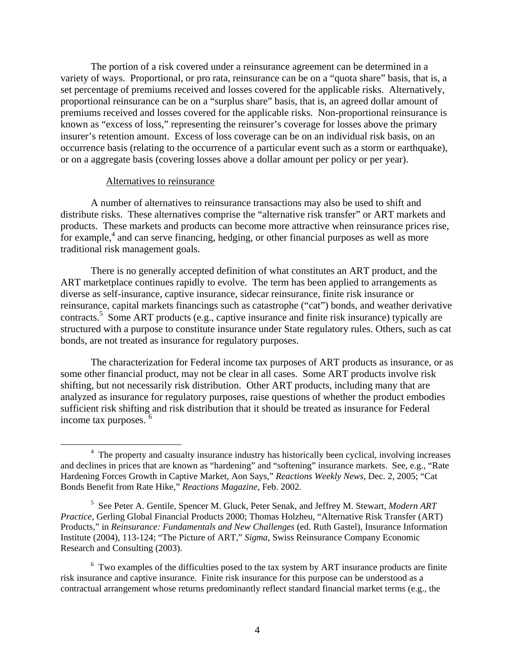The portion of a risk covered under a reinsurance agreement can be determined in a variety of ways. Proportional, or pro rata, reinsurance can be on a "quota share" basis, that is, a set percentage of premiums received and losses covered for the applicable risks. Alternatively, proportional reinsurance can be on a "surplus share" basis, that is, an agreed dollar amount of premiums received and losses covered for the applicable risks. Non-proportional reinsurance is known as "excess of loss," representing the reinsurer's coverage for losses above the primary insurer's retention amount. Excess of loss coverage can be on an individual risk basis, on an occurrence basis (relating to the occurrence of a particular event such as a storm or earthquake), or on a aggregate basis (covering losses above a dollar amount per policy or per year).

#### Alternatives to reinsurance

A number of alternatives to reinsurance transactions may also be used to shift and distribute risks. These alternatives comprise the "alternative risk transfer" or ART markets and products. These markets and products can become more attractive when reinsurance prices rise, for example,<sup>4</sup> and can serve financing, hedging, or other financial purposes as well as more traditional risk management goals.

There is no generally accepted definition of what constitutes an ART product, and the ART marketplace continues rapidly to evolve. The term has been applied to arrangements as diverse as self-insurance, captive insurance, sidecar reinsurance, finite risk insurance or reinsurance, capital markets financings such as catastrophe ("cat") bonds, and weather derivative contracts.<sup>5</sup> Some ART products (e.g., captive insurance and finite risk insurance) typically are structured with a purpose to constitute insurance under State regulatory rules. Others, such as cat bonds, are not treated as insurance for regulatory purposes.

The characterization for Federal income tax purposes of ART products as insurance, or as some other financial product, may not be clear in all cases. Some ART products involve risk shifting, but not necessarily risk distribution. Other ART products, including many that are analyzed as insurance for regulatory purposes, raise questions of whether the product embodies sufficient risk shifting and risk distribution that it should be treated as insurance for Federal income tax purposes.<sup>6</sup>

 $\overline{4}$  $<sup>4</sup>$  The property and casualty insurance industry has historically been cyclical, involving increases</sup> and declines in prices that are known as "hardening" and "softening" insurance markets. See, e.g., "Rate Hardening Forces Growth in Captive Market, Aon Says," *Reactions Weekly News*, Dec. 2, 2005; "Cat Bonds Benefit from Rate Hike," *Reactions Magazine*, Feb. 2002.

<sup>5</sup> See Peter A. Gentile, Spencer M. Gluck, Peter Senak, and Jeffrey M. Stewart, *Modern ART Practice*, Gerling Global Financial Products 2000; Thomas Holzheu, "Alternative Risk Transfer (ART) Products," in *Reinsurance: Fundamentals and New Challenges* (ed. Ruth Gastel), Insurance Information Institute (2004), 113-124; "The Picture of ART," *Sigma*, Swiss Reinsurance Company Economic Research and Consulting (2003).

 $6\,$  Two examples of the difficulties posed to the tax system by ART insurance products are finite risk insurance and captive insurance. Finite risk insurance for this purpose can be understood as a contractual arrangement whose returns predominantly reflect standard financial market terms (e.g., the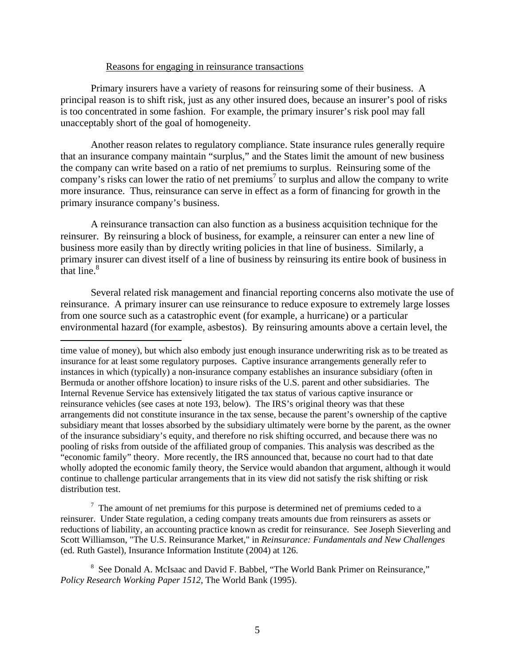#### Reasons for engaging in reinsurance transactions

 $\overline{a}$ 

Primary insurers have a variety of reasons for reinsuring some of their business. A principal reason is to shift risk, just as any other insured does, because an insurer's pool of risks is too concentrated in some fashion. For example, the primary insurer's risk pool may fall unacceptably short of the goal of homogeneity.

Another reason relates to regulatory compliance. State insurance rules generally require that an insurance company maintain "surplus," and the States limit the amount of new business the company can write based on a ratio of net premiums to surplus. Reinsuring some of the company's risks can lower the ratio of net premiums<sup>7</sup> to surplus and allow the company to write more insurance. Thus, reinsurance can serve in effect as a form of financing for growth in the primary insurance company's business.

A reinsurance transaction can also function as a business acquisition technique for the reinsurer. By reinsuring a block of business, for example, a reinsurer can enter a new line of business more easily than by directly writing policies in that line of business. Similarly, a primary insurer can divest itself of a line of business by reinsuring its entire book of business in that line. $8<sup>8</sup>$ 

Several related risk management and financial reporting concerns also motivate the use of reinsurance. A primary insurer can use reinsurance to reduce exposure to extremely large losses from one source such as a catastrophic event (for example, a hurricane) or a particular environmental hazard (for example, asbestos). By reinsuring amounts above a certain level, the

 $7$  The amount of net premiums for this purpose is determined net of premiums ceded to a reinsurer. Under State regulation, a ceding company treats amounts due from reinsurers as assets or reductions of liability, an accounting practice known as credit for reinsurance. See Joseph Sieverling and Scott Williamson, "The U.S. Reinsurance Market," in *Reinsurance: Fundamentals and New Challenges* (ed. Ruth Gastel), Insurance Information Institute (2004) at 126.

<sup>8</sup> See Donald A. McIsaac and David F. Babbel, "The World Bank Primer on Reinsurance," *Policy Research Working Paper 1512*, The World Bank (1995).

time value of money), but which also embody just enough insurance underwriting risk as to be treated as insurance for at least some regulatory purposes. Captive insurance arrangements generally refer to instances in which (typically) a non-insurance company establishes an insurance subsidiary (often in Bermuda or another offshore location) to insure risks of the U.S. parent and other subsidiaries. The Internal Revenue Service has extensively litigated the tax status of various captive insurance or reinsurance vehicles (see cases at note 193, below). The IRS's original theory was that these arrangements did not constitute insurance in the tax sense, because the parent's ownership of the captive subsidiary meant that losses absorbed by the subsidiary ultimately were borne by the parent, as the owner of the insurance subsidiary's equity, and therefore no risk shifting occurred, and because there was no pooling of risks from outside of the affiliated group of companies. This analysis was described as the "economic family" theory. More recently, the IRS announced that, because no court had to that date wholly adopted the economic family theory, the Service would abandon that argument, although it would continue to challenge particular arrangements that in its view did not satisfy the risk shifting or risk distribution test.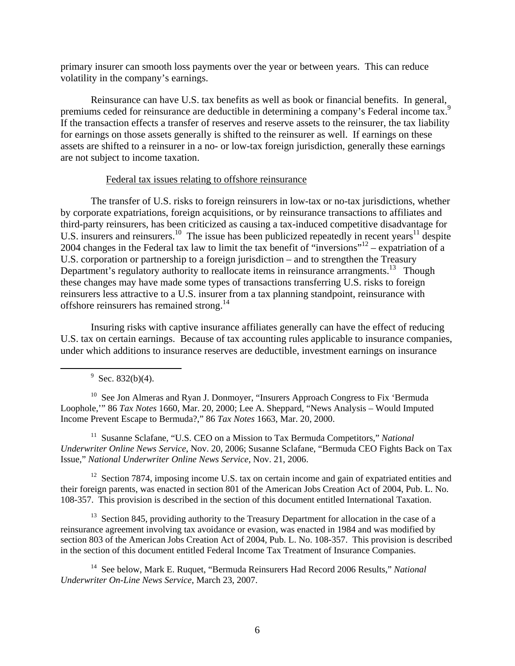primary insurer can smooth loss payments over the year or between years. This can reduce volatility in the company's earnings.

Reinsurance can have U.S. tax benefits as well as book or financial benefits. In general, premiums ceded for reinsurance are deductible in determining a company's Federal income tax.<sup>9</sup> If the transaction effects a transfer of reserves and reserve assets to the reinsurer, the tax liability for earnings on those assets generally is shifted to the reinsurer as well. If earnings on these assets are shifted to a reinsurer in a no- or low-tax foreign jurisdiction, generally these earnings are not subject to income taxation.

#### Federal tax issues relating to offshore reinsurance

The transfer of U.S. risks to foreign reinsurers in low-tax or no-tax jurisdictions, whether by corporate expatriations, foreign acquisitions, or by reinsurance transactions to affiliates and third-party reinsurers, has been criticized as causing a tax-induced competitive disadvantage for U.S. insurers and reinsurers.<sup>10</sup> The issue has been publicized repeatedly in recent years<sup>11</sup> despite 2004 changes in the Federal tax law to limit the tax benefit of "inversions"<sup>12</sup> – expatriation of a U.S. corporation or partnership to a foreign jurisdiction – and to strengthen the Treasury Department's regulatory authority to reallocate items in reinsurance arrangments.<sup>13</sup> Though these changes may have made some types of transactions transferring U.S. risks to foreign reinsurers less attractive to a U.S. insurer from a tax planning standpoint, reinsurance with offshore reinsurers has remained strong.<sup>14</sup>

Insuring risks with captive insurance affiliates generally can have the effect of reducing U.S. tax on certain earnings. Because of tax accounting rules applicable to insurance companies, under which additions to insurance reserves are deductible, investment earnings on insurance

 $\frac{1}{9}$  $9$  Sec. 832(b)(4).

<sup>10</sup> See Jon Almeras and Ryan J. Donmoyer, "Insurers Approach Congress to Fix 'Bermuda Loophole,'" 86 *Tax Notes* 1660, Mar. 20, 2000; Lee A. Sheppard, "News Analysis – Would Imputed Income Prevent Escape to Bermuda?," 86 *Tax Notes* 1663, Mar. 20, 2000.

11 Susanne Sclafane, "U.S. CEO on a Mission to Tax Bermuda Competitors," *National Underwriter Online News Service*, Nov. 20, 2006; Susanne Sclafane, "Bermuda CEO Fights Back on Tax Issue," *National Underwriter Online News Service*, Nov. 21, 2006.

 $12$  Section 7874, imposing income U.S. tax on certain income and gain of expatriated entities and their foreign parents, was enacted in section 801 of the American Jobs Creation Act of 2004, Pub. L. No. 108-357. This provision is described in the section of this document entitled International Taxation.

 $13$  Section 845, providing authority to the Treasury Department for allocation in the case of a reinsurance agreement involving tax avoidance or evasion, was enacted in 1984 and was modified by section 803 of the American Jobs Creation Act of 2004, Pub. L. No. 108-357. This provision is described in the section of this document entitled Federal Income Tax Treatment of Insurance Companies.

14 See below, Mark E. Ruquet, "Bermuda Reinsurers Had Record 2006 Results," *National Underwriter On-Line News Service*, March 23, 2007.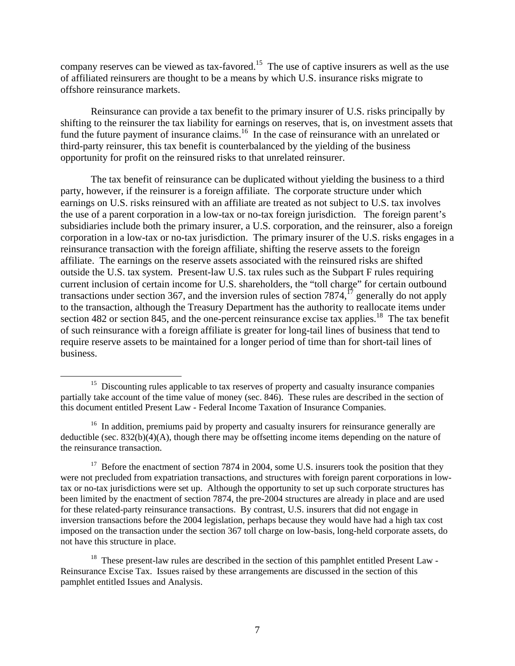company reserves can be viewed as tax-favored.<sup>15</sup> The use of captive insurers as well as the use of affiliated reinsurers are thought to be a means by which U.S. insurance risks migrate to offshore reinsurance markets.

Reinsurance can provide a tax benefit to the primary insurer of U.S. risks principally by shifting to the reinsurer the tax liability for earnings on reserves, that is, on investment assets that fund the future payment of insurance claims.<sup>16</sup> In the case of reinsurance with an unrelated or third-party reinsurer, this tax benefit is counterbalanced by the yielding of the business opportunity for profit on the reinsured risks to that unrelated reinsurer.

The tax benefit of reinsurance can be duplicated without yielding the business to a third party, however, if the reinsurer is a foreign affiliate. The corporate structure under which earnings on U.S. risks reinsured with an affiliate are treated as not subject to U.S. tax involves the use of a parent corporation in a low-tax or no-tax foreign jurisdiction. The foreign parent's subsidiaries include both the primary insurer, a U.S. corporation, and the reinsurer, also a foreign corporation in a low-tax or no-tax jurisdiction. The primary insurer of the U.S. risks engages in a reinsurance transaction with the foreign affiliate, shifting the reserve assets to the foreign affiliate. The earnings on the reserve assets associated with the reinsured risks are shifted outside the U.S. tax system. Present-law U.S. tax rules such as the Subpart F rules requiring current inclusion of certain income for U.S. shareholders, the "toll charge" for certain outbound transactions under section 367, and the inversion rules of section 7874, $^{17}$  generally do not apply to the transaction, although the Treasury Department has the authority to reallocate items under section 482 or section 845, and the one-percent reinsurance excise tax applies.<sup>18</sup> The tax benefit of such reinsurance with a foreign affiliate is greater for long-tail lines of business that tend to require reserve assets to be maintained for a longer period of time than for short-tail lines of business.

<sup>&</sup>lt;sup>15</sup> Discounting rules applicable to tax reserves of property and casualty insurance companies partially take account of the time value of money (sec. 846). These rules are described in the section of this document entitled Present Law - Federal Income Taxation of Insurance Companies.

 $16$  In addition, premiums paid by property and casualty insurers for reinsurance generally are deductible (sec.  $832(b)(4)(A)$ , though there may be offsetting income items depending on the nature of the reinsurance transaction.

 $17$  Before the enactment of section 7874 in 2004, some U.S. insurers took the position that they were not precluded from expatriation transactions, and structures with foreign parent corporations in lowtax or no-tax jurisdictions were set up. Although the opportunity to set up such corporate structures has been limited by the enactment of section 7874, the pre-2004 structures are already in place and are used for these related-party reinsurance transactions. By contrast, U.S. insurers that did not engage in inversion transactions before the 2004 legislation, perhaps because they would have had a high tax cost imposed on the transaction under the section 367 toll charge on low-basis, long-held corporate assets, do not have this structure in place.

<sup>&</sup>lt;sup>18</sup> These present-law rules are described in the section of this pamphlet entitled Present Law -Reinsurance Excise Tax. Issues raised by these arrangements are discussed in the section of this pamphlet entitled Issues and Analysis.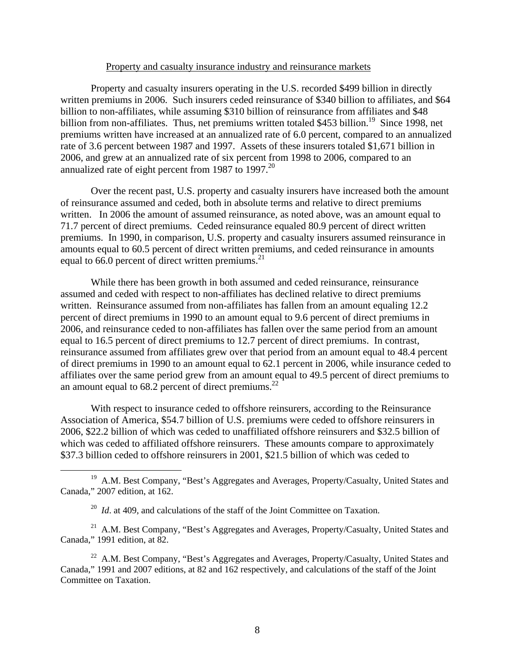#### Property and casualty insurance industry and reinsurance markets

Property and casualty insurers operating in the U.S. recorded \$499 billion in directly written premiums in 2006. Such insurers ceded reinsurance of \$340 billion to affiliates, and \$64 billion to non-affiliates, while assuming \$310 billion of reinsurance from affiliates and \$48 billion from non-affiliates. Thus, net premiums written totaled \$453 billion.<sup>19</sup> Since 1998, net premiums written have increased at an annualized rate of 6.0 percent, compared to an annualized rate of 3.6 percent between 1987 and 1997. Assets of these insurers totaled \$1,671 billion in 2006, and grew at an annualized rate of six percent from 1998 to 2006, compared to an annualized rate of eight percent from 1987 to 1997. $^{20}$ 

Over the recent past, U.S. property and casualty insurers have increased both the amount of reinsurance assumed and ceded, both in absolute terms and relative to direct premiums written. In 2006 the amount of assumed reinsurance, as noted above, was an amount equal to 71.7 percent of direct premiums. Ceded reinsurance equaled 80.9 percent of direct written premiums. In 1990, in comparison, U.S. property and casualty insurers assumed reinsurance in amounts equal to 60.5 percent of direct written premiums, and ceded reinsurance in amounts equal to 66.0 percent of direct written premiums.<sup>21</sup>

While there has been growth in both assumed and ceded reinsurance, reinsurance assumed and ceded with respect to non-affiliates has declined relative to direct premiums written. Reinsurance assumed from non-affiliates has fallen from an amount equaling 12.2 percent of direct premiums in 1990 to an amount equal to 9.6 percent of direct premiums in 2006, and reinsurance ceded to non-affiliates has fallen over the same period from an amount equal to 16.5 percent of direct premiums to 12.7 percent of direct premiums. In contrast, reinsurance assumed from affiliates grew over that period from an amount equal to 48.4 percent of direct premiums in 1990 to an amount equal to 62.1 percent in 2006, while insurance ceded to affiliates over the same period grew from an amount equal to 49.5 percent of direct premiums to an amount equal to  $68.2$  percent of direct premiums.<sup>22</sup>

With respect to insurance ceded to offshore reinsurers, according to the Reinsurance Association of America, \$54.7 billion of U.S. premiums were ceded to offshore reinsurers in 2006, \$22.2 billion of which was ceded to unaffiliated offshore reinsurers and \$32.5 billion of which was ceded to affiliated offshore reinsurers. These amounts compare to approximately \$37.3 billion ceded to offshore reinsurers in 2001, \$21.5 billion of which was ceded to

<sup>&</sup>lt;sup>19</sup> A.M. Best Company, "Best's Aggregates and Averages, Property/Casualty, United States and Canada," 2007 edition, at 162.

<sup>&</sup>lt;sup>20</sup> *Id.* at 409, and calculations of the staff of the Joint Committee on Taxation.

<sup>&</sup>lt;sup>21</sup> A.M. Best Company, "Best's Aggregates and Averages, Property/Casualty, United States and Canada," 1991 edition, at 82.

 $22$  A.M. Best Company, "Best's Aggregates and Averages, Property/Casualty, United States and Canada," 1991 and 2007 editions, at 82 and 162 respectively, and calculations of the staff of the Joint Committee on Taxation.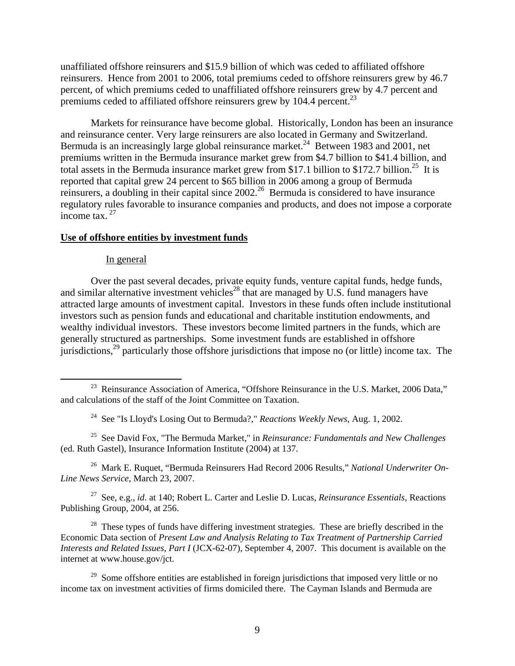unaffiliated offshore reinsurers and \$15.9 billion of which was ceded to affiliated offshore reinsurers. Hence from 2001 to 2006, total premiums ceded to offshore reinsurers grew by 46.7 percent, of which premiums ceded to unaffiliated offshore reinsurers grew by 4.7 percent and premiums ceded to affiliated offshore reinsurers grew by  $104.4$  percent.<sup>23</sup>

Markets for reinsurance have become global. Historically, London has been an insurance and reinsurance center. Very large reinsurers are also located in Germany and Switzerland. Bermuda is an increasingly large global reinsurance market.<sup>24</sup> Between 1983 and 2001, net premiums written in the Bermuda insurance market grew from \$4.7 billion to \$41.4 billion, and total assets in the Bermuda insurance market grew from \$17.1 billion to \$172.7 billion.<sup>25</sup> It is reported that capital grew 24 percent to \$65 billion in 2006 among a group of Bermuda reinsurers, a doubling in their capital since 2002.<sup>26</sup> Bermuda is considered to have insurance regulatory rules favorable to insurance companies and products, and does not impose a corporate income tax. 27

#### **Use of offshore entities by investment funds**

#### In general

Over the past several decades, private equity funds, venture capital funds, hedge funds, and similar alternative investment vehicles<sup>28</sup> that are managed by U.S. fund managers have attracted large amounts of investment capital. Investors in these funds often include institutional investors such as pension funds and educational and charitable institution endowments, and wealthy individual investors. These investors become limited partners in the funds, which are generally structured as partnerships. Some investment funds are established in offshore jurisdictions,  $^{29}$  particularly those offshore jurisdictions that impose no (or little) income tax. The

25 See David Fox, "The Bermuda Market," in *Reinsurance: Fundamentals and New Challenges* (ed. Ruth Gastel), Insurance Information Institute (2004) at 137.

26 Mark E. Ruquet, "Bermuda Reinsurers Had Record 2006 Results," *National Underwriter On-Line News Service*, March 23, 2007.

27 See, e.g., *id*. at 140; Robert L. Carter and Leslie D. Lucas, *Reinsurance Essentials*, Reactions Publishing Group, 2004, at 256.

<sup>28</sup> These types of funds have differing investment strategies. These are briefly described in the Economic Data section of *Present Law and Analysis Relating to Tax Treatment of Partnership Carried Interests and Related Issues, Part I* (JCX-62-07), September 4, 2007. This document is available on the internet at www.house.gov/jct.

 $29$  Some offshore entities are established in foreign jurisdictions that imposed very little or no income tax on investment activities of firms domiciled there. The Cayman Islands and Bermuda are

 $^{23}$  Reinsurance Association of America, "Offshore Reinsurance in the U.S. Market, 2006 Data," and calculations of the staff of the Joint Committee on Taxation.

<sup>24</sup> See "Is Lloyd's Losing Out to Bermuda?," *Reactions Weekly News*, Aug. 1, 2002.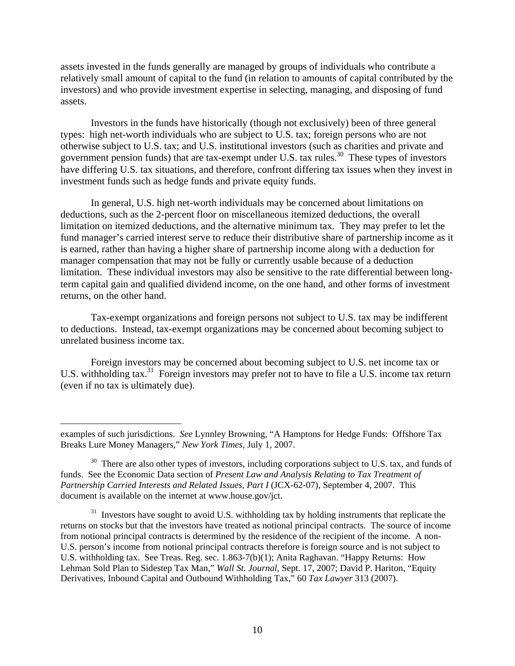assets invested in the funds generally are managed by groups of individuals who contribute a relatively small amount of capital to the fund (in relation to amounts of capital contributed by the investors) and who provide investment expertise in selecting, managing, and disposing of fund assets.

Investors in the funds have historically (though not exclusively) been of three general types: high net-worth individuals who are subject to U.S. tax; foreign persons who are not otherwise subject to U.S. tax; and U.S. institutional investors (such as charities and private and government pension funds) that are tax-exempt under U.S. tax rules.<sup>30</sup> These types of investors have differing U.S. tax situations, and therefore, confront differing tax issues when they invest in investment funds such as hedge funds and private equity funds.

In general, U.S. high net-worth individuals may be concerned about limitations on deductions, such as the 2-percent floor on miscellaneous itemized deductions, the overall limitation on itemized deductions, and the alternative minimum tax. They may prefer to let the fund manager's carried interest serve to reduce their distributive share of partnership income as it is earned, rather than having a higher share of partnership income along with a deduction for manager compensation that may not be fully or currently usable because of a deduction limitation. These individual investors may also be sensitive to the rate differential between longterm capital gain and qualified dividend income, on the one hand, and other forms of investment returns, on the other hand.

Tax-exempt organizations and foreign persons not subject to U.S. tax may be indifferent to deductions. Instead, tax-exempt organizations may be concerned about becoming subject to unrelated business income tax.

Foreign investors may be concerned about becoming subject to U.S. net income tax or U.S. withholding tax.<sup>31</sup> Foreign investors may prefer not to have to file a U.S. income tax return (even if no tax is ultimately due).

 $\overline{a}$ 

examples of such jurisdictions. *See* Lynnley Browning, "A Hamptons for Hedge Funds: Offshore Tax Breaks Lure Money Managers," *New York Times*, July 1, 2007.

<sup>&</sup>lt;sup>30</sup> There are also other types of investors, including corporations subject to U.S. tax, and funds of funds. See the Economic Data section of *Present Law and Analysis Relating to Tax Treatment of Partnership Carried Interests and Related Issues, Part I* (JCX-62-07), September 4, 2007. This document is available on the internet at www.house.gov/jct.

<sup>&</sup>lt;sup>31</sup> Investors have sought to avoid U.S. withholding tax by holding instruments that replicate the returns on stocks but that the investors have treated as notional principal contracts. The source of income from notional principal contracts is determined by the residence of the recipient of the income. A non-U.S. person's income from notional principal contracts therefore is foreign source and is not subject to U.S. withholding tax. See Treas. Reg. sec. 1.863-7(b)(1); Anita Raghavan. "Happy Returns: How Lehman Sold Plan to Sidestep Tax Man," *Wall St. Journal*, Sept. 17, 2007; David P. Hariton, "Equity Derivatives, Inbound Capital and Outbound Withholding Tax," 60 *Tax Lawyer* 313 (2007).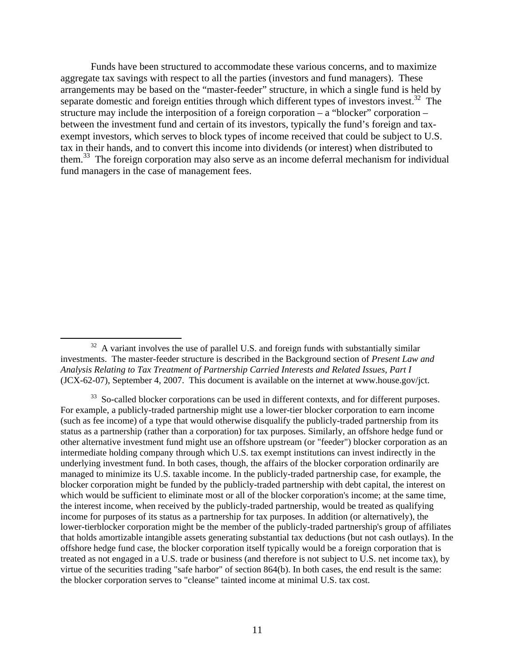Funds have been structured to accommodate these various concerns, and to maximize aggregate tax savings with respect to all the parties (investors and fund managers). These arrangements may be based on the "master-feeder" structure, in which a single fund is held by separate domestic and foreign entities through which different types of investors invest.<sup>32</sup> The structure may include the interposition of a foreign corporation – a "blocker" corporation – between the investment fund and certain of its investors, typically the fund's foreign and taxexempt investors, which serves to block types of income received that could be subject to U.S. tax in their hands, and to convert this income into dividends (or interest) when distributed to them.<sup>33</sup> The foreign corporation may also serve as an income deferral mechanism for individual fund managers in the case of management fees.

 $32$  A variant involves the use of parallel U.S. and foreign funds with substantially similar investments. The master-feeder structure is described in the Background section of *Present Law and Analysis Relating to Tax Treatment of Partnership Carried Interests and Related Issues, Part I* (JCX-62-07), September 4, 2007. This document is available on the internet at www.house.gov/jct.

<sup>&</sup>lt;sup>33</sup> So-called blocker corporations can be used in different contexts, and for different purposes. For example, a publicly-traded partnership might use a lower-tier blocker corporation to earn income (such as fee income) of a type that would otherwise disqualify the publicly-traded partnership from its status as a partnership (rather than a corporation) for tax purposes. Similarly, an offshore hedge fund or other alternative investment fund might use an offshore upstream (or "feeder") blocker corporation as an intermediate holding company through which U.S. tax exempt institutions can invest indirectly in the underlying investment fund. In both cases, though, the affairs of the blocker corporation ordinarily are managed to minimize its U.S. taxable income. In the publicly-traded partnership case, for example, the blocker corporation might be funded by the publicly-traded partnership with debt capital, the interest on which would be sufficient to eliminate most or all of the blocker corporation's income; at the same time, the interest income, when received by the publicly-traded partnership, would be treated as qualifying income for purposes of its status as a partnership for tax purposes. In addition (or alternatively), the lower-tierblocker corporation might be the member of the publicly-traded partnership's group of affiliates that holds amortizable intangible assets generating substantial tax deductions (but not cash outlays). In the offshore hedge fund case, the blocker corporation itself typically would be a foreign corporation that is treated as not engaged in a U.S. trade or business (and therefore is not subject to U.S. net income tax), by virtue of the securities trading "safe harbor" of section 864(b). In both cases, the end result is the same: the blocker corporation serves to "cleanse" tainted income at minimal U.S. tax cost.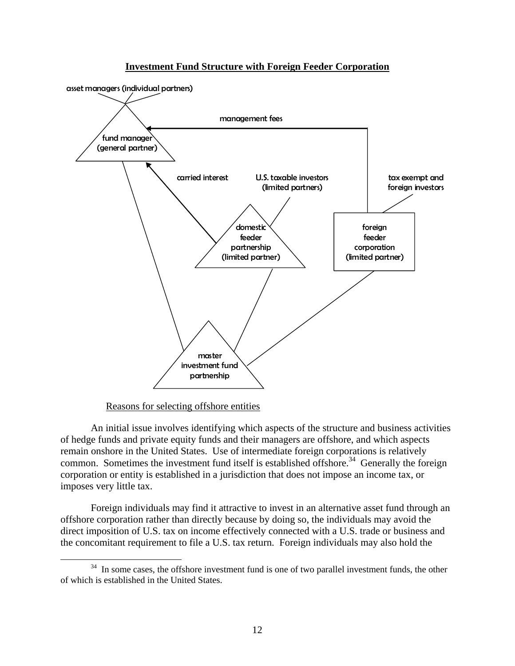# **Investment Fund Structure with Foreign Feeder Corporation**



# Reasons for selecting offshore entities

An initial issue involves identifying which aspects of the structure and business activities of hedge funds and private equity funds and their managers are offshore, and which aspects remain onshore in the United States. Use of intermediate foreign corporations is relatively common. Sometimes the investment fund itself is established offshore.<sup>34</sup> Generally the foreign corporation or entity is established in a jurisdiction that does not impose an income tax, or imposes very little tax.

Foreign individuals may find it attractive to invest in an alternative asset fund through an offshore corporation rather than directly because by doing so, the individuals may avoid the direct imposition of U.S. tax on income effectively connected with a U.S. trade or business and the concomitant requirement to file a U.S. tax return. Foreign individuals may also hold the

<sup>&</sup>lt;sup>34</sup> In some cases, the offshore investment fund is one of two parallel investment funds, the other of which is established in the United States.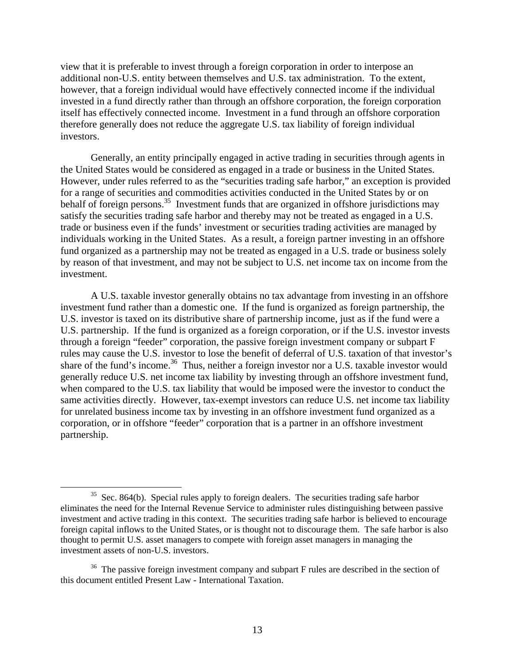view that it is preferable to invest through a foreign corporation in order to interpose an additional non-U.S. entity between themselves and U.S. tax administration. To the extent, however, that a foreign individual would have effectively connected income if the individual invested in a fund directly rather than through an offshore corporation, the foreign corporation itself has effectively connected income. Investment in a fund through an offshore corporation therefore generally does not reduce the aggregate U.S. tax liability of foreign individual investors.

Generally, an entity principally engaged in active trading in securities through agents in the United States would be considered as engaged in a trade or business in the United States. However, under rules referred to as the "securities trading safe harbor," an exception is provided for a range of securities and commodities activities conducted in the United States by or on behalf of foreign persons.<sup>35</sup> Investment funds that are organized in offshore jurisdictions may satisfy the securities trading safe harbor and thereby may not be treated as engaged in a U.S. trade or business even if the funds' investment or securities trading activities are managed by individuals working in the United States. As a result, a foreign partner investing in an offshore fund organized as a partnership may not be treated as engaged in a U.S. trade or business solely by reason of that investment, and may not be subject to U.S. net income tax on income from the investment.

A U.S. taxable investor generally obtains no tax advantage from investing in an offshore investment fund rather than a domestic one. If the fund is organized as foreign partnership, the U.S. investor is taxed on its distributive share of partnership income, just as if the fund were a U.S. partnership. If the fund is organized as a foreign corporation, or if the U.S. investor invests through a foreign "feeder" corporation, the passive foreign investment company or subpart F rules may cause the U.S. investor to lose the benefit of deferral of U.S. taxation of that investor's share of the fund's income.<sup>36</sup> Thus, neither a foreign investor nor a U.S. taxable investor would generally reduce U.S. net income tax liability by investing through an offshore investment fund, when compared to the U.S. tax liability that would be imposed were the investor to conduct the same activities directly. However, tax-exempt investors can reduce U.S. net income tax liability for unrelated business income tax by investing in an offshore investment fund organized as a corporation, or in offshore "feeder" corporation that is a partner in an offshore investment partnership.

<sup>&</sup>lt;sup>35</sup> Sec. 864(b). Special rules apply to foreign dealers. The securities trading safe harbor eliminates the need for the Internal Revenue Service to administer rules distinguishing between passive investment and active trading in this context. The securities trading safe harbor is believed to encourage foreign capital inflows to the United States, or is thought not to discourage them. The safe harbor is also thought to permit U.S. asset managers to compete with foreign asset managers in managing the investment assets of non-U.S. investors.

<sup>&</sup>lt;sup>36</sup> The passive foreign investment company and subpart F rules are described in the section of this document entitled Present Law - International Taxation.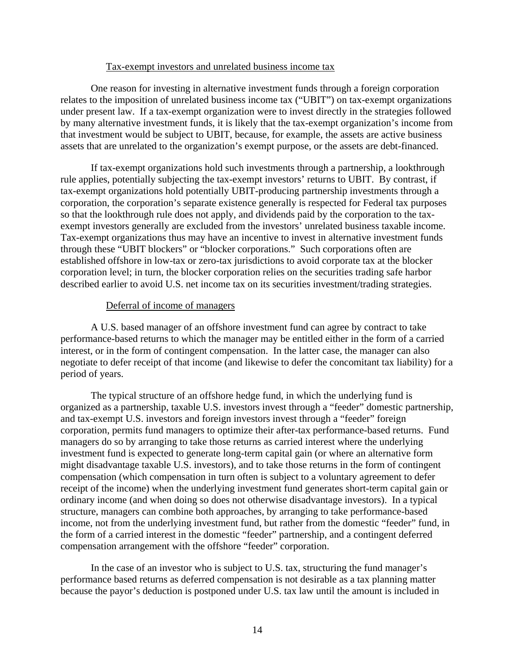#### Tax-exempt investors and unrelated business income tax

One reason for investing in alternative investment funds through a foreign corporation relates to the imposition of unrelated business income tax ("UBIT") on tax-exempt organizations under present law. If a tax-exempt organization were to invest directly in the strategies followed by many alternative investment funds, it is likely that the tax-exempt organization's income from that investment would be subject to UBIT, because, for example, the assets are active business assets that are unrelated to the organization's exempt purpose, or the assets are debt-financed.

If tax-exempt organizations hold such investments through a partnership, a lookthrough rule applies, potentially subjecting the tax-exempt investors' returns to UBIT. By contrast, if tax-exempt organizations hold potentially UBIT-producing partnership investments through a corporation, the corporation's separate existence generally is respected for Federal tax purposes so that the lookthrough rule does not apply, and dividends paid by the corporation to the taxexempt investors generally are excluded from the investors' unrelated business taxable income. Tax-exempt organizations thus may have an incentive to invest in alternative investment funds through these "UBIT blockers" or "blocker corporations." Such corporations often are established offshore in low-tax or zero-tax jurisdictions to avoid corporate tax at the blocker corporation level; in turn, the blocker corporation relies on the securities trading safe harbor described earlier to avoid U.S. net income tax on its securities investment/trading strategies.

#### Deferral of income of managers

A U.S. based manager of an offshore investment fund can agree by contract to take performance-based returns to which the manager may be entitled either in the form of a carried interest, or in the form of contingent compensation. In the latter case, the manager can also negotiate to defer receipt of that income (and likewise to defer the concomitant tax liability) for a period of years.

The typical structure of an offshore hedge fund, in which the underlying fund is organized as a partnership, taxable U.S. investors invest through a "feeder" domestic partnership, and tax-exempt U.S. investors and foreign investors invest through a "feeder" foreign corporation, permits fund managers to optimize their after-tax performance-based returns. Fund managers do so by arranging to take those returns as carried interest where the underlying investment fund is expected to generate long-term capital gain (or where an alternative form might disadvantage taxable U.S. investors), and to take those returns in the form of contingent compensation (which compensation in turn often is subject to a voluntary agreement to defer receipt of the income) when the underlying investment fund generates short-term capital gain or ordinary income (and when doing so does not otherwise disadvantage investors). In a typical structure, managers can combine both approaches, by arranging to take performance-based income, not from the underlying investment fund, but rather from the domestic "feeder" fund, in the form of a carried interest in the domestic "feeder" partnership, and a contingent deferred compensation arrangement with the offshore "feeder" corporation.

In the case of an investor who is subject to U.S. tax, structuring the fund manager's performance based returns as deferred compensation is not desirable as a tax planning matter because the payor's deduction is postponed under U.S. tax law until the amount is included in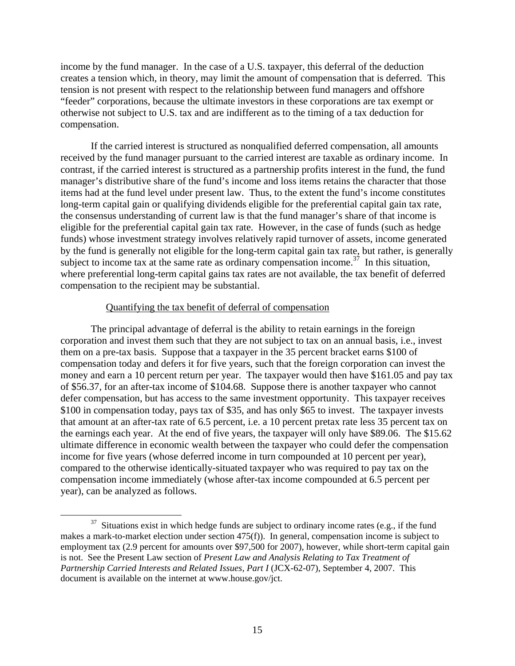income by the fund manager. In the case of a U.S. taxpayer, this deferral of the deduction creates a tension which, in theory, may limit the amount of compensation that is deferred. This tension is not present with respect to the relationship between fund managers and offshore "feeder" corporations, because the ultimate investors in these corporations are tax exempt or otherwise not subject to U.S. tax and are indifferent as to the timing of a tax deduction for compensation.

If the carried interest is structured as nonqualified deferred compensation, all amounts received by the fund manager pursuant to the carried interest are taxable as ordinary income. In contrast, if the carried interest is structured as a partnership profits interest in the fund, the fund manager's distributive share of the fund's income and loss items retains the character that those items had at the fund level under present law. Thus, to the extent the fund's income constitutes long-term capital gain or qualifying dividends eligible for the preferential capital gain tax rate, the consensus understanding of current law is that the fund manager's share of that income is eligible for the preferential capital gain tax rate. However, in the case of funds (such as hedge funds) whose investment strategy involves relatively rapid turnover of assets, income generated by the fund is generally not eligible for the long-term capital gain tax rate, but rather, is generally subject to income tax at the same rate as ordinary compensation income.<sup>37</sup> In this situation, where preferential long-term capital gains tax rates are not available, the tax benefit of deferred compensation to the recipient may be substantial.

#### Quantifying the tax benefit of deferral of compensation

The principal advantage of deferral is the ability to retain earnings in the foreign corporation and invest them such that they are not subject to tax on an annual basis, i.e., invest them on a pre-tax basis. Suppose that a taxpayer in the 35 percent bracket earns \$100 of compensation today and defers it for five years, such that the foreign corporation can invest the money and earn a 10 percent return per year. The taxpayer would then have \$161.05 and pay tax of \$56.37, for an after-tax income of \$104.68. Suppose there is another taxpayer who cannot defer compensation, but has access to the same investment opportunity. This taxpayer receives \$100 in compensation today, pays tax of \$35, and has only \$65 to invest. The taxpayer invests that amount at an after-tax rate of 6.5 percent, i.e. a 10 percent pretax rate less 35 percent tax on the earnings each year. At the end of five years, the taxpayer will only have \$89.06. The \$15.62 ultimate difference in economic wealth between the taxpayer who could defer the compensation income for five years (whose deferred income in turn compounded at 10 percent per year), compared to the otherwise identically-situated taxpayer who was required to pay tax on the compensation income immediately (whose after-tax income compounded at 6.5 percent per year), can be analyzed as follows.

 $37$  Situations exist in which hedge funds are subject to ordinary income rates (e.g., if the fund makes a mark-to-market election under section 475(f)). In general, compensation income is subject to employment tax (2.9 percent for amounts over \$97,500 for 2007), however, while short-term capital gain is not. See the Present Law section of *Present Law and Analysis Relating to Tax Treatment of Partnership Carried Interests and Related Issues, Part I* (JCX-62-07), September 4, 2007. This document is available on the internet at www.house.gov/jct.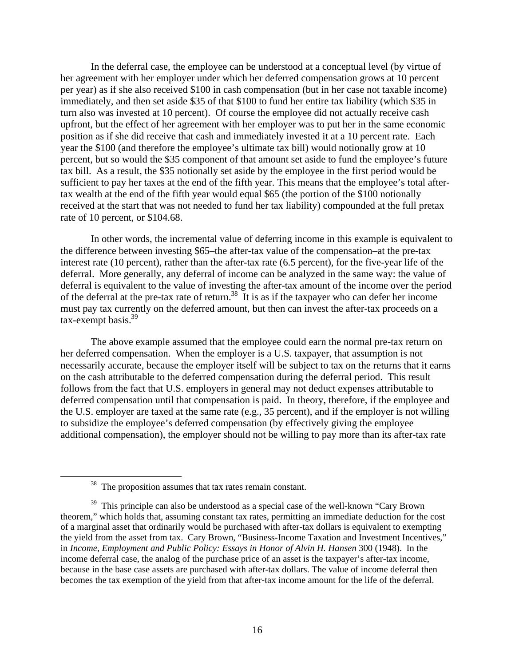In the deferral case, the employee can be understood at a conceptual level (by virtue of her agreement with her employer under which her deferred compensation grows at 10 percent per year) as if she also received \$100 in cash compensation (but in her case not taxable income) immediately, and then set aside \$35 of that \$100 to fund her entire tax liability (which \$35 in turn also was invested at 10 percent). Of course the employee did not actually receive cash upfront, but the effect of her agreement with her employer was to put her in the same economic position as if she did receive that cash and immediately invested it at a 10 percent rate. Each year the \$100 (and therefore the employee's ultimate tax bill) would notionally grow at 10 percent, but so would the \$35 component of that amount set aside to fund the employee's future tax bill. As a result, the \$35 notionally set aside by the employee in the first period would be sufficient to pay her taxes at the end of the fifth year. This means that the employee's total aftertax wealth at the end of the fifth year would equal \$65 (the portion of the \$100 notionally received at the start that was not needed to fund her tax liability) compounded at the full pretax rate of 10 percent, or \$104.68.

In other words, the incremental value of deferring income in this example is equivalent to the difference between investing \$65–the after-tax value of the compensation–at the pre-tax interest rate (10 percent), rather than the after-tax rate (6.5 percent), for the five-year life of the deferral. More generally, any deferral of income can be analyzed in the same way: the value of deferral is equivalent to the value of investing the after-tax amount of the income over the period of the deferral at the pre-tax rate of return.38 It is as if the taxpayer who can defer her income must pay tax currently on the deferred amount, but then can invest the after-tax proceeds on a tax-exempt basis.<sup>39</sup>

The above example assumed that the employee could earn the normal pre-tax return on her deferred compensation. When the employer is a U.S. taxpayer, that assumption is not necessarily accurate, because the employer itself will be subject to tax on the returns that it earns on the cash attributable to the deferred compensation during the deferral period. This result follows from the fact that U.S. employers in general may not deduct expenses attributable to deferred compensation until that compensation is paid. In theory, therefore, if the employee and the U.S. employer are taxed at the same rate (e.g., 35 percent), and if the employer is not willing to subsidize the employee's deferred compensation (by effectively giving the employee additional compensation), the employer should not be willing to pay more than its after-tax rate

<sup>&</sup>lt;sup>38</sup> The proposition assumes that tax rates remain constant.

 $39$  This principle can also be understood as a special case of the well-known "Cary Brown" theorem," which holds that, assuming constant tax rates, permitting an immediate deduction for the cost of a marginal asset that ordinarily would be purchased with after-tax dollars is equivalent to exempting the yield from the asset from tax. Cary Brown, "Business-Income Taxation and Investment Incentives," in *Income, Employment and Public Policy: Essays in Honor of Alvin H. Hansen* 300 (1948). In the income deferral case, the analog of the purchase price of an asset is the taxpayer's after-tax income, because in the base case assets are purchased with after-tax dollars. The value of income deferral then becomes the tax exemption of the yield from that after-tax income amount for the life of the deferral.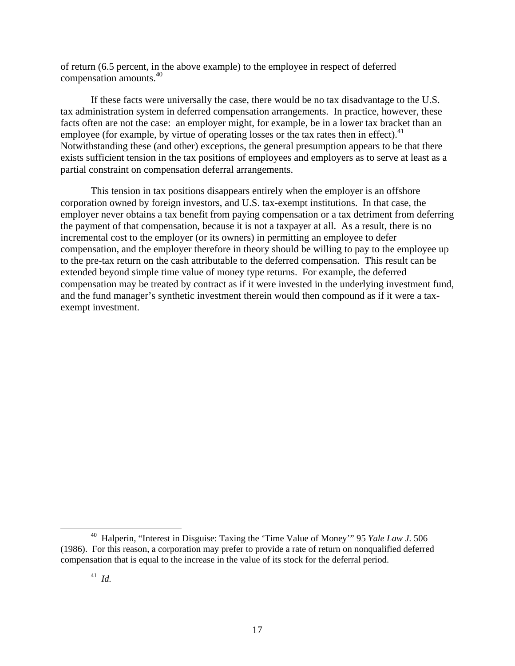of return (6.5 percent, in the above example) to the employee in respect of deferred compensation amounts.<sup>40</sup>

If these facts were universally the case, there would be no tax disadvantage to the U.S. tax administration system in deferred compensation arrangements. In practice, however, these facts often are not the case: an employer might, for example, be in a lower tax bracket than an employee (for example, by virtue of operating losses or the tax rates then in effect). $41$ Notwithstanding these (and other) exceptions, the general presumption appears to be that there exists sufficient tension in the tax positions of employees and employers as to serve at least as a partial constraint on compensation deferral arrangements.

This tension in tax positions disappears entirely when the employer is an offshore corporation owned by foreign investors, and U.S. tax-exempt institutions. In that case, the employer never obtains a tax benefit from paying compensation or a tax detriment from deferring the payment of that compensation, because it is not a taxpayer at all. As a result, there is no incremental cost to the employer (or its owners) in permitting an employee to defer compensation, and the employer therefore in theory should be willing to pay to the employee up to the pre-tax return on the cash attributable to the deferred compensation. This result can be extended beyond simple time value of money type returns. For example, the deferred compensation may be treated by contract as if it were invested in the underlying investment fund, and the fund manager's synthetic investment therein would then compound as if it were a taxexempt investment.

 <sup>40</sup> Halperin, "Interest in Disguise: Taxing the 'Time Value of Money'" 95 *Yale Law J*. 506 (1986). For this reason, a corporation may prefer to provide a rate of return on nonqualified deferred compensation that is equal to the increase in the value of its stock for the deferral period.

<sup>41</sup> *Id.*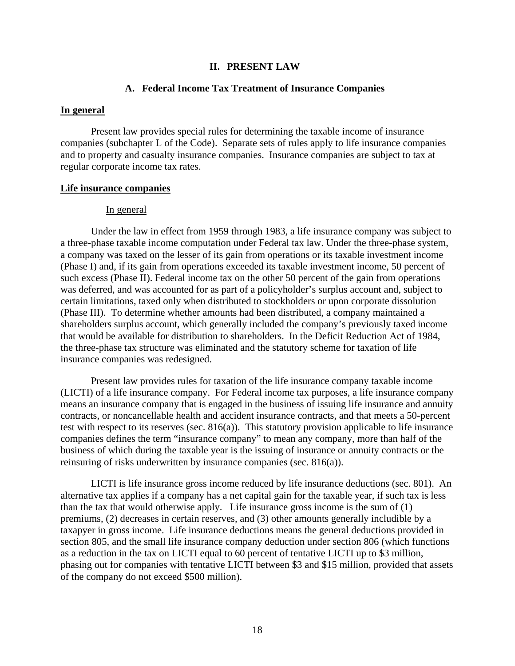#### **II. PRESENT LAW**

#### **A. Federal Income Tax Treatment of Insurance Companies**

#### **In general**

Present law provides special rules for determining the taxable income of insurance companies (subchapter L of the Code). Separate sets of rules apply to life insurance companies and to property and casualty insurance companies. Insurance companies are subject to tax at regular corporate income tax rates.

#### **Life insurance companies**

#### In general

Under the law in effect from 1959 through 1983, a life insurance company was subject to a three-phase taxable income computation under Federal tax law. Under the three-phase system, a company was taxed on the lesser of its gain from operations or its taxable investment income (Phase I) and, if its gain from operations exceeded its taxable investment income, 50 percent of such excess (Phase II). Federal income tax on the other 50 percent of the gain from operations was deferred, and was accounted for as part of a policyholder's surplus account and, subject to certain limitations, taxed only when distributed to stockholders or upon corporate dissolution (Phase III). To determine whether amounts had been distributed, a company maintained a shareholders surplus account, which generally included the company's previously taxed income that would be available for distribution to shareholders. In the Deficit Reduction Act of 1984, the three-phase tax structure was eliminated and the statutory scheme for taxation of life insurance companies was redesigned.

Present law provides rules for taxation of the life insurance company taxable income (LICTI) of a life insurance company. For Federal income tax purposes, a life insurance company means an insurance company that is engaged in the business of issuing life insurance and annuity contracts, or noncancellable health and accident insurance contracts, and that meets a 50-percent test with respect to its reserves (sec. 816(a)). This statutory provision applicable to life insurance companies defines the term "insurance company" to mean any company, more than half of the business of which during the taxable year is the issuing of insurance or annuity contracts or the reinsuring of risks underwritten by insurance companies (sec. 816(a)).

LICTI is life insurance gross income reduced by life insurance deductions (sec. 801). An alternative tax applies if a company has a net capital gain for the taxable year, if such tax is less than the tax that would otherwise apply. Life insurance gross income is the sum of (1) premiums, (2) decreases in certain reserves, and (3) other amounts generally includible by a taxapyer in gross income. Life insurance deductions means the general deductions provided in section 805, and the small life insurance company deduction under section 806 (which functions as a reduction in the tax on LICTI equal to 60 percent of tentative LICTI up to \$3 million, phasing out for companies with tentative LICTI between \$3 and \$15 million, provided that assets of the company do not exceed \$500 million).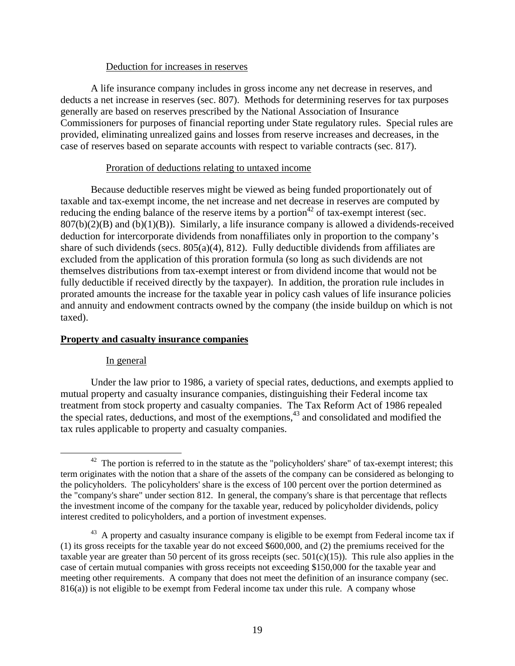# Deduction for increases in reserves

A life insurance company includes in gross income any net decrease in reserves, and deducts a net increase in reserves (sec. 807). Methods for determining reserves for tax purposes generally are based on reserves prescribed by the National Association of Insurance Commissioners for purposes of financial reporting under State regulatory rules. Special rules are provided, eliminating unrealized gains and losses from reserve increases and decreases, in the case of reserves based on separate accounts with respect to variable contracts (sec. 817).

# Proration of deductions relating to untaxed income

Because deductible reserves might be viewed as being funded proportionately out of taxable and tax-exempt income, the net increase and net decrease in reserves are computed by reducing the ending balance of the reserve items by a portion<sup>42</sup> of tax-exempt interest (sec.  $807(b)(2)(B)$  and  $(b)(1)(B)$ ). Similarly, a life insurance company is allowed a dividends-received deduction for intercorporate dividends from nonaffiliates only in proportion to the company's share of such dividends (secs.  $805(a)(4)$ ,  $812$ ). Fully deductible dividends from affiliates are excluded from the application of this proration formula (so long as such dividends are not themselves distributions from tax-exempt interest or from dividend income that would not be fully deductible if received directly by the taxpayer). In addition, the proration rule includes in prorated amounts the increase for the taxable year in policy cash values of life insurance policies and annuity and endowment contracts owned by the company (the inside buildup on which is not taxed).

# **Property and casualty insurance companies**

# In general

Under the law prior to 1986, a variety of special rates, deductions, and exempts applied to mutual property and casualty insurance companies, distinguishing their Federal income tax treatment from stock property and casualty companies. The Tax Reform Act of 1986 repealed the special rates, deductions, and most of the exemptions,  $43$  and consolidated and modified the tax rules applicable to property and casualty companies.

 $42$  The portion is referred to in the statute as the "policyholders' share" of tax-exempt interest; this term originates with the notion that a share of the assets of the company can be considered as belonging to the policyholders. The policyholders' share is the excess of 100 percent over the portion determined as the "company's share" under section 812. In general, the company's share is that percentage that reflects the investment income of the company for the taxable year, reduced by policyholder dividends, policy interest credited to policyholders, and a portion of investment expenses.

<sup>&</sup>lt;sup>43</sup> A property and casualty insurance company is eligible to be exempt from Federal income tax if (1) its gross receipts for the taxable year do not exceed \$600,000, and (2) the premiums received for the taxable year are greater than 50 percent of its gross receipts (sec.  $501(c)(15)$ ). This rule also applies in the case of certain mutual companies with gross receipts not exceeding \$150,000 for the taxable year and meeting other requirements. A company that does not meet the definition of an insurance company (sec. 816(a)) is not eligible to be exempt from Federal income tax under this rule. A company whose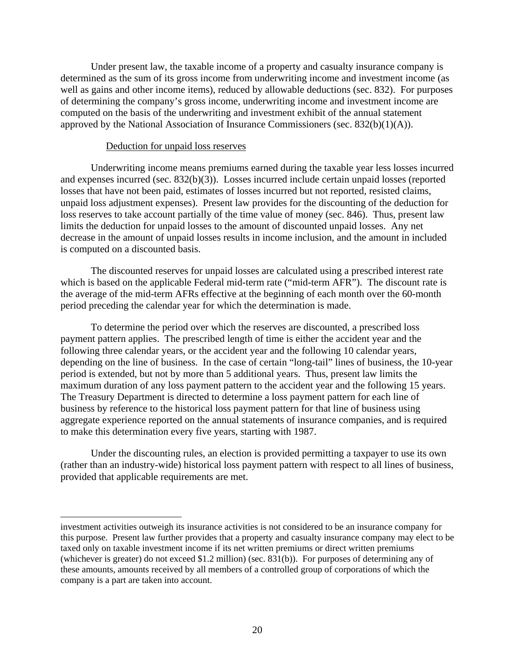Under present law, the taxable income of a property and casualty insurance company is determined as the sum of its gross income from underwriting income and investment income (as well as gains and other income items), reduced by allowable deductions (sec. 832). For purposes of determining the company's gross income, underwriting income and investment income are computed on the basis of the underwriting and investment exhibit of the annual statement approved by the National Association of Insurance Commissioners (sec. 832(b)(1)(A)).

#### Deduction for unpaid loss reserves

 $\overline{a}$ 

Underwriting income means premiums earned during the taxable year less losses incurred and expenses incurred (sec. 832(b)(3)). Losses incurred include certain unpaid losses (reported losses that have not been paid, estimates of losses incurred but not reported, resisted claims, unpaid loss adjustment expenses). Present law provides for the discounting of the deduction for loss reserves to take account partially of the time value of money (sec. 846). Thus, present law limits the deduction for unpaid losses to the amount of discounted unpaid losses. Any net decrease in the amount of unpaid losses results in income inclusion, and the amount in included is computed on a discounted basis.

The discounted reserves for unpaid losses are calculated using a prescribed interest rate which is based on the applicable Federal mid-term rate ("mid-term AFR"). The discount rate is the average of the mid-term AFRs effective at the beginning of each month over the 60-month period preceding the calendar year for which the determination is made.

To determine the period over which the reserves are discounted, a prescribed loss payment pattern applies. The prescribed length of time is either the accident year and the following three calendar years, or the accident year and the following 10 calendar years, depending on the line of business. In the case of certain "long-tail" lines of business, the 10-year period is extended, but not by more than 5 additional years. Thus, present law limits the maximum duration of any loss payment pattern to the accident year and the following 15 years. The Treasury Department is directed to determine a loss payment pattern for each line of business by reference to the historical loss payment pattern for that line of business using aggregate experience reported on the annual statements of insurance companies, and is required to make this determination every five years, starting with 1987.

Under the discounting rules, an election is provided permitting a taxpayer to use its own (rather than an industry-wide) historical loss payment pattern with respect to all lines of business, provided that applicable requirements are met.

investment activities outweigh its insurance activities is not considered to be an insurance company for this purpose. Present law further provides that a property and casualty insurance company may elect to be taxed only on taxable investment income if its net written premiums or direct written premiums (whichever is greater) do not exceed \$1.2 million) (sec. 831(b)). For purposes of determining any of these amounts, amounts received by all members of a controlled group of corporations of which the company is a part are taken into account.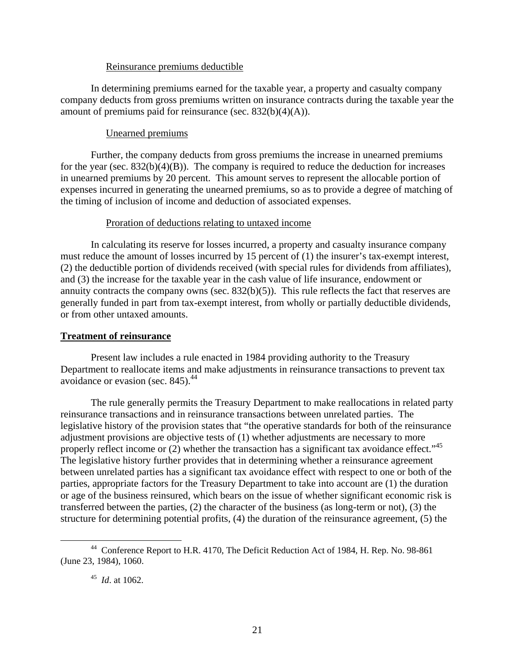#### Reinsurance premiums deductible

In determining premiums earned for the taxable year, a property and casualty company company deducts from gross premiums written on insurance contracts during the taxable year the amount of premiums paid for reinsurance (sec. 832(b)(4)(A)).

#### Unearned premiums

Further, the company deducts from gross premiums the increase in unearned premiums for the year (sec.  $832(b)(4)(B)$ ). The company is required to reduce the deduction for increases in unearned premiums by 20 percent. This amount serves to represent the allocable portion of expenses incurred in generating the unearned premiums, so as to provide a degree of matching of the timing of inclusion of income and deduction of associated expenses.

#### Proration of deductions relating to untaxed income

In calculating its reserve for losses incurred, a property and casualty insurance company must reduce the amount of losses incurred by 15 percent of (1) the insurer's tax-exempt interest, (2) the deductible portion of dividends received (with special rules for dividends from affiliates), and (3) the increase for the taxable year in the cash value of life insurance, endowment or annuity contracts the company owns (sec.  $832(b)(5)$ ). This rule reflects the fact that reserves are generally funded in part from tax-exempt interest, from wholly or partially deductible dividends, or from other untaxed amounts.

#### **Treatment of reinsurance**

Present law includes a rule enacted in 1984 providing authority to the Treasury Department to reallocate items and make adjustments in reinsurance transactions to prevent tax avoidance or evasion (sec.  $845$ ).<sup>44</sup>

The rule generally permits the Treasury Department to make reallocations in related party reinsurance transactions and in reinsurance transactions between unrelated parties. The legislative history of the provision states that "the operative standards for both of the reinsurance adjustment provisions are objective tests of (1) whether adjustments are necessary to more properly reflect income or (2) whether the transaction has a significant tax avoidance effect."<sup>45</sup> The legislative history further provides that in determining whether a reinsurance agreement between unrelated parties has a significant tax avoidance effect with respect to one or both of the parties, appropriate factors for the Treasury Department to take into account are (1) the duration or age of the business reinsured, which bears on the issue of whether significant economic risk is transferred between the parties, (2) the character of the business (as long-term or not), (3) the structure for determining potential profits, (4) the duration of the reinsurance agreement, (5) the

<sup>&</sup>lt;sup>44</sup> Conference Report to H.R. 4170, The Deficit Reduction Act of 1984, H. Rep. No. 98-861 (June 23, 1984), 1060.

<sup>45</sup> *Id*. at 1062.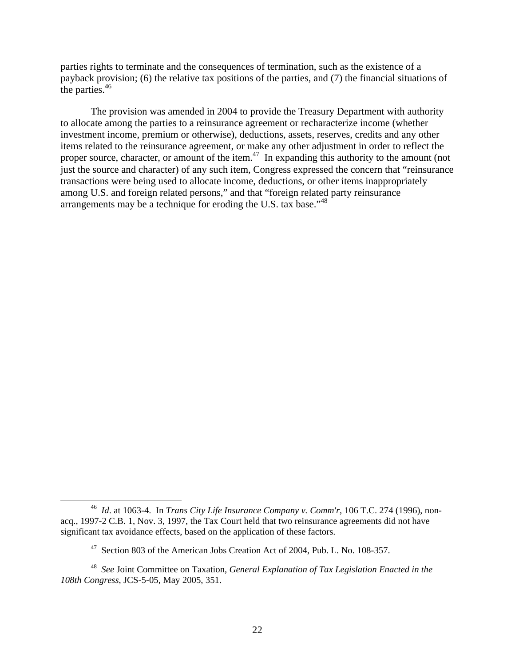parties rights to terminate and the consequences of termination, such as the existence of a payback provision; (6) the relative tax positions of the parties, and (7) the financial situations of the parties.<sup>46</sup>

The provision was amended in 2004 to provide the Treasury Department with authority to allocate among the parties to a reinsurance agreement or recharacterize income (whether investment income, premium or otherwise), deductions, assets, reserves, credits and any other items related to the reinsurance agreement, or make any other adjustment in order to reflect the proper source, character, or amount of the item. $47$  In expanding this authority to the amount (not just the source and character) of any such item, Congress expressed the concern that "reinsurance transactions were being used to allocate income, deductions, or other items inappropriately among U.S. and foreign related persons," and that "foreign related party reinsurance arrangements may be a technique for eroding the U.S. tax base.<sup> $38$ </sup>

 <sup>46</sup> *Id*. at 1063-4. In *Trans City Life Insurance Company v. Comm'r*, 106 T.C. 274 (1996), nonacq., 1997-2 C.B. 1, Nov. 3, 1997, the Tax Court held that two reinsurance agreements did not have significant tax avoidance effects, based on the application of these factors.

<sup>47</sup> Section 803 of the American Jobs Creation Act of 2004, Pub. L. No. 108-357.

<sup>48</sup> *See* Joint Committee on Taxation, *General Explanation of Tax Legislation Enacted in the 108th Congress*, JCS-5-05, May 2005, 351.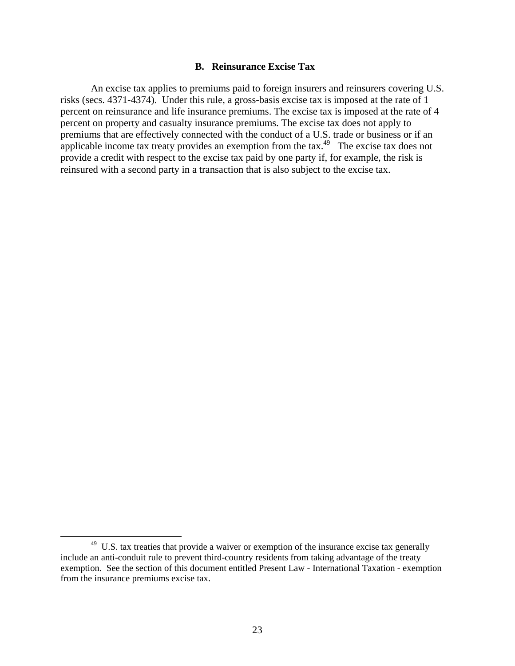## **B. Reinsurance Excise Tax**

An excise tax applies to premiums paid to foreign insurers and reinsurers covering U.S. risks (secs. 4371-4374). Under this rule, a gross-basis excise tax is imposed at the rate of 1 percent on reinsurance and life insurance premiums. The excise tax is imposed at the rate of 4 percent on property and casualty insurance premiums. The excise tax does not apply to premiums that are effectively connected with the conduct of a U.S. trade or business or if an applicable income tax treaty provides an exemption from the tax.<sup>49</sup> The excise tax does not provide a credit with respect to the excise tax paid by one party if, for example, the risk is reinsured with a second party in a transaction that is also subject to the excise tax.

<sup>&</sup>lt;sup>49</sup> U.S. tax treaties that provide a waiver or exemption of the insurance excise tax generally include an anti-conduit rule to prevent third-country residents from taking advantage of the treaty exemption. See the section of this document entitled Present Law - International Taxation - exemption from the insurance premiums excise tax.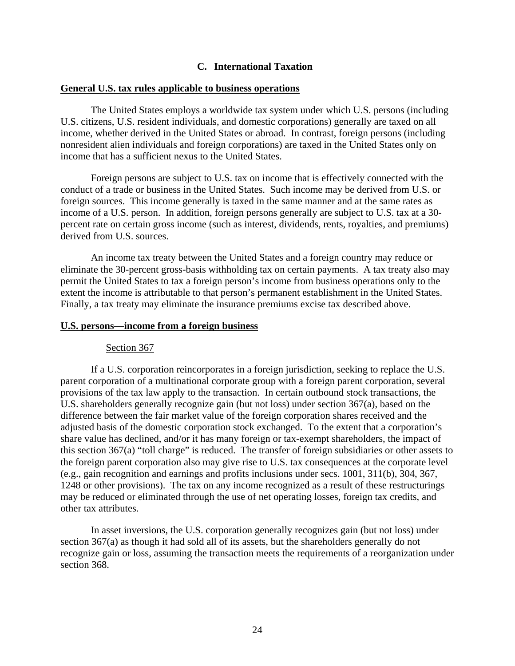# **C. International Taxation**

#### **General U.S. tax rules applicable to business operations**

The United States employs a worldwide tax system under which U.S. persons (including U.S. citizens, U.S. resident individuals, and domestic corporations) generally are taxed on all income, whether derived in the United States or abroad. In contrast, foreign persons (including nonresident alien individuals and foreign corporations) are taxed in the United States only on income that has a sufficient nexus to the United States.

Foreign persons are subject to U.S. tax on income that is effectively connected with the conduct of a trade or business in the United States. Such income may be derived from U.S. or foreign sources. This income generally is taxed in the same manner and at the same rates as income of a U.S. person. In addition, foreign persons generally are subject to U.S. tax at a 30 percent rate on certain gross income (such as interest, dividends, rents, royalties, and premiums) derived from U.S. sources.

An income tax treaty between the United States and a foreign country may reduce or eliminate the 30-percent gross-basis withholding tax on certain payments. A tax treaty also may permit the United States to tax a foreign person's income from business operations only to the extent the income is attributable to that person's permanent establishment in the United States. Finally, a tax treaty may eliminate the insurance premiums excise tax described above.

#### **U.S. persons—income from a foreign business**

#### Section 367

If a U.S. corporation reincorporates in a foreign jurisdiction, seeking to replace the U.S. parent corporation of a multinational corporate group with a foreign parent corporation, several provisions of the tax law apply to the transaction. In certain outbound stock transactions, the U.S. shareholders generally recognize gain (but not loss) under section 367(a), based on the difference between the fair market value of the foreign corporation shares received and the adjusted basis of the domestic corporation stock exchanged. To the extent that a corporation's share value has declined, and/or it has many foreign or tax-exempt shareholders, the impact of this section 367(a) "toll charge" is reduced. The transfer of foreign subsidiaries or other assets to the foreign parent corporation also may give rise to U.S. tax consequences at the corporate level (e.g., gain recognition and earnings and profits inclusions under secs. 1001, 311(b), 304, 367, 1248 or other provisions). The tax on any income recognized as a result of these restructurings may be reduced or eliminated through the use of net operating losses, foreign tax credits, and other tax attributes.

In asset inversions, the U.S. corporation generally recognizes gain (but not loss) under section 367(a) as though it had sold all of its assets, but the shareholders generally do not recognize gain or loss, assuming the transaction meets the requirements of a reorganization under section 368.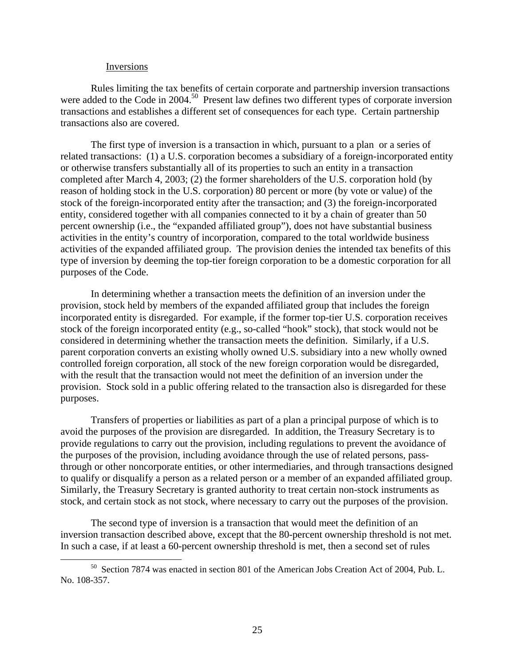#### Inversions

Rules limiting the tax benefits of certain corporate and partnership inversion transactions were added to the Code in 2004.<sup>50</sup> Present law defines two different types of corporate inversion transactions and establishes a different set of consequences for each type. Certain partnership transactions also are covered.

The first type of inversion is a transaction in which, pursuant to a plan or a series of related transactions: (1) a U.S. corporation becomes a subsidiary of a foreign-incorporated entity or otherwise transfers substantially all of its properties to such an entity in a transaction completed after March 4, 2003; (2) the former shareholders of the U.S. corporation hold (by reason of holding stock in the U.S. corporation) 80 percent or more (by vote or value) of the stock of the foreign-incorporated entity after the transaction; and (3) the foreign-incorporated entity, considered together with all companies connected to it by a chain of greater than 50 percent ownership (i.e., the "expanded affiliated group"), does not have substantial business activities in the entity's country of incorporation, compared to the total worldwide business activities of the expanded affiliated group. The provision denies the intended tax benefits of this type of inversion by deeming the top-tier foreign corporation to be a domestic corporation for all purposes of the Code.

In determining whether a transaction meets the definition of an inversion under the provision, stock held by members of the expanded affiliated group that includes the foreign incorporated entity is disregarded. For example, if the former top-tier U.S. corporation receives stock of the foreign incorporated entity (e.g., so-called "hook" stock), that stock would not be considered in determining whether the transaction meets the definition. Similarly, if a U.S. parent corporation converts an existing wholly owned U.S. subsidiary into a new wholly owned controlled foreign corporation, all stock of the new foreign corporation would be disregarded, with the result that the transaction would not meet the definition of an inversion under the provision. Stock sold in a public offering related to the transaction also is disregarded for these purposes.

Transfers of properties or liabilities as part of a plan a principal purpose of which is to avoid the purposes of the provision are disregarded. In addition, the Treasury Secretary is to provide regulations to carry out the provision, including regulations to prevent the avoidance of the purposes of the provision, including avoidance through the use of related persons, passthrough or other noncorporate entities, or other intermediaries, and through transactions designed to qualify or disqualify a person as a related person or a member of an expanded affiliated group. Similarly, the Treasury Secretary is granted authority to treat certain non-stock instruments as stock, and certain stock as not stock, where necessary to carry out the purposes of the provision.

The second type of inversion is a transaction that would meet the definition of an inversion transaction described above, except that the 80-percent ownership threshold is not met. In such a case, if at least a 60-percent ownership threshold is met, then a second set of rules

 <sup>50</sup> Section 7874 was enacted in section 801 of the American Jobs Creation Act of 2004, Pub. L. No. 108-357.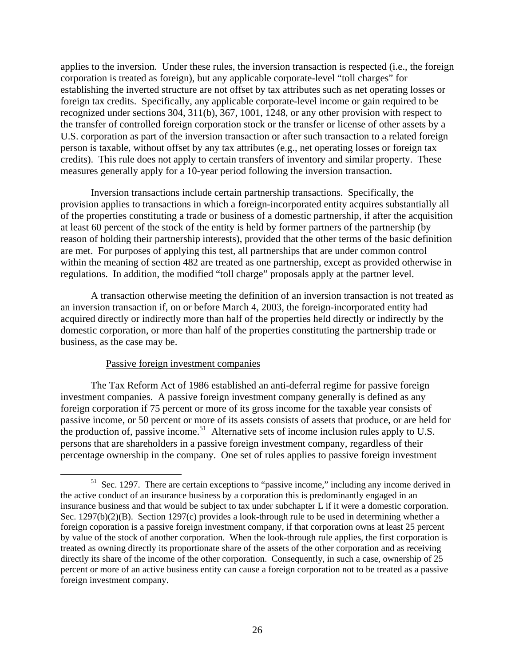applies to the inversion. Under these rules, the inversion transaction is respected (i.e., the foreign corporation is treated as foreign), but any applicable corporate-level "toll charges" for establishing the inverted structure are not offset by tax attributes such as net operating losses or foreign tax credits. Specifically, any applicable corporate-level income or gain required to be recognized under sections 304, 311(b), 367, 1001, 1248, or any other provision with respect to the transfer of controlled foreign corporation stock or the transfer or license of other assets by a U.S. corporation as part of the inversion transaction or after such transaction to a related foreign person is taxable, without offset by any tax attributes (e.g., net operating losses or foreign tax credits). This rule does not apply to certain transfers of inventory and similar property. These measures generally apply for a 10-year period following the inversion transaction.

Inversion transactions include certain partnership transactions. Specifically, the provision applies to transactions in which a foreign-incorporated entity acquires substantially all of the properties constituting a trade or business of a domestic partnership, if after the acquisition at least 60 percent of the stock of the entity is held by former partners of the partnership (by reason of holding their partnership interests), provided that the other terms of the basic definition are met. For purposes of applying this test, all partnerships that are under common control within the meaning of section 482 are treated as one partnership, except as provided otherwise in regulations. In addition, the modified "toll charge" proposals apply at the partner level.

A transaction otherwise meeting the definition of an inversion transaction is not treated as an inversion transaction if, on or before March 4, 2003, the foreign-incorporated entity had acquired directly or indirectly more than half of the properties held directly or indirectly by the domestic corporation, or more than half of the properties constituting the partnership trade or business, as the case may be.

#### Passive foreign investment companies

The Tax Reform Act of 1986 established an anti-deferral regime for passive foreign investment companies. A passive foreign investment company generally is defined as any foreign corporation if 75 percent or more of its gross income for the taxable year consists of passive income, or 50 percent or more of its assets consists of assets that produce, or are held for the production of, passive income.<sup>51</sup> Alternative sets of income inclusion rules apply to U.S. persons that are shareholders in a passive foreign investment company, regardless of their percentage ownership in the company. One set of rules applies to passive foreign investment

<sup>&</sup>lt;sup>51</sup> Sec. 1297. There are certain exceptions to "passive income," including any income derived in the active conduct of an insurance business by a corporation this is predominantly engaged in an insurance business and that would be subject to tax under subchapter L if it were a domestic corporation. Sec. 1297(b)(2)(B). Section 1297(c) provides a look-through rule to be used in determining whether a foreign coporation is a passive foreign investment company, if that corporation owns at least 25 percent by value of the stock of another corporation. When the look-through rule applies, the first corporation is treated as owning directly its proportionate share of the assets of the other corporation and as receiving directly its share of the income of the other corporation. Consequently, in such a case, ownership of 25 percent or more of an active business entity can cause a foreign corporation not to be treated as a passive foreign investment company.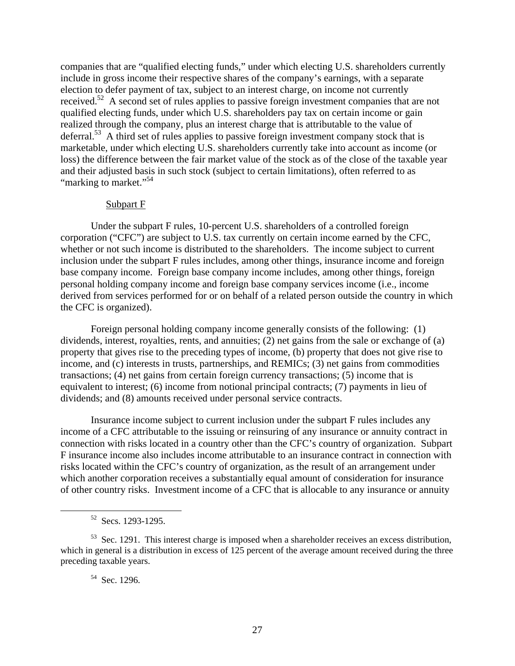companies that are "qualified electing funds," under which electing U.S. shareholders currently include in gross income their respective shares of the company's earnings, with a separate election to defer payment of tax, subject to an interest charge, on income not currently received.<sup>52</sup> A second set of rules applies to passive foreign investment companies that are not qualified electing funds, under which U.S. shareholders pay tax on certain income or gain realized through the company, plus an interest charge that is attributable to the value of deferral.<sup>53</sup> A third set of rules applies to passive foreign investment company stock that is marketable, under which electing U.S. shareholders currently take into account as income (or loss) the difference between the fair market value of the stock as of the close of the taxable year and their adjusted basis in such stock (subject to certain limitations), often referred to as "marking to market."<sup>54</sup>

#### Subpart F

Under the subpart F rules, 10-percent U.S. shareholders of a controlled foreign corporation ("CFC") are subject to U.S. tax currently on certain income earned by the CFC, whether or not such income is distributed to the shareholders. The income subject to current inclusion under the subpart F rules includes, among other things, insurance income and foreign base company income. Foreign base company income includes, among other things, foreign personal holding company income and foreign base company services income (i.e., income derived from services performed for or on behalf of a related person outside the country in which the CFC is organized).

Foreign personal holding company income generally consists of the following: (1) dividends, interest, royalties, rents, and annuities; (2) net gains from the sale or exchange of (a) property that gives rise to the preceding types of income, (b) property that does not give rise to income, and (c) interests in trusts, partnerships, and REMICs; (3) net gains from commodities transactions; (4) net gains from certain foreign currency transactions; (5) income that is equivalent to interest; (6) income from notional principal contracts; (7) payments in lieu of dividends; and (8) amounts received under personal service contracts.

Insurance income subject to current inclusion under the subpart F rules includes any income of a CFC attributable to the issuing or reinsuring of any insurance or annuity contract in connection with risks located in a country other than the CFC's country of organization. Subpart F insurance income also includes income attributable to an insurance contract in connection with risks located within the CFC's country of organization, as the result of an arrangement under which another corporation receives a substantially equal amount of consideration for insurance of other country risks. Investment income of a CFC that is allocable to any insurance or annuity

# 54 Sec. 1296.

 <sup>52</sup> Secs. 1293-1295.

 $53$  Sec. 1291. This interest charge is imposed when a shareholder receives an excess distribution, which in general is a distribution in excess of 125 percent of the average amount received during the three preceding taxable years.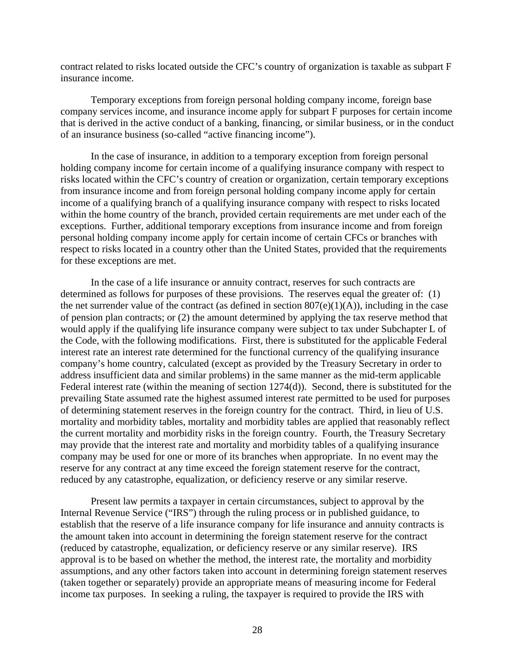contract related to risks located outside the CFC's country of organization is taxable as subpart F insurance income.

Temporary exceptions from foreign personal holding company income, foreign base company services income, and insurance income apply for subpart F purposes for certain income that is derived in the active conduct of a banking, financing, or similar business, or in the conduct of an insurance business (so-called "active financing income").

In the case of insurance, in addition to a temporary exception from foreign personal holding company income for certain income of a qualifying insurance company with respect to risks located within the CFC's country of creation or organization, certain temporary exceptions from insurance income and from foreign personal holding company income apply for certain income of a qualifying branch of a qualifying insurance company with respect to risks located within the home country of the branch, provided certain requirements are met under each of the exceptions. Further, additional temporary exceptions from insurance income and from foreign personal holding company income apply for certain income of certain CFCs or branches with respect to risks located in a country other than the United States, provided that the requirements for these exceptions are met.

In the case of a life insurance or annuity contract, reserves for such contracts are determined as follows for purposes of these provisions. The reserves equal the greater of: (1) the net surrender value of the contract (as defined in section  $807(e)(1)(A)$ ), including in the case of pension plan contracts; or (2) the amount determined by applying the tax reserve method that would apply if the qualifying life insurance company were subject to tax under Subchapter L of the Code, with the following modifications. First, there is substituted for the applicable Federal interest rate an interest rate determined for the functional currency of the qualifying insurance company's home country, calculated (except as provided by the Treasury Secretary in order to address insufficient data and similar problems) in the same manner as the mid-term applicable Federal interest rate (within the meaning of section 1274(d)). Second, there is substituted for the prevailing State assumed rate the highest assumed interest rate permitted to be used for purposes of determining statement reserves in the foreign country for the contract. Third, in lieu of U.S. mortality and morbidity tables, mortality and morbidity tables are applied that reasonably reflect the current mortality and morbidity risks in the foreign country. Fourth, the Treasury Secretary may provide that the interest rate and mortality and morbidity tables of a qualifying insurance company may be used for one or more of its branches when appropriate. In no event may the reserve for any contract at any time exceed the foreign statement reserve for the contract, reduced by any catastrophe, equalization, or deficiency reserve or any similar reserve.

Present law permits a taxpayer in certain circumstances, subject to approval by the Internal Revenue Service ("IRS") through the ruling process or in published guidance, to establish that the reserve of a life insurance company for life insurance and annuity contracts is the amount taken into account in determining the foreign statement reserve for the contract (reduced by catastrophe, equalization, or deficiency reserve or any similar reserve). IRS approval is to be based on whether the method, the interest rate, the mortality and morbidity assumptions, and any other factors taken into account in determining foreign statement reserves (taken together or separately) provide an appropriate means of measuring income for Federal income tax purposes. In seeking a ruling, the taxpayer is required to provide the IRS with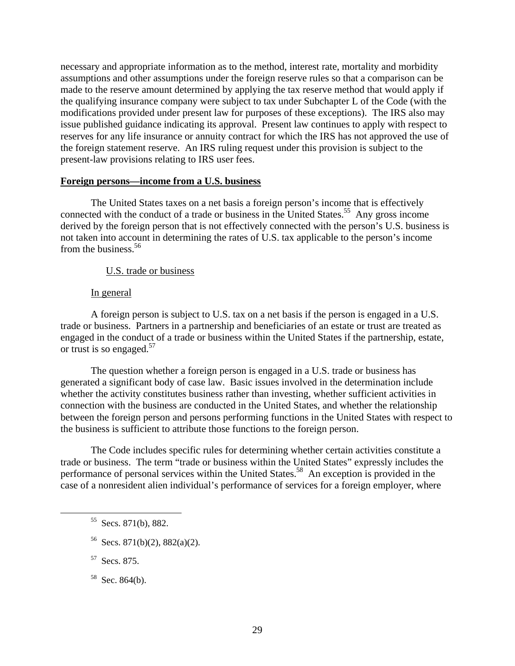necessary and appropriate information as to the method, interest rate, mortality and morbidity assumptions and other assumptions under the foreign reserve rules so that a comparison can be made to the reserve amount determined by applying the tax reserve method that would apply if the qualifying insurance company were subject to tax under Subchapter L of the Code (with the modifications provided under present law for purposes of these exceptions). The IRS also may issue published guidance indicating its approval. Present law continues to apply with respect to reserves for any life insurance or annuity contract for which the IRS has not approved the use of the foreign statement reserve. An IRS ruling request under this provision is subject to the present-law provisions relating to IRS user fees.

# **Foreign persons—income from a U.S. business**

The United States taxes on a net basis a foreign person's income that is effectively connected with the conduct of a trade or business in the United States.<sup>55</sup> Any gross income derived by the foreign person that is not effectively connected with the person's U.S. business is not taken into account in determining the rates of U.S. tax applicable to the person's income from the business.  $56$ 

#### U.S. trade or business

#### In general

A foreign person is subject to U.S. tax on a net basis if the person is engaged in a U.S. trade or business. Partners in a partnership and beneficiaries of an estate or trust are treated as engaged in the conduct of a trade or business within the United States if the partnership, estate, or trust is so engaged.<sup>57</sup>

The question whether a foreign person is engaged in a U.S. trade or business has generated a significant body of case law. Basic issues involved in the determination include whether the activity constitutes business rather than investing, whether sufficient activities in connection with the business are conducted in the United States, and whether the relationship between the foreign person and persons performing functions in the United States with respect to the business is sufficient to attribute those functions to the foreign person.

The Code includes specific rules for determining whether certain activities constitute a trade or business. The term "trade or business within the United States" expressly includes the performance of personal services within the United States.<sup>58</sup> An exception is provided in the case of a nonresident alien individual's performance of services for a foreign employer, where

56 Secs. 871(b)(2), 882(a)(2).

57 Secs. 875.

58 Sec. 864(b).

 $55$  Secs. 871(b), 882.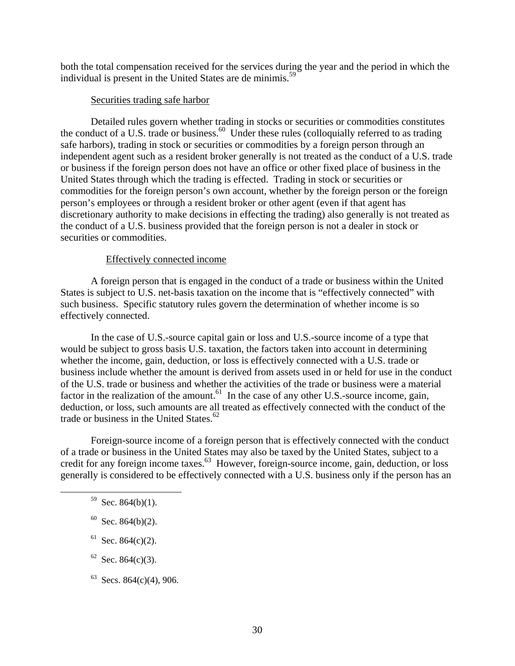both the total compensation received for the services during the year and the period in which the individual is present in the United States are de minimis.<sup>59</sup>

#### Securities trading safe harbor

Detailed rules govern whether trading in stocks or securities or commodities constitutes the conduct of a U.S. trade or business.<sup>60</sup> Under these rules (colloquially referred to as trading safe harbors), trading in stock or securities or commodities by a foreign person through an independent agent such as a resident broker generally is not treated as the conduct of a U.S. trade or business if the foreign person does not have an office or other fixed place of business in the United States through which the trading is effected. Trading in stock or securities or commodities for the foreign person's own account, whether by the foreign person or the foreign person's employees or through a resident broker or other agent (even if that agent has discretionary authority to make decisions in effecting the trading) also generally is not treated as the conduct of a U.S. business provided that the foreign person is not a dealer in stock or securities or commodities.

#### Effectively connected income

A foreign person that is engaged in the conduct of a trade or business within the United States is subject to U.S. net-basis taxation on the income that is "effectively connected" with such business. Specific statutory rules govern the determination of whether income is so effectively connected.

In the case of U.S.-source capital gain or loss and U.S.-source income of a type that would be subject to gross basis U.S. taxation, the factors taken into account in determining whether the income, gain, deduction, or loss is effectively connected with a U.S. trade or business include whether the amount is derived from assets used in or held for use in the conduct of the U.S. trade or business and whether the activities of the trade or business were a material factor in the realization of the amount.<sup>61</sup> In the case of any other U.S.-source income, gain, deduction, or loss, such amounts are all treated as effectively connected with the conduct of the trade or business in the United States.<sup>62</sup>

Foreign-source income of a foreign person that is effectively connected with the conduct of a trade or business in the United States may also be taxed by the United States, subject to a credit for any foreign income taxes.<sup>63</sup> However, foreign-source income, gain, deduction, or loss generally is considered to be effectively connected with a U.S. business only if the person has an

- $60$  Sec. 864(b)(2).
- $61$  Sec. 864(c)(2).
- $62$  Sec. 864(c)(3).
- $63$  Secs. 864(c)(4), 906.

 $59$  Sec. 864(b)(1).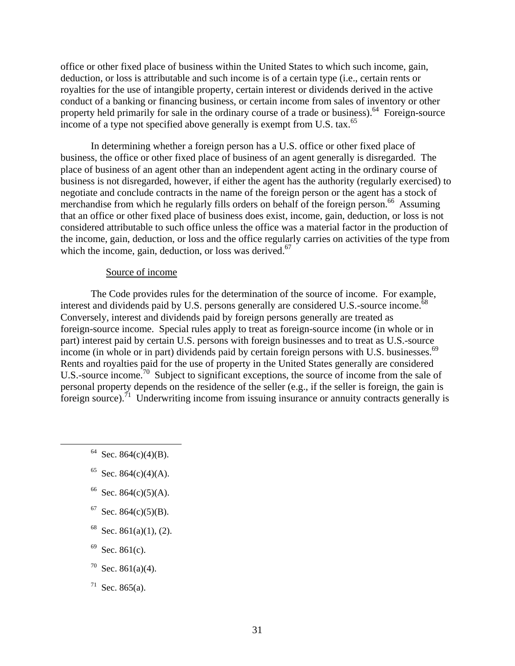office or other fixed place of business within the United States to which such income, gain, deduction, or loss is attributable and such income is of a certain type (i.e., certain rents or royalties for the use of intangible property, certain interest or dividends derived in the active conduct of a banking or financing business, or certain income from sales of inventory or other property held primarily for sale in the ordinary course of a trade or business).<sup>64</sup> Foreign-source income of a type not specified above generally is exempt from U.S. tax.<sup>65</sup>

In determining whether a foreign person has a U.S. office or other fixed place of business, the office or other fixed place of business of an agent generally is disregarded. The place of business of an agent other than an independent agent acting in the ordinary course of business is not disregarded, however, if either the agent has the authority (regularly exercised) to negotiate and conclude contracts in the name of the foreign person or the agent has a stock of merchandise from which he regularly fills orders on behalf of the foreign person.<sup>66</sup> Assuming that an office or other fixed place of business does exist, income, gain, deduction, or loss is not considered attributable to such office unless the office was a material factor in the production of the income, gain, deduction, or loss and the office regularly carries on activities of the type from which the income, gain, deduction, or loss was derived. $67$ 

#### Source of income

The Code provides rules for the determination of the source of income. For example, interest and dividends paid by U.S. persons generally are considered U.S.-source income.<sup>68</sup> Conversely, interest and dividends paid by foreign persons generally are treated as foreign-source income. Special rules apply to treat as foreign-source income (in whole or in part) interest paid by certain U.S. persons with foreign businesses and to treat as U.S.-source income (in whole or in part) dividends paid by certain foreign persons with U.S. businesses.<sup>69</sup> Rents and royalties paid for the use of property in the United States generally are considered U.S.-source income.<sup>70</sup> Subject to significant exceptions, the source of income from the sale of personal property depends on the residence of the seller (e.g., if the seller is foreign, the gain is foreign source).<sup>71</sup> Underwriting income from issuing insurance or annuity contracts generally is

- $64$  Sec. 864(c)(4)(B).
- $65$  Sec. 864(c)(4)(A).
- $66$  Sec. 864(c)(5)(A).
- $67$  Sec. 864(c)(5)(B).
- $68$  Sec. 861(a)(1), (2).
- $69$  Sec. 861(c).
- $70$  Sec. 861(a)(4).
- $71$  Sec. 865(a).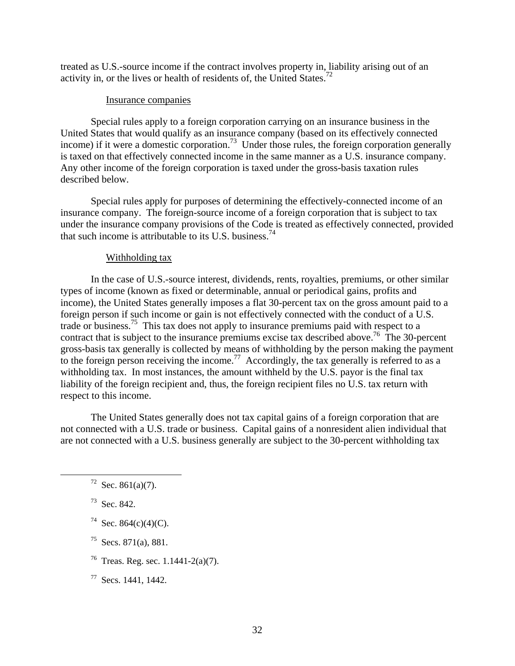treated as U.S.-source income if the contract involves property in, liability arising out of an activity in, or the lives or health of residents of, the United States.<sup>72</sup>

# Insurance companies

Special rules apply to a foreign corporation carrying on an insurance business in the United States that would qualify as an insurance company (based on its effectively connected income) if it were a domestic corporation.<sup>73</sup> Under those rules, the foreign corporation generally is taxed on that effectively connected income in the same manner as a U.S. insurance company. Any other income of the foreign corporation is taxed under the gross-basis taxation rules described below.

Special rules apply for purposes of determining the effectively-connected income of an insurance company. The foreign-source income of a foreign corporation that is subject to tax under the insurance company provisions of the Code is treated as effectively connected, provided that such income is attributable to its U.S. business.<sup>74</sup>

# Withholding tax

In the case of U.S.-source interest, dividends, rents, royalties, premiums, or other similar types of income (known as fixed or determinable, annual or periodical gains, profits and income), the United States generally imposes a flat 30-percent tax on the gross amount paid to a foreign person if such income or gain is not effectively connected with the conduct of a U.S. trade or business.<sup>75</sup> This tax does not apply to insurance premiums paid with respect to a contract that is subject to the insurance premiums excise tax described above.<sup>76</sup> The 30-percent gross-basis tax generally is collected by means of withholding by the person making the payment to the foreign person receiving the income.<sup>77</sup> Accordingly, the tax generally is referred to as a withholding tax. In most instances, the amount withheld by the U.S. payor is the final tax liability of the foreign recipient and, thus, the foreign recipient files no U.S. tax return with respect to this income.

The United States generally does not tax capital gains of a foreign corporation that are not connected with a U.S. trade or business. Capital gains of a nonresident alien individual that are not connected with a U.S. business generally are subject to the 30-percent withholding tax

- <sup>74</sup> Sec. 864(c)(4)(C).
- $75$  Secs. 871(a), 881.
- <sup>76</sup> Treas. Reg. sec.  $1.1441 2(a)(7)$ .
- 77 Secs. 1441, 1442.

 $72$  Sec. 861(a)(7).

<sup>73</sup> Sec. 842.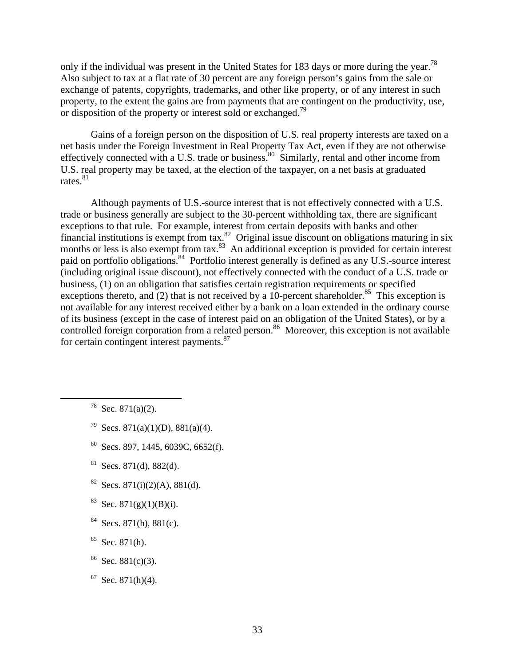only if the individual was present in the United States for 183 days or more during the year.<sup>78</sup> Also subject to tax at a flat rate of 30 percent are any foreign person's gains from the sale or exchange of patents, copyrights, trademarks, and other like property, or of any interest in such property, to the extent the gains are from payments that are contingent on the productivity, use, or disposition of the property or interest sold or exchanged.<sup>79</sup>

Gains of a foreign person on the disposition of U.S. real property interests are taxed on a net basis under the Foreign Investment in Real Property Tax Act, even if they are not otherwise effectively connected with a U.S. trade or business.<sup>80</sup> Similarly, rental and other income from U.S. real property may be taxed, at the election of the taxpayer, on a net basis at graduated rates.<sup>81</sup>

Although payments of U.S.-source interest that is not effectively connected with a U.S. trade or business generally are subject to the 30-percent withholding tax, there are significant exceptions to that rule. For example, interest from certain deposits with banks and other financial institutions is exempt from  $\text{tax}$ .<sup>82</sup> Original issue discount on obligations maturing in six months or less is also exempt from tax.<sup>83</sup> An additional exception is provided for certain interest paid on portfolio obligations.<sup>84</sup> Portfolio interest generally is defined as any U.S.-source interest (including original issue discount), not effectively connected with the conduct of a U.S. trade or business, (1) on an obligation that satisfies certain registration requirements or specified exceptions thereto, and  $(2)$  that is not received by a 10-percent shareholder.<sup>85</sup> This exception is not available for any interest received either by a bank on a loan extended in the ordinary course of its business (except in the case of interest paid on an obligation of the United States), or by a controlled foreign corporation from a related person.<sup>86</sup> Moreover, this exception is not available for certain contingent interest payments.<sup>87</sup>

- <sup>78</sup> Sec. 871(a)(2).
- <sup>79</sup> Secs. 871(a)(1)(D), 881(a)(4).
- 80 Secs. 897, 1445, 6039C, 6652(f).
- $81$  Secs. 871(d), 882(d).
- $82$  Secs. 871(i)(2)(A), 881(d).
- <sup>83</sup> Sec. 871(g)(1)(B)(i).
- $84$  Secs. 871(h), 881(c).
- $85$  Sec. 871(h).
- $86$  Sec.  $881(c)(3)$ .
- $87$  Sec.  $871(h)(4)$ .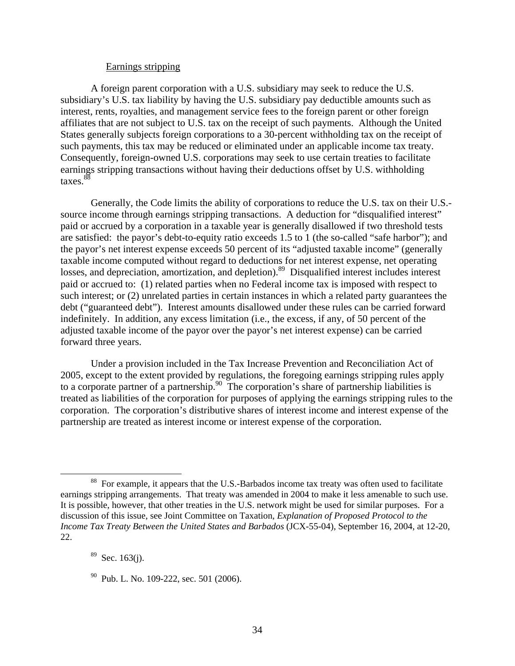#### Earnings stripping

A foreign parent corporation with a U.S. subsidiary may seek to reduce the U.S. subsidiary's U.S. tax liability by having the U.S. subsidiary pay deductible amounts such as interest, rents, royalties, and management service fees to the foreign parent or other foreign affiliates that are not subject to U.S. tax on the receipt of such payments. Although the United States generally subjects foreign corporations to a 30-percent withholding tax on the receipt of such payments, this tax may be reduced or eliminated under an applicable income tax treaty. Consequently, foreign-owned U.S. corporations may seek to use certain treaties to facilitate earnings stripping transactions without having their deductions offset by U.S. withholding taxes.<sup>88</sup>

Generally, the Code limits the ability of corporations to reduce the U.S. tax on their U.S. source income through earnings stripping transactions. A deduction for "disqualified interest" paid or accrued by a corporation in a taxable year is generally disallowed if two threshold tests are satisfied: the payor's debt-to-equity ratio exceeds 1.5 to 1 (the so-called "safe harbor"); and the payor's net interest expense exceeds 50 percent of its "adjusted taxable income" (generally taxable income computed without regard to deductions for net interest expense, net operating losses, and depreciation, amortization, and depletion).<sup>89</sup> Disqualified interest includes interest paid or accrued to: (1) related parties when no Federal income tax is imposed with respect to such interest; or (2) unrelated parties in certain instances in which a related party guarantees the debt ("guaranteed debt"). Interest amounts disallowed under these rules can be carried forward indefinitely. In addition, any excess limitation (i.e., the excess, if any, of 50 percent of the adjusted taxable income of the payor over the payor's net interest expense) can be carried forward three years.

Under a provision included in the Tax Increase Prevention and Reconciliation Act of 2005, except to the extent provided by regulations, the foregoing earnings stripping rules apply to a corporate partner of a partnership.<sup>90</sup> The corporation's share of partnership liabilities is treated as liabilities of the corporation for purposes of applying the earnings stripping rules to the corporation. The corporation's distributive shares of interest income and interest expense of the partnership are treated as interest income or interest expense of the corporation.

<sup>&</sup>lt;sup>88</sup> For example, it appears that the U.S.-Barbados income tax treaty was often used to facilitate earnings stripping arrangements. That treaty was amended in 2004 to make it less amenable to such use. It is possible, however, that other treaties in the U.S. network might be used for similar purposes. For a discussion of this issue, see Joint Committee on Taxation, *Explanation of Proposed Protocol to the Income Tax Treaty Between the United States and Barbados* (JCX-55-04), September 16, 2004, at 12-20, 22.

 $89$  Sec. 163(j).

 $90$  Pub. L. No. 109-222, sec. 501 (2006).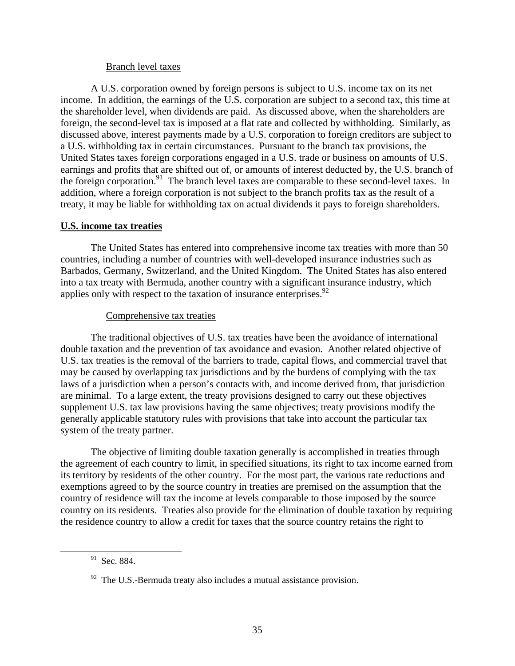## Branch level taxes

A U.S. corporation owned by foreign persons is subject to U.S. income tax on its net income. In addition, the earnings of the U.S. corporation are subject to a second tax, this time at the shareholder level, when dividends are paid. As discussed above, when the shareholders are foreign, the second-level tax is imposed at a flat rate and collected by withholding. Similarly, as discussed above, interest payments made by a U.S. corporation to foreign creditors are subject to a U.S. withholding tax in certain circumstances. Pursuant to the branch tax provisions, the United States taxes foreign corporations engaged in a U.S. trade or business on amounts of U.S. earnings and profits that are shifted out of, or amounts of interest deducted by, the U.S. branch of the foreign corporation.<sup>91</sup> The branch level taxes are comparable to these second-level taxes. In addition, where a foreign corporation is not subject to the branch profits tax as the result of a treaty, it may be liable for withholding tax on actual dividends it pays to foreign shareholders.

# **U.S. income tax treaties**

The United States has entered into comprehensive income tax treaties with more than 50 countries, including a number of countries with well-developed insurance industries such as Barbados, Germany, Switzerland, and the United Kingdom. The United States has also entered into a tax treaty with Bermuda, another country with a significant insurance industry, which applies only with respect to the taxation of insurance enterprises.<sup>92</sup>

# Comprehensive tax treaties

The traditional objectives of U.S. tax treaties have been the avoidance of international double taxation and the prevention of tax avoidance and evasion. Another related objective of U.S. tax treaties is the removal of the barriers to trade, capital flows, and commercial travel that may be caused by overlapping tax jurisdictions and by the burdens of complying with the tax laws of a jurisdiction when a person's contacts with, and income derived from, that jurisdiction are minimal. To a large extent, the treaty provisions designed to carry out these objectives supplement U.S. tax law provisions having the same objectives; treaty provisions modify the generally applicable statutory rules with provisions that take into account the particular tax system of the treaty partner.

The objective of limiting double taxation generally is accomplished in treaties through the agreement of each country to limit, in specified situations, its right to tax income earned from its territory by residents of the other country. For the most part, the various rate reductions and exemptions agreed to by the source country in treaties are premised on the assumption that the country of residence will tax the income at levels comparable to those imposed by the source country on its residents. Treaties also provide for the elimination of double taxation by requiring the residence country to allow a credit for taxes that the source country retains the right to

<sup>&</sup>lt;sup>91</sup> Sec. 884.

 $92$  The U.S.-Bermuda treaty also includes a mutual assistance provision.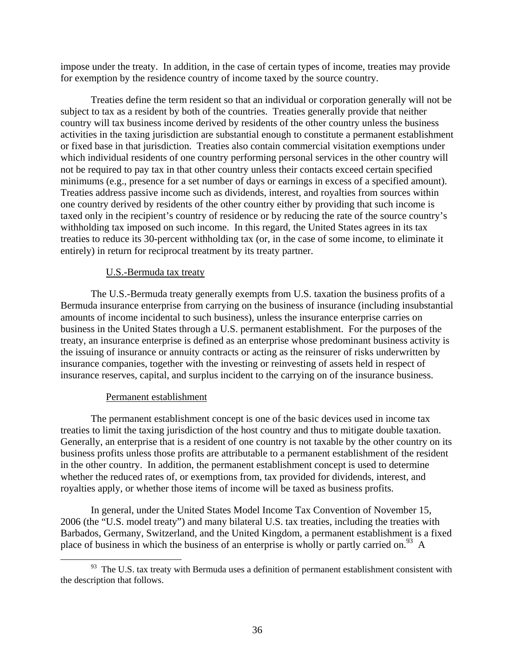impose under the treaty. In addition, in the case of certain types of income, treaties may provide for exemption by the residence country of income taxed by the source country.

Treaties define the term resident so that an individual or corporation generally will not be subject to tax as a resident by both of the countries. Treaties generally provide that neither country will tax business income derived by residents of the other country unless the business activities in the taxing jurisdiction are substantial enough to constitute a permanent establishment or fixed base in that jurisdiction. Treaties also contain commercial visitation exemptions under which individual residents of one country performing personal services in the other country will not be required to pay tax in that other country unless their contacts exceed certain specified minimums (e.g., presence for a set number of days or earnings in excess of a specified amount). Treaties address passive income such as dividends, interest, and royalties from sources within one country derived by residents of the other country either by providing that such income is taxed only in the recipient's country of residence or by reducing the rate of the source country's withholding tax imposed on such income. In this regard, the United States agrees in its tax treaties to reduce its 30-percent withholding tax (or, in the case of some income, to eliminate it entirely) in return for reciprocal treatment by its treaty partner.

# U.S.-Bermuda tax treaty

The U.S.-Bermuda treaty generally exempts from U.S. taxation the business profits of a Bermuda insurance enterprise from carrying on the business of insurance (including insubstantial amounts of income incidental to such business), unless the insurance enterprise carries on business in the United States through a U.S. permanent establishment. For the purposes of the treaty, an insurance enterprise is defined as an enterprise whose predominant business activity is the issuing of insurance or annuity contracts or acting as the reinsurer of risks underwritten by insurance companies, together with the investing or reinvesting of assets held in respect of insurance reserves, capital, and surplus incident to the carrying on of the insurance business.

# Permanent establishment

The permanent establishment concept is one of the basic devices used in income tax treaties to limit the taxing jurisdiction of the host country and thus to mitigate double taxation. Generally, an enterprise that is a resident of one country is not taxable by the other country on its business profits unless those profits are attributable to a permanent establishment of the resident in the other country. In addition, the permanent establishment concept is used to determine whether the reduced rates of, or exemptions from, tax provided for dividends, interest, and royalties apply, or whether those items of income will be taxed as business profits.

In general, under the United States Model Income Tax Convention of November 15, 2006 (the "U.S. model treaty") and many bilateral U.S. tax treaties, including the treaties with Barbados, Germany, Switzerland, and the United Kingdom, a permanent establishment is a fixed place of business in which the business of an enterprise is wholly or partly carried on.<sup>93</sup> A

<sup>&</sup>lt;sup>93</sup> The U.S. tax treaty with Bermuda uses a definition of permanent establishment consistent with the description that follows.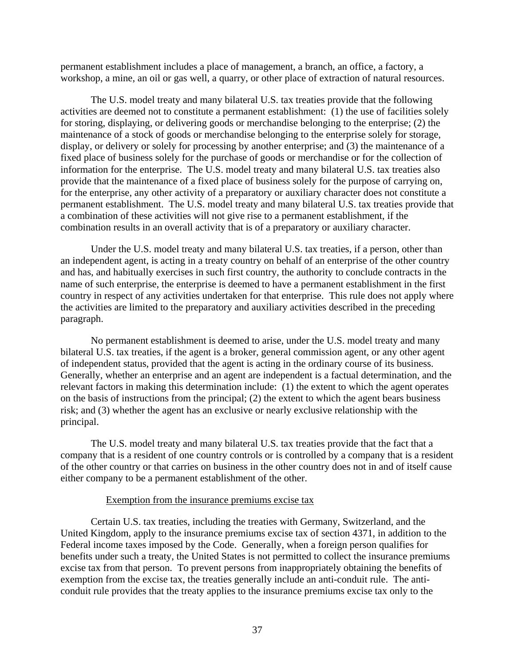permanent establishment includes a place of management, a branch, an office, a factory, a workshop, a mine, an oil or gas well, a quarry, or other place of extraction of natural resources.

The U.S. model treaty and many bilateral U.S. tax treaties provide that the following activities are deemed not to constitute a permanent establishment: (1) the use of facilities solely for storing, displaying, or delivering goods or merchandise belonging to the enterprise; (2) the maintenance of a stock of goods or merchandise belonging to the enterprise solely for storage, display, or delivery or solely for processing by another enterprise; and (3) the maintenance of a fixed place of business solely for the purchase of goods or merchandise or for the collection of information for the enterprise. The U.S. model treaty and many bilateral U.S. tax treaties also provide that the maintenance of a fixed place of business solely for the purpose of carrying on, for the enterprise, any other activity of a preparatory or auxiliary character does not constitute a permanent establishment. The U.S. model treaty and many bilateral U.S. tax treaties provide that a combination of these activities will not give rise to a permanent establishment, if the combination results in an overall activity that is of a preparatory or auxiliary character.

Under the U.S. model treaty and many bilateral U.S. tax treaties, if a person, other than an independent agent, is acting in a treaty country on behalf of an enterprise of the other country and has, and habitually exercises in such first country, the authority to conclude contracts in the name of such enterprise, the enterprise is deemed to have a permanent establishment in the first country in respect of any activities undertaken for that enterprise. This rule does not apply where the activities are limited to the preparatory and auxiliary activities described in the preceding paragraph.

No permanent establishment is deemed to arise, under the U.S. model treaty and many bilateral U.S. tax treaties, if the agent is a broker, general commission agent, or any other agent of independent status, provided that the agent is acting in the ordinary course of its business. Generally, whether an enterprise and an agent are independent is a factual determination, and the relevant factors in making this determination include: (1) the extent to which the agent operates on the basis of instructions from the principal; (2) the extent to which the agent bears business risk; and (3) whether the agent has an exclusive or nearly exclusive relationship with the principal.

The U.S. model treaty and many bilateral U.S. tax treaties provide that the fact that a company that is a resident of one country controls or is controlled by a company that is a resident of the other country or that carries on business in the other country does not in and of itself cause either company to be a permanent establishment of the other.

### Exemption from the insurance premiums excise tax

Certain U.S. tax treaties, including the treaties with Germany, Switzerland, and the United Kingdom, apply to the insurance premiums excise tax of section 4371, in addition to the Federal income taxes imposed by the Code. Generally, when a foreign person qualifies for benefits under such a treaty, the United States is not permitted to collect the insurance premiums excise tax from that person. To prevent persons from inappropriately obtaining the benefits of exemption from the excise tax, the treaties generally include an anti-conduit rule. The anticonduit rule provides that the treaty applies to the insurance premiums excise tax only to the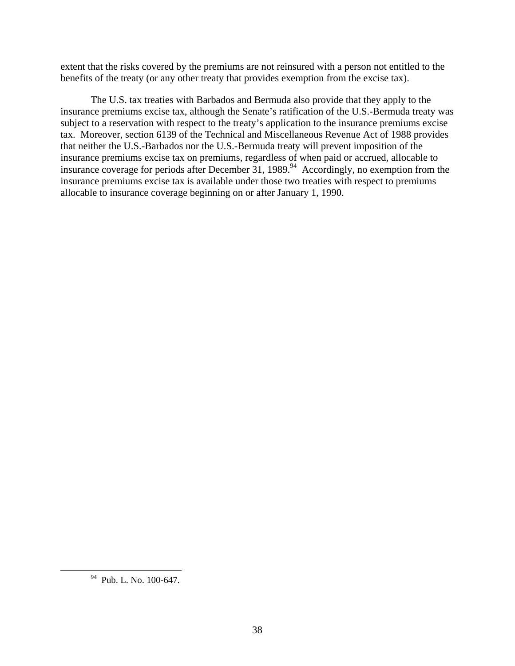extent that the risks covered by the premiums are not reinsured with a person not entitled to the benefits of the treaty (or any other treaty that provides exemption from the excise tax).

The U.S. tax treaties with Barbados and Bermuda also provide that they apply to the insurance premiums excise tax, although the Senate's ratification of the U.S.-Bermuda treaty was subject to a reservation with respect to the treaty's application to the insurance premiums excise tax. Moreover, section 6139 of the Technical and Miscellaneous Revenue Act of 1988 provides that neither the U.S.-Barbados nor the U.S.-Bermuda treaty will prevent imposition of the insurance premiums excise tax on premiums, regardless of when paid or accrued, allocable to insurance coverage for periods after December 31, 1989.<sup>94</sup> Accordingly, no exemption from the insurance premiums excise tax is available under those two treaties with respect to premiums allocable to insurance coverage beginning on or after January 1, 1990.

<sup>&</sup>lt;sup>94</sup> Pub. L. No. 100-647.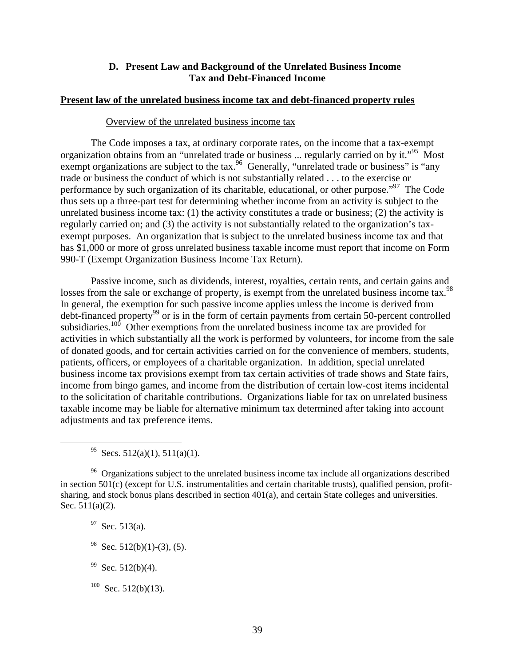# **D. Present Law and Background of the Unrelated Business Income Tax and Debt-Financed Income**

## **Present law of the unrelated business income tax and debt-financed property rules**

## Overview of the unrelated business income tax

The Code imposes a tax, at ordinary corporate rates, on the income that a tax-exempt organization obtains from an "unrelated trade or business ... regularly carried on by it."95 Most exempt organizations are subject to the tax.<sup>96</sup> Generally, "unrelated trade or business" is "any trade or business the conduct of which is not substantially related . . . to the exercise or performance by such organization of its charitable, educational, or other purpose."<sup>97</sup> The Code thus sets up a three-part test for determining whether income from an activity is subject to the unrelated business income tax: (1) the activity constitutes a trade or business; (2) the activity is regularly carried on; and (3) the activity is not substantially related to the organization's taxexempt purposes. An organization that is subject to the unrelated business income tax and that has \$1,000 or more of gross unrelated business taxable income must report that income on Form 990-T (Exempt Organization Business Income Tax Return).

Passive income, such as dividends, interest, royalties, certain rents, and certain gains and losses from the sale or exchange of property, is exempt from the unrelated business income tax.<sup>98</sup> In general, the exemption for such passive income applies unless the income is derived from debt-financed property<sup>99</sup> or is in the form of certain payments from certain 50-percent controlled subsidiaries.<sup>100</sup> Other exemptions from the unrelated business income tax are provided for activities in which substantially all the work is performed by volunteers, for income from the sale of donated goods, and for certain activities carried on for the convenience of members, students, patients, officers, or employees of a charitable organization. In addition, special unrelated business income tax provisions exempt from tax certain activities of trade shows and State fairs, income from bingo games, and income from the distribution of certain low-cost items incidental to the solicitation of charitable contributions. Organizations liable for tax on unrelated business taxable income may be liable for alternative minimum tax determined after taking into account adjustments and tax preference items.

<sup>96</sup> Organizations subject to the unrelated business income tax include all organizations described in section  $501(c)$  (except for U.S. instrumentalities and certain charitable trusts), qualified pension, profitsharing, and stock bonus plans described in section 401(a), and certain State colleges and universities. Sec. 511(a)(2).

 $97$  Sec. 513(a).

 $98$  Sec. 512(b)(1)-(3), (5).

 $99$  Sec. 512(b)(4).

 $100$  Sec. 512(b)(13).

<sup>&</sup>lt;sup>95</sup> Secs. 512(a)(1), 511(a)(1).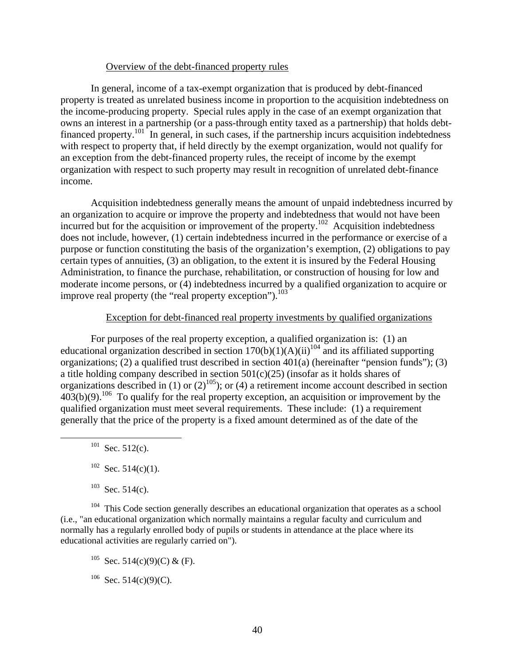## Overview of the debt-financed property rules

In general, income of a tax-exempt organization that is produced by debt-financed property is treated as unrelated business income in proportion to the acquisition indebtedness on the income-producing property. Special rules apply in the case of an exempt organization that owns an interest in a partnership (or a pass-through entity taxed as a partnership) that holds debtfinanced property.<sup>101</sup> In general, in such cases, if the partnership incurs acquisition indebtedness with respect to property that, if held directly by the exempt organization, would not qualify for an exception from the debt-financed property rules, the receipt of income by the exempt organization with respect to such property may result in recognition of unrelated debt-finance income.

Acquisition indebtedness generally means the amount of unpaid indebtedness incurred by an organization to acquire or improve the property and indebtedness that would not have been incurred but for the acquisition or improvement of the property.<sup>102</sup> Acquisition indebtedness does not include, however, (1) certain indebtedness incurred in the performance or exercise of a purpose or function constituting the basis of the organization's exemption, (2) obligations to pay certain types of annuities, (3) an obligation, to the extent it is insured by the Federal Housing Administration, to finance the purchase, rehabilitation, or construction of housing for low and moderate income persons, or (4) indebtedness incurred by a qualified organization to acquire or improve real property (the "real property exception"). $^{103}$ 

### Exception for debt-financed real property investments by qualified organizations

For purposes of the real property exception, a qualified organization is: (1) an educational organization described in section  $170(b)(1)(A)(ii)^{104}$  and its affiliated supporting organizations; (2) a qualified trust described in section 401(a) (hereinafter "pension funds"); (3) a title holding company described in section 501(c)(25) (insofar as it holds shares of organizations described in (1) or (2)<sup>105</sup>); or (4) a retirement income account described in section  $403(b)(9)$ .<sup>106</sup> To qualify for the real property exception, an acquisition or improvement by the qualified organization must meet several requirements. These include: (1) a requirement generally that the price of the property is a fixed amount determined as of the date of the

- $101$  Sec. 512(c).
- $102$  Sec. 514(c)(1).
- $103$  Sec. 514(c).

 $104$  This Code section generally describes an educational organization that operates as a school (i.e., "an educational organization which normally maintains a regular faculty and curriculum and normally has a regularly enrolled body of pupils or students in attendance at the place where its educational activities are regularly carried on").

- <sup>105</sup> Sec. 514(c)(9)(C) & (F).
- $106$  Sec. 514(c)(9)(C).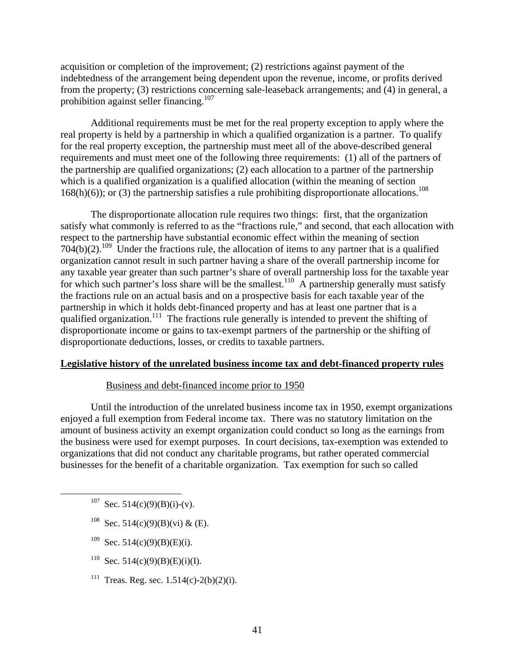acquisition or completion of the improvement; (2) restrictions against payment of the indebtedness of the arrangement being dependent upon the revenue, income, or profits derived from the property; (3) restrictions concerning sale-leaseback arrangements; and (4) in general, a prohibition against seller financing.<sup>107</sup>

Additional requirements must be met for the real property exception to apply where the real property is held by a partnership in which a qualified organization is a partner. To qualify for the real property exception, the partnership must meet all of the above-described general requirements and must meet one of the following three requirements: (1) all of the partners of the partnership are qualified organizations; (2) each allocation to a partner of the partnership which is a qualified organization is a qualified allocation (within the meaning of section  $168(h)(6)$ ; or (3) the partnership satisfies a rule prohibiting disproportionate allocations.<sup>108</sup>

The disproportionate allocation rule requires two things: first, that the organization satisfy what commonly is referred to as the "fractions rule," and second, that each allocation with respect to the partnership have substantial economic effect within the meaning of section  $704(b)(2)$ .<sup>109</sup> Under the fractions rule, the allocation of items to any partner that is a qualified organization cannot result in such partner having a share of the overall partnership income for any taxable year greater than such partner's share of overall partnership loss for the taxable year for which such partner's loss share will be the smallest.<sup>110</sup> A partnership generally must satisfy the fractions rule on an actual basis and on a prospective basis for each taxable year of the partnership in which it holds debt-financed property and has at least one partner that is a qualified organization.<sup>111</sup> The fractions rule generally is intended to prevent the shifting of disproportionate income or gains to tax-exempt partners of the partnership or the shifting of disproportionate deductions, losses, or credits to taxable partners.

### **Legislative history of the unrelated business income tax and debt-financed property rules**

## Business and debt-financed income prior to 1950

Until the introduction of the unrelated business income tax in 1950, exempt organizations enjoyed a full exemption from Federal income tax. There was no statutory limitation on the amount of business activity an exempt organization could conduct so long as the earnings from the business were used for exempt purposes. In court decisions, tax-exemption was extended to organizations that did not conduct any charitable programs, but rather operated commercial businesses for the benefit of a charitable organization. Tax exemption for such so called

<sup>107</sup> Sec. 514(c)(9)(B)(i)-(v).

- <sup>108</sup> Sec. 514(c)(9)(B)(vi) & (E).
- <sup>109</sup> Sec. 514(c)(9)(B)(E)(i).
- <sup>110</sup> Sec. 514(c)(9)(B)(E)(i)(I).
- <sup>111</sup> Treas. Reg. sec. 1.514(c)-2(b)(2)(i).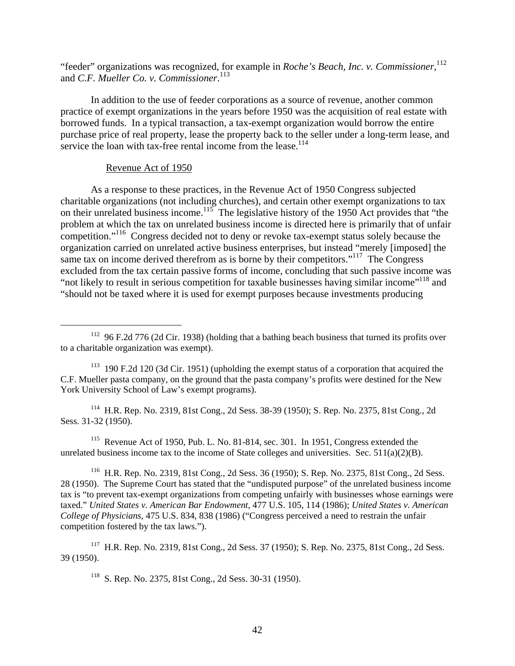"feeder" organizations was recognized, for example in *Roche's Beach, Inc. v. Commissioner*, 112 and *C.F. Mueller Co. v. Commissioner*. 113

In addition to the use of feeder corporations as a source of revenue, another common practice of exempt organizations in the years before 1950 was the acquisition of real estate with borrowed funds. In a typical transaction, a tax-exempt organization would borrow the entire purchase price of real property, lease the property back to the seller under a long-term lease, and service the loan with tax-free rental income from the lease.<sup>114</sup>

## Revenue Act of 1950

As a response to these practices, in the Revenue Act of 1950 Congress subjected charitable organizations (not including churches), and certain other exempt organizations to tax on their unrelated business income.<sup>115</sup> The legislative history of the 1950 Act provides that "the problem at which the tax on unrelated business income is directed here is primarily that of unfair competition."<sup>116</sup> Congress decided not to deny or revoke tax-exempt status solely because the organization carried on unrelated active business enterprises, but instead "merely [imposed] the same tax on income derived therefrom as is borne by their competitors."<sup>117</sup> The Congress excluded from the tax certain passive forms of income, concluding that such passive income was "not likely to result in serious competition for taxable businesses having similar income"<sup>118</sup> and "should not be taxed where it is used for exempt purposes because investments producing

114 H.R. Rep. No. 2319, 81st Cong., 2d Sess. 38-39 (1950); S. Rep. No. 2375, 81st Cong., 2d Sess. 31-32 (1950).

115 Revenue Act of 1950, Pub. L. No. 81-814, sec. 301. In 1951, Congress extended the unrelated business income tax to the income of State colleges and universities. Sec.  $511(a)(2)(B)$ .

116 H.R. Rep. No. 2319, 81st Cong., 2d Sess. 36 (1950); S. Rep. No. 2375, 81st Cong., 2d Sess. 28 (1950). The Supreme Court has stated that the "undisputed purpose" of the unrelated business income tax is "to prevent tax-exempt organizations from competing unfairly with businesses whose earnings were taxed." *United States v. American Bar Endowment*, 477 U.S. 105, 114 (1986); *United States v. American College of Physicians*, 475 U.S. 834, 838 (1986) ("Congress perceived a need to restrain the unfair competition fostered by the tax laws.").

117 H.R. Rep. No. 2319, 81st Cong., 2d Sess. 37 (1950); S. Rep. No. 2375, 81st Cong., 2d Sess. 39 (1950).

118 S. Rep. No. 2375, 81st Cong., 2d Sess. 30-31 (1950).

<sup>&</sup>lt;sup>112</sup> 96 F.2d 776 (2d Cir. 1938) (holding that a bathing beach business that turned its profits over to a charitable organization was exempt).

<sup>&</sup>lt;sup>113</sup> 190 F.2d 120 (3d Cir. 1951) (upholding the exempt status of a corporation that acquired the C.F. Mueller pasta company, on the ground that the pasta company's profits were destined for the New York University School of Law's exempt programs).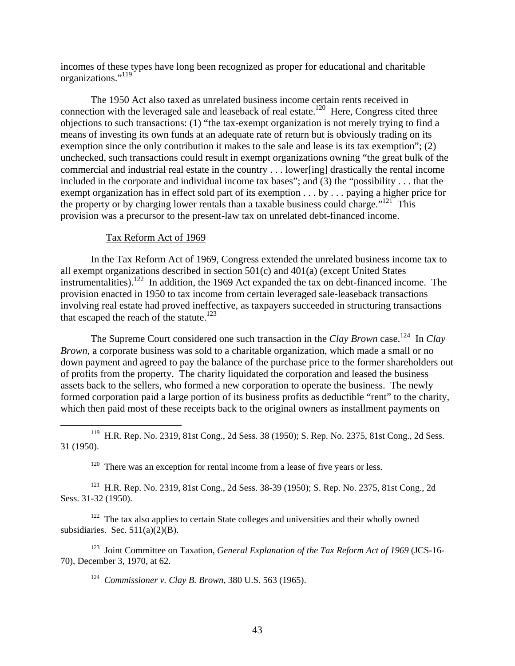incomes of these types have long been recognized as proper for educational and charitable organizations."<sup>119</sup>

The 1950 Act also taxed as unrelated business income certain rents received in connection with the leveraged sale and leaseback of real estate.<sup>120</sup> Here, Congress cited three objections to such transactions: (1) "the tax-exempt organization is not merely trying to find a means of investing its own funds at an adequate rate of return but is obviously trading on its exemption since the only contribution it makes to the sale and lease is its tax exemption"; (2) unchecked, such transactions could result in exempt organizations owning "the great bulk of the commercial and industrial real estate in the country . . . lower[ing] drastically the rental income included in the corporate and individual income tax bases"; and (3) the "possibility . . . that the exempt organization has in effect sold part of its exemption . . . by . . . paying a higher price for the property or by charging lower rentals than a taxable business could charge."<sup>121</sup> This provision was a precursor to the present-law tax on unrelated debt-financed income.

### Tax Reform Act of 1969

In the Tax Reform Act of 1969, Congress extended the unrelated business income tax to all exempt organizations described in section 501(c) and 401(a) (except United States instrumentalities).<sup>122</sup> In addition, the 1969 Act expanded the tax on debt-financed income. The provision enacted in 1950 to tax income from certain leveraged sale-leaseback transactions involving real estate had proved ineffective, as taxpayers succeeded in structuring transactions that escaped the reach of the statute.<sup>123</sup>

The Supreme Court considered one such transaction in the *Clay Brown* case.<sup>124</sup> In *Clay Brown*, a corporate business was sold to a charitable organization, which made a small or no down payment and agreed to pay the balance of the purchase price to the former shareholders out of profits from the property. The charity liquidated the corporation and leased the business assets back to the sellers, who formed a new corporation to operate the business. The newly formed corporation paid a large portion of its business profits as deductible "rent" to the charity, which then paid most of these receipts back to the original owners as installment payments on

 119 H.R. Rep. No. 2319, 81st Cong., 2d Sess. 38 (1950); S. Rep. No. 2375, 81st Cong., 2d Sess. 31 (1950).

 $120$  There was an exception for rental income from a lease of five years or less.

121 H.R. Rep. No. 2319, 81st Cong., 2d Sess. 38-39 (1950); S. Rep. No. 2375, 81st Cong., 2d Sess. 31-32 (1950).

<sup>122</sup> The tax also applies to certain State colleges and universities and their wholly owned subsidiaries. Sec.  $511(a)(2)(B)$ .

123 Joint Committee on Taxation, *General Explanation of the Tax Reform Act of 1969* (JCS-16- 70), December 3, 1970, at 62.

124 *Commissioner v. Clay B. Brown*, 380 U.S. 563 (1965).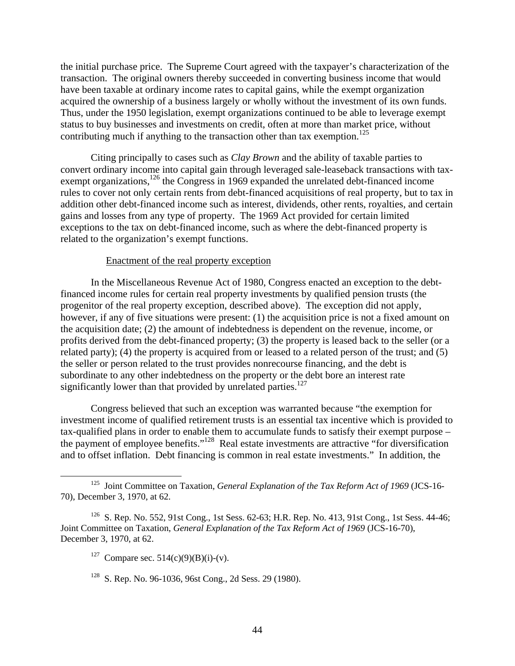the initial purchase price. The Supreme Court agreed with the taxpayer's characterization of the transaction. The original owners thereby succeeded in converting business income that would have been taxable at ordinary income rates to capital gains, while the exempt organization acquired the ownership of a business largely or wholly without the investment of its own funds. Thus, under the 1950 legislation, exempt organizations continued to be able to leverage exempt status to buy businesses and investments on credit, often at more than market price, without contributing much if anything to the transaction other than tax exemption.<sup>125</sup>

Citing principally to cases such as *Clay Brown* and the ability of taxable parties to convert ordinary income into capital gain through leveraged sale-leaseback transactions with taxexempt organizations,<sup>126</sup> the Congress in 1969 expanded the unrelated debt-financed income rules to cover not only certain rents from debt-financed acquisitions of real property, but to tax in addition other debt-financed income such as interest, dividends, other rents, royalties, and certain gains and losses from any type of property. The 1969 Act provided for certain limited exceptions to the tax on debt-financed income, such as where the debt-financed property is related to the organization's exempt functions.

# Enactment of the real property exception

In the Miscellaneous Revenue Act of 1980, Congress enacted an exception to the debtfinanced income rules for certain real property investments by qualified pension trusts (the progenitor of the real property exception, described above). The exception did not apply, however, if any of five situations were present: (1) the acquisition price is not a fixed amount on the acquisition date; (2) the amount of indebtedness is dependent on the revenue, income, or profits derived from the debt-financed property; (3) the property is leased back to the seller (or a related party); (4) the property is acquired from or leased to a related person of the trust; and (5) the seller or person related to the trust provides nonrecourse financing, and the debt is subordinate to any other indebtedness on the property or the debt bore an interest rate significantly lower than that provided by unrelated parties.<sup>127</sup>

Congress believed that such an exception was warranted because "the exemption for investment income of qualified retirement trusts is an essential tax incentive which is provided to tax-qualified plans in order to enable them to accumulate funds to satisfy their exempt purpose – the payment of employee benefits."128 Real estate investments are attractive "for diversification and to offset inflation. Debt financing is common in real estate investments." In addition, the

<sup>&</sup>lt;sup>125</sup> Joint Committee on Taxation, *General Explanation of the Tax Reform Act of 1969* (JCS-16-70), December 3, 1970, at 62.

 $126$  S. Rep. No. 552, 91st Cong., 1st Sess. 62-63; H.R. Rep. No. 413, 91st Cong., 1st Sess. 44-46; Joint Committee on Taxation, *General Explanation of the Tax Reform Act of 1969* (JCS-16-70), December 3, 1970, at 62.

<sup>&</sup>lt;sup>127</sup> Compare sec.  $514(c)(9)(B)(i)-(v)$ .

<sup>128</sup> S. Rep. No. 96-1036, 96st Cong., 2d Sess. 29 (1980).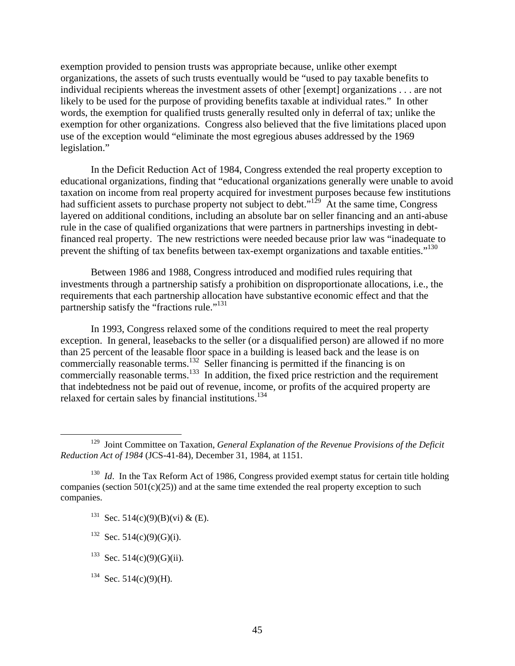exemption provided to pension trusts was appropriate because, unlike other exempt organizations, the assets of such trusts eventually would be "used to pay taxable benefits to individual recipients whereas the investment assets of other [exempt] organizations . . . are not likely to be used for the purpose of providing benefits taxable at individual rates." In other words, the exemption for qualified trusts generally resulted only in deferral of tax; unlike the exemption for other organizations. Congress also believed that the five limitations placed upon use of the exception would "eliminate the most egregious abuses addressed by the 1969 legislation."

In the Deficit Reduction Act of 1984, Congress extended the real property exception to educational organizations, finding that "educational organizations generally were unable to avoid taxation on income from real property acquired for investment purposes because few institutions had sufficient assets to purchase property not subject to debt."<sup>129</sup> At the same time, Congress layered on additional conditions, including an absolute bar on seller financing and an anti-abuse rule in the case of qualified organizations that were partners in partnerships investing in debtfinanced real property. The new restrictions were needed because prior law was "inadequate to prevent the shifting of tax benefits between tax-exempt organizations and taxable entities."<sup>130</sup>

Between 1986 and 1988, Congress introduced and modified rules requiring that investments through a partnership satisfy a prohibition on disproportionate allocations, i.e., the requirements that each partnership allocation have substantive economic effect and that the partnership satisfy the "fractions rule."<sup>131</sup>

In 1993, Congress relaxed some of the conditions required to meet the real property exception. In general, leasebacks to the seller (or a disqualified person) are allowed if no more than 25 percent of the leasable floor space in a building is leased back and the lease is on commercially reasonable terms.<sup>132</sup> Seller financing is permitted if the financing is on commercially reasonable terms.<sup>133</sup> In addition, the fixed price restriction and the requirement that indebtedness not be paid out of revenue, income, or profits of the acquired property are relaxed for certain sales by financial institutions.<sup>134</sup>

- <sup>131</sup> Sec. 514(c)(9)(B)(vi) & (E).
- $132$  Sec. 514(c)(9)(G)(i).
- $^{133}$  Sec. 514(c)(9)(G)(ii).
- $134$  Sec. 514(c)(9)(H).

 <sup>129</sup> Joint Committee on Taxation, *General Explanation of the Revenue Provisions of the Deficit Reduction Act of 1984* (JCS-41-84), December 31, 1984, at 1151.

<sup>&</sup>lt;sup>130</sup> *Id*. In the Tax Reform Act of 1986, Congress provided exempt status for certain title holding companies (section  $501(c)(25)$ ) and at the same time extended the real property exception to such companies.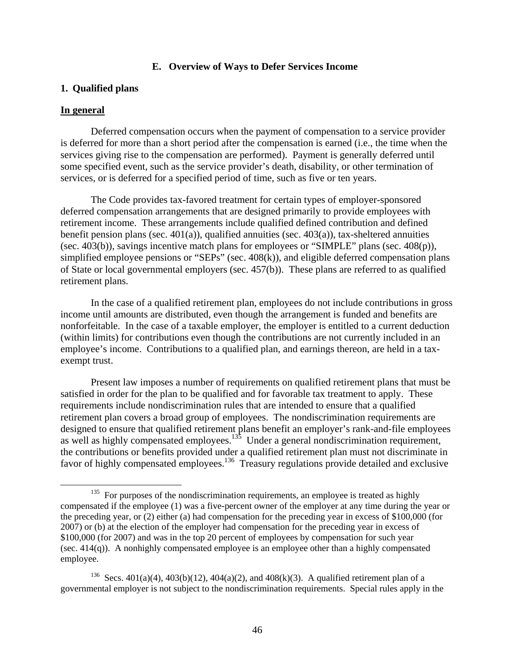## **E. Overview of Ways to Defer Services Income**

# **1. Qualified plans**

#### **In general**

Deferred compensation occurs when the payment of compensation to a service provider is deferred for more than a short period after the compensation is earned (i.e., the time when the services giving rise to the compensation are performed). Payment is generally deferred until some specified event, such as the service provider's death, disability, or other termination of services, or is deferred for a specified period of time, such as five or ten years.

The Code provides tax-favored treatment for certain types of employer-sponsored deferred compensation arrangements that are designed primarily to provide employees with retirement income. These arrangements include qualified defined contribution and defined benefit pension plans (sec.  $401(a)$ ), qualified annuities (sec.  $403(a)$ ), tax-sheltered annuities (sec. 403(b)), savings incentive match plans for employees or "SIMPLE" plans (sec. 408(p)), simplified employee pensions or "SEPs" (sec. 408(k)), and eligible deferred compensation plans of State or local governmental employers (sec. 457(b)). These plans are referred to as qualified retirement plans.

In the case of a qualified retirement plan, employees do not include contributions in gross income until amounts are distributed, even though the arrangement is funded and benefits are nonforfeitable. In the case of a taxable employer, the employer is entitled to a current deduction (within limits) for contributions even though the contributions are not currently included in an employee's income. Contributions to a qualified plan, and earnings thereon, are held in a taxexempt trust.

Present law imposes a number of requirements on qualified retirement plans that must be satisfied in order for the plan to be qualified and for favorable tax treatment to apply. These requirements include nondiscrimination rules that are intended to ensure that a qualified retirement plan covers a broad group of employees. The nondiscrimination requirements are designed to ensure that qualified retirement plans benefit an employer's rank-and-file employees as well as highly compensated employees.<sup>135</sup> Under a general nondiscrimination requirement, the contributions or benefits provided under a qualified retirement plan must not discriminate in favor of highly compensated employees.<sup>136</sup> Treasury regulations provide detailed and exclusive

<sup>&</sup>lt;sup>135</sup> For purposes of the nondiscrimination requirements, an employee is treated as highly compensated if the employee (1) was a five-percent owner of the employer at any time during the year or the preceding year, or (2) either (a) had compensation for the preceding year in excess of \$100,000 (for 2007) or (b) at the election of the employer had compensation for the preceding year in excess of \$100,000 (for 2007) and was in the top 20 percent of employees by compensation for such year (sec. 414(q)). A nonhighly compensated employee is an employee other than a highly compensated employee.

<sup>&</sup>lt;sup>136</sup> Secs. 401(a)(4), 403(b)(12), 404(a)(2), and 408(k)(3). A qualified retirement plan of a governmental employer is not subject to the nondiscrimination requirements. Special rules apply in the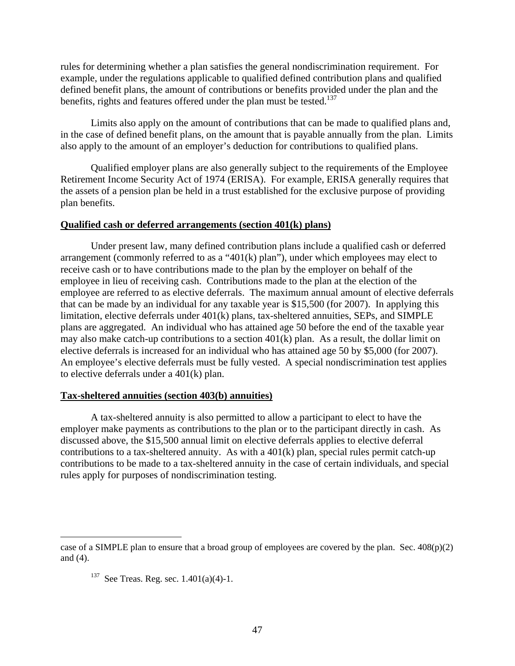rules for determining whether a plan satisfies the general nondiscrimination requirement. For example, under the regulations applicable to qualified defined contribution plans and qualified defined benefit plans, the amount of contributions or benefits provided under the plan and the benefits, rights and features offered under the plan must be tested.<sup>137</sup>

Limits also apply on the amount of contributions that can be made to qualified plans and, in the case of defined benefit plans, on the amount that is payable annually from the plan. Limits also apply to the amount of an employer's deduction for contributions to qualified plans.

Qualified employer plans are also generally subject to the requirements of the Employee Retirement Income Security Act of 1974 (ERISA). For example, ERISA generally requires that the assets of a pension plan be held in a trust established for the exclusive purpose of providing plan benefits.

### **Qualified cash or deferred arrangements (section 401(k) plans)**

Under present law, many defined contribution plans include a qualified cash or deferred arrangement (commonly referred to as a "401(k) plan"), under which employees may elect to receive cash or to have contributions made to the plan by the employer on behalf of the employee in lieu of receiving cash. Contributions made to the plan at the election of the employee are referred to as elective deferrals. The maximum annual amount of elective deferrals that can be made by an individual for any taxable year is \$15,500 (for 2007). In applying this limitation, elective deferrals under 401(k) plans, tax-sheltered annuities, SEPs, and SIMPLE plans are aggregated. An individual who has attained age 50 before the end of the taxable year may also make catch-up contributions to a section 401(k) plan. As a result, the dollar limit on elective deferrals is increased for an individual who has attained age 50 by \$5,000 (for 2007). An employee's elective deferrals must be fully vested. A special nondiscrimination test applies to elective deferrals under a 401(k) plan.

### **Tax-sheltered annuities (section 403(b) annuities)**

A tax-sheltered annuity is also permitted to allow a participant to elect to have the employer make payments as contributions to the plan or to the participant directly in cash. As discussed above, the \$15,500 annual limit on elective deferrals applies to elective deferral contributions to a tax-sheltered annuity. As with a  $401(k)$  plan, special rules permit catch-up contributions to be made to a tax-sheltered annuity in the case of certain individuals, and special rules apply for purposes of nondiscrimination testing.

1

case of a SIMPLE plan to ensure that a broad group of employees are covered by the plan. Sec.  $408(p)(2)$ and (4).

<sup>&</sup>lt;sup>137</sup> See Treas. Reg. sec.  $1.401(a)(4)$ -1.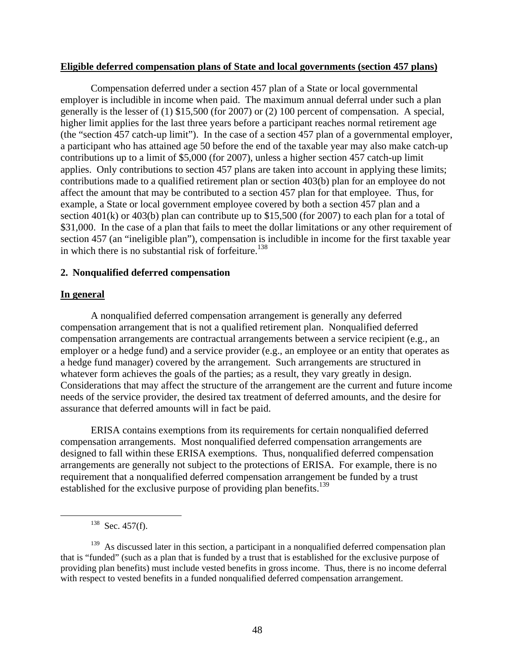## **Eligible deferred compensation plans of State and local governments (section 457 plans)**

Compensation deferred under a section 457 plan of a State or local governmental employer is includible in income when paid. The maximum annual deferral under such a plan generally is the lesser of (1) \$15,500 (for 2007) or (2) 100 percent of compensation. A special, higher limit applies for the last three years before a participant reaches normal retirement age (the "section 457 catch-up limit"). In the case of a section 457 plan of a governmental employer, a participant who has attained age 50 before the end of the taxable year may also make catch-up contributions up to a limit of \$5,000 (for 2007), unless a higher section 457 catch-up limit applies. Only contributions to section 457 plans are taken into account in applying these limits; contributions made to a qualified retirement plan or section 403(b) plan for an employee do not affect the amount that may be contributed to a section 457 plan for that employee. Thus, for example, a State or local government employee covered by both a section 457 plan and a section 401(k) or 403(b) plan can contribute up to \$15,500 (for 2007) to each plan for a total of \$31,000. In the case of a plan that fails to meet the dollar limitations or any other requirement of section 457 (an "ineligible plan"), compensation is includible in income for the first taxable year in which there is no substantial risk of forfeiture.<sup>138</sup>

# **2. Nonqualified deferred compensation**

# **In general**

A nonqualified deferred compensation arrangement is generally any deferred compensation arrangement that is not a qualified retirement plan. Nonqualified deferred compensation arrangements are contractual arrangements between a service recipient (e.g., an employer or a hedge fund) and a service provider (e.g., an employee or an entity that operates as a hedge fund manager) covered by the arrangement. Such arrangements are structured in whatever form achieves the goals of the parties; as a result, they vary greatly in design. Considerations that may affect the structure of the arrangement are the current and future income needs of the service provider, the desired tax treatment of deferred amounts, and the desire for assurance that deferred amounts will in fact be paid.

ERISA contains exemptions from its requirements for certain nonqualified deferred compensation arrangements. Most nonqualified deferred compensation arrangements are designed to fall within these ERISA exemptions. Thus, nonqualified deferred compensation arrangements are generally not subject to the protections of ERISA. For example, there is no requirement that a nonqualified deferred compensation arrangement be funded by a trust established for the exclusive purpose of providing plan benefits.<sup>139</sup>

 $138$  Sec. 457(f).

<sup>&</sup>lt;sup>139</sup> As discussed later in this section, a participant in a nonqualified deferred compensation plan that is "funded" (such as a plan that is funded by a trust that is established for the exclusive purpose of providing plan benefits) must include vested benefits in gross income. Thus, there is no income deferral with respect to vested benefits in a funded nonqualified deferred compensation arrangement.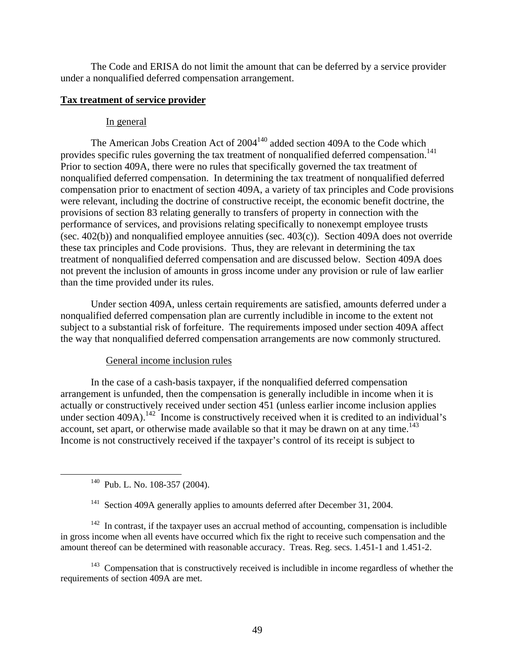The Code and ERISA do not limit the amount that can be deferred by a service provider under a nonqualified deferred compensation arrangement.

# **Tax treatment of service provider**

# In general

The American Jobs Creation Act of 2004<sup>140</sup> added section 409A to the Code which provides specific rules governing the tax treatment of nonqualified deferred compensation.<sup>141</sup> Prior to section 409A, there were no rules that specifically governed the tax treatment of nonqualified deferred compensation. In determining the tax treatment of nonqualified deferred compensation prior to enactment of section 409A, a variety of tax principles and Code provisions were relevant, including the doctrine of constructive receipt, the economic benefit doctrine, the provisions of section 83 relating generally to transfers of property in connection with the performance of services, and provisions relating specifically to nonexempt employee trusts (sec. 402(b)) and nonqualified employee annuities (sec. 403(c)). Section 409A does not override these tax principles and Code provisions. Thus, they are relevant in determining the tax treatment of nonqualified deferred compensation and are discussed below. Section 409A does not prevent the inclusion of amounts in gross income under any provision or rule of law earlier than the time provided under its rules.

Under section 409A, unless certain requirements are satisfied, amounts deferred under a nonqualified deferred compensation plan are currently includible in income to the extent not subject to a substantial risk of forfeiture. The requirements imposed under section 409A affect the way that nonqualified deferred compensation arrangements are now commonly structured.

# General income inclusion rules

In the case of a cash-basis taxpayer, if the nonqualified deferred compensation arrangement is unfunded, then the compensation is generally includible in income when it is actually or constructively received under section 451 (unless earlier income inclusion applies under section 409A).<sup>142</sup> Income is constructively received when it is credited to an individual's account, set apart, or otherwise made available so that it may be drawn on at any time.<sup>143</sup> Income is not constructively received if the taxpayer's control of its receipt is subject to

140 Pub. L. No. 108-357 (2004).

<sup>141</sup> Section 409A generally applies to amounts deferred after December 31, 2004.

 $142$  In contrast, if the taxpayer uses an accrual method of accounting, compensation is includible in gross income when all events have occurred which fix the right to receive such compensation and the amount thereof can be determined with reasonable accuracy. Treas. Reg. secs. 1.451-1 and 1.451-2.

 $143$  Compensation that is constructively received is includible in income regardless of whether the requirements of section 409A are met.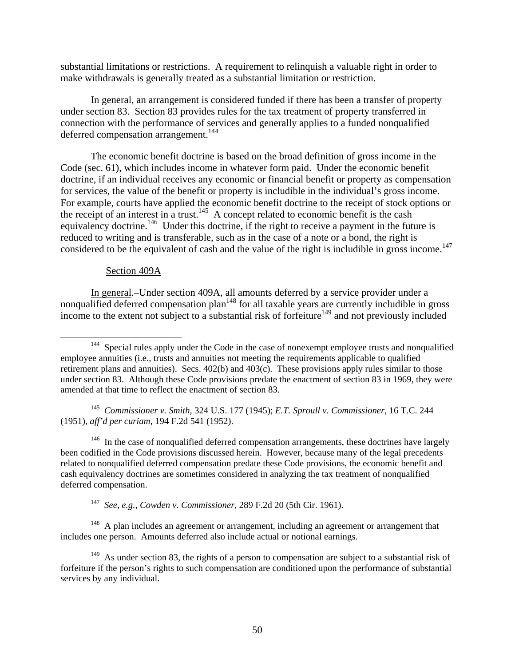substantial limitations or restrictions. A requirement to relinquish a valuable right in order to make withdrawals is generally treated as a substantial limitation or restriction.

In general, an arrangement is considered funded if there has been a transfer of property under section 83. Section 83 provides rules for the tax treatment of property transferred in connection with the performance of services and generally applies to a funded nonqualified deferred compensation arrangement.<sup>144</sup>

The economic benefit doctrine is based on the broad definition of gross income in the Code (sec. 61), which includes income in whatever form paid. Under the economic benefit doctrine, if an individual receives any economic or financial benefit or property as compensation for services, the value of the benefit or property is includible in the individual's gross income. For example, courts have applied the economic benefit doctrine to the receipt of stock options or the receipt of an interest in a trust.<sup>145</sup> A concept related to economic benefit is the cash equivalency doctrine.<sup>146</sup> Under this doctrine, if the right to receive a payment in the future is reduced to writing and is transferable, such as in the case of a note or a bond, the right is considered to be the equivalent of cash and the value of the right is includible in gross income.<sup>147</sup>

#### Section 409A

In general.–Under section 409A, all amounts deferred by a service provider under a nonqualified deferred compensation plan<sup>148</sup> for all taxable years are currently includible in gross income to the extent not subject to a substantial risk of forfeiture<sup>149</sup> and not previously included

145 *Commissioner v. Smith*, 324 U.S. 177 (1945); *E.T. Sproull v. Commissioner*, 16 T.C. 244 (1951), *aff'd per curiam*, 194 F.2d 541 (1952).

 $146$  In the case of nonqualified deferred compensation arrangements, these doctrines have largely been codified in the Code provisions discussed herein. However, because many of the legal precedents related to nonqualified deferred compensation predate these Code provisions, the economic benefit and cash equivalency doctrines are sometimes considered in analyzing the tax treatment of nonqualified deferred compensation.

147 *See, e.g., Cowden v. Commissioner*, 289 F.2d 20 (5th Cir. 1961).

 $148$  A plan includes an agreement or arrangement, including an agreement or arrangement that includes one person. Amounts deferred also include actual or notional earnings.

 $149$  As under section 83, the rights of a person to compensation are subject to a substantial risk of forfeiture if the person's rights to such compensation are conditioned upon the performance of substantial services by any individual.

<sup>&</sup>lt;sup>144</sup> Special rules apply under the Code in the case of nonexempt employee trusts and nonqualified employee annuities (i.e., trusts and annuities not meeting the requirements applicable to qualified retirement plans and annuities). Secs. 402(b) and 403(c). These provisions apply rules similar to those under section 83. Although these Code provisions predate the enactment of section 83 in 1969, they were amended at that time to reflect the enactment of section 83.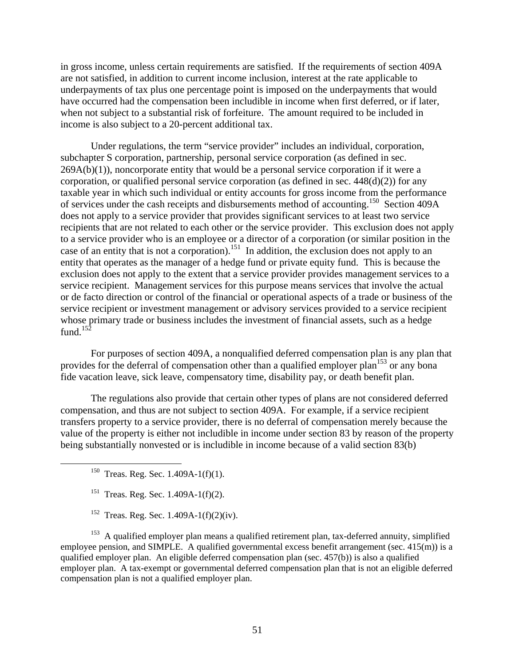in gross income, unless certain requirements are satisfied. If the requirements of section 409A are not satisfied, in addition to current income inclusion, interest at the rate applicable to underpayments of tax plus one percentage point is imposed on the underpayments that would have occurred had the compensation been includible in income when first deferred, or if later, when not subject to a substantial risk of forfeiture. The amount required to be included in income is also subject to a 20-percent additional tax.

Under regulations, the term "service provider" includes an individual, corporation, subchapter S corporation, partnership, personal service corporation (as defined in sec.  $269A(b)(1)$ , noncorporate entity that would be a personal service corporation if it were a corporation, or qualified personal service corporation (as defined in sec.  $448(d)(2)$ ) for any taxable year in which such individual or entity accounts for gross income from the performance of services under the cash receipts and disbursements method of accounting.150 Section 409A does not apply to a service provider that provides significant services to at least two service recipients that are not related to each other or the service provider. This exclusion does not apply to a service provider who is an employee or a director of a corporation (or similar position in the case of an entity that is not a corporation).<sup>151</sup> In addition, the exclusion does not apply to an entity that operates as the manager of a hedge fund or private equity fund. This is because the exclusion does not apply to the extent that a service provider provides management services to a service recipient. Management services for this purpose means services that involve the actual or de facto direction or control of the financial or operational aspects of a trade or business of the service recipient or investment management or advisory services provided to a service recipient whose primary trade or business includes the investment of financial assets, such as a hedge fund. $15\overline{2}$ 

For purposes of section 409A, a nonqualified deferred compensation plan is any plan that provides for the deferral of compensation other than a qualified employer plan<sup>153</sup> or any bona fide vacation leave, sick leave, compensatory time, disability pay, or death benefit plan.

The regulations also provide that certain other types of plans are not considered deferred compensation, and thus are not subject to section 409A. For example, if a service recipient transfers property to a service provider, there is no deferral of compensation merely because the value of the property is either not includible in income under section 83 by reason of the property being substantially nonvested or is includible in income because of a valid section 83(b)

- <sup>150</sup> Treas. Reg. Sec. 1.409A-1(f)(1).
- <sup>151</sup> Treas. Reg. Sec. 1.409A-1(f)(2).
- <sup>152</sup> Treas. Reg. Sec. 1.409A-1(f)(2)(iv).

<sup>153</sup> A qualified employer plan means a qualified retirement plan, tax-deferred annuity, simplified employee pension, and SIMPLE. A qualified governmental excess benefit arrangement (sec. 415(m)) is a qualified employer plan. An eligible deferred compensation plan (sec. 457(b)) is also a qualified employer plan. A tax-exempt or governmental deferred compensation plan that is not an eligible deferred compensation plan is not a qualified employer plan.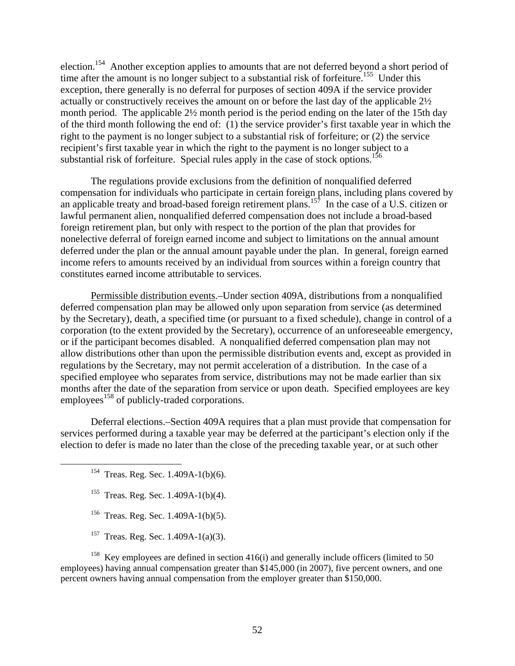election.154 Another exception applies to amounts that are not deferred beyond a short period of time after the amount is no longer subject to a substantial risk of forfeiture.<sup>155</sup> Under this exception, there generally is no deferral for purposes of section 409A if the service provider actually or constructively receives the amount on or before the last day of the applicable 2½ month period. The applicable  $2\frac{1}{2}$  month period is the period ending on the later of the 15th day of the third month following the end of: (1) the service provider's first taxable year in which the right to the payment is no longer subject to a substantial risk of forfeiture; or (2) the service recipient's first taxable year in which the right to the payment is no longer subject to a substantial risk of forfeiture. Special rules apply in the case of stock options.<sup>156</sup>

The regulations provide exclusions from the definition of nonqualified deferred compensation for individuals who participate in certain foreign plans, including plans covered by an applicable treaty and broad-based foreign retirement plans.<sup>157</sup> In the case of a U.S. citizen or lawful permanent alien, nonqualified deferred compensation does not include a broad-based foreign retirement plan, but only with respect to the portion of the plan that provides for nonelective deferral of foreign earned income and subject to limitations on the annual amount deferred under the plan or the annual amount payable under the plan. In general, foreign earned income refers to amounts received by an individual from sources within a foreign country that constitutes earned income attributable to services.

Permissible distribution events.–Under section 409A, distributions from a nonqualified deferred compensation plan may be allowed only upon separation from service (as determined by the Secretary), death, a specified time (or pursuant to a fixed schedule), change in control of a corporation (to the extent provided by the Secretary), occurrence of an unforeseeable emergency, or if the participant becomes disabled. A nonqualified deferred compensation plan may not allow distributions other than upon the permissible distribution events and, except as provided in regulations by the Secretary, may not permit acceleration of a distribution. In the case of a specified employee who separates from service, distributions may not be made earlier than six months after the date of the separation from service or upon death. Specified employees are key employees<sup>158</sup> of publicly-traded corporations.

Deferral elections.–Section 409A requires that a plan must provide that compensation for services performed during a taxable year may be deferred at the participant's election only if the election to defer is made no later than the close of the preceding taxable year, or at such other

- <sup>154</sup> Treas. Reg. Sec. 1.409A-1(b)(6).
- <sup>155</sup> Treas. Reg. Sec. 1.409A-1(b)(4).
- <sup>156</sup> Treas. Reg. Sec. 1.409A-1(b)(5).
- <sup>157</sup> Treas. Reg. Sec. 1.409A-1(a)(3).

<sup>158</sup> Key employees are defined in section  $416(i)$  and generally include officers (limited to 50 employees) having annual compensation greater than \$145,000 (in 2007), five percent owners, and one percent owners having annual compensation from the employer greater than \$150,000.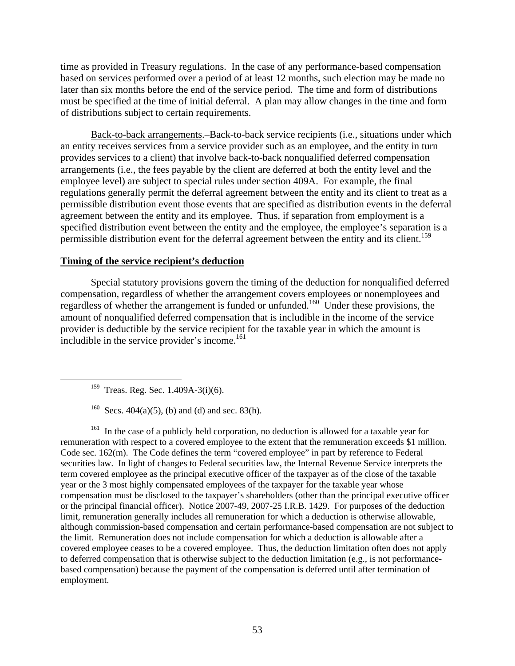time as provided in Treasury regulations. In the case of any performance-based compensation based on services performed over a period of at least 12 months, such election may be made no later than six months before the end of the service period. The time and form of distributions must be specified at the time of initial deferral. A plan may allow changes in the time and form of distributions subject to certain requirements.

Back-to-back arrangements.–Back-to-back service recipients (i.e., situations under which an entity receives services from a service provider such as an employee, and the entity in turn provides services to a client) that involve back-to-back nonqualified deferred compensation arrangements (i.e., the fees payable by the client are deferred at both the entity level and the employee level) are subject to special rules under section 409A. For example, the final regulations generally permit the deferral agreement between the entity and its client to treat as a permissible distribution event those events that are specified as distribution events in the deferral agreement between the entity and its employee. Thus, if separation from employment is a specified distribution event between the entity and the employee, the employee's separation is a permissible distribution event for the deferral agreement between the entity and its client.<sup>159</sup>

### **Timing of the service recipient's deduction**

Special statutory provisions govern the timing of the deduction for nonqualified deferred compensation, regardless of whether the arrangement covers employees or nonemployees and regardless of whether the arrangement is funded or unfunded.<sup>160</sup> Under these provisions, the amount of nonqualified deferred compensation that is includible in the income of the service provider is deductible by the service recipient for the taxable year in which the amount is includible in the service provider's income.<sup>161</sup>

<sup>160</sup> Secs. 404(a)(5), (b) and (d) and sec. 83(h).

<sup>161</sup> In the case of a publicly held corporation, no deduction is allowed for a taxable year for remuneration with respect to a covered employee to the extent that the remuneration exceeds \$1 million. Code sec. 162(m). The Code defines the term "covered employee" in part by reference to Federal securities law. In light of changes to Federal securities law, the Internal Revenue Service interprets the term covered employee as the principal executive officer of the taxpayer as of the close of the taxable year or the 3 most highly compensated employees of the taxpayer for the taxable year whose compensation must be disclosed to the taxpayer's shareholders (other than the principal executive officer or the principal financial officer). Notice 2007-49, 2007-25 I.R.B. 1429. For purposes of the deduction limit, remuneration generally includes all remuneration for which a deduction is otherwise allowable, although commission-based compensation and certain performance-based compensation are not subject to the limit. Remuneration does not include compensation for which a deduction is allowable after a covered employee ceases to be a covered employee. Thus, the deduction limitation often does not apply to deferred compensation that is otherwise subject to the deduction limitation (e.g., is not performancebased compensation) because the payment of the compensation is deferred until after termination of employment.

<sup>&</sup>lt;sup>159</sup> Treas. Reg. Sec. 1.409A-3(i)(6).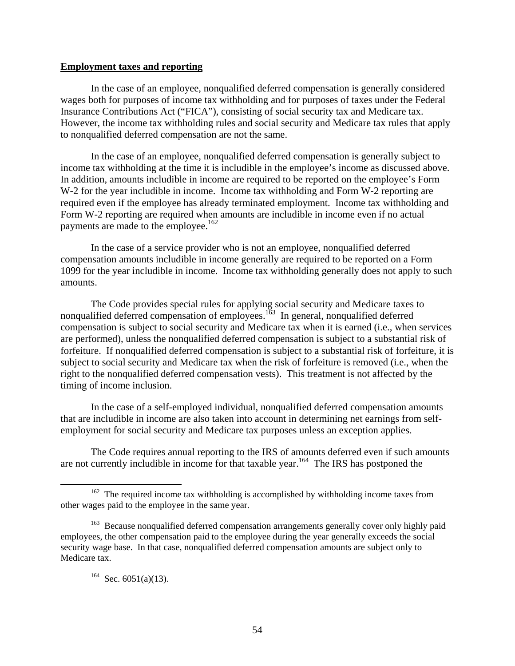### **Employment taxes and reporting**

In the case of an employee, nonqualified deferred compensation is generally considered wages both for purposes of income tax withholding and for purposes of taxes under the Federal Insurance Contributions Act ("FICA"), consisting of social security tax and Medicare tax. However, the income tax withholding rules and social security and Medicare tax rules that apply to nonqualified deferred compensation are not the same.

In the case of an employee, nonqualified deferred compensation is generally subject to income tax withholding at the time it is includible in the employee's income as discussed above. In addition, amounts includible in income are required to be reported on the employee's Form W-2 for the year includible in income. Income tax withholding and Form W-2 reporting are required even if the employee has already terminated employment. Income tax withholding and Form W-2 reporting are required when amounts are includible in income even if no actual payments are made to the employee.<sup>162</sup>

In the case of a service provider who is not an employee, nonqualified deferred compensation amounts includible in income generally are required to be reported on a Form 1099 for the year includible in income. Income tax withholding generally does not apply to such amounts.

The Code provides special rules for applying social security and Medicare taxes to nonqualified deferred compensation of employees.<sup>163</sup> In general, nonqualified deferred compensation is subject to social security and Medicare tax when it is earned (i.e., when services are performed), unless the nonqualified deferred compensation is subject to a substantial risk of forfeiture. If nonqualified deferred compensation is subject to a substantial risk of forfeiture, it is subject to social security and Medicare tax when the risk of forfeiture is removed (i.e., when the right to the nonqualified deferred compensation vests). This treatment is not affected by the timing of income inclusion.

In the case of a self-employed individual, nonqualified deferred compensation amounts that are includible in income are also taken into account in determining net earnings from selfemployment for social security and Medicare tax purposes unless an exception applies.

The Code requires annual reporting to the IRS of amounts deferred even if such amounts are not currently includible in income for that taxable year.164The IRS has postponed the

# $164$  Sec. 6051(a)(13).

<sup>&</sup>lt;sup>162</sup> The required income tax withholding is accomplished by withholding income taxes from other wages paid to the employee in the same year.

<sup>&</sup>lt;sup>163</sup> Because nonqualified deferred compensation arrangements generally cover only highly paid employees, the other compensation paid to the employee during the year generally exceeds the social security wage base. In that case, nonqualified deferred compensation amounts are subject only to Medicare tax.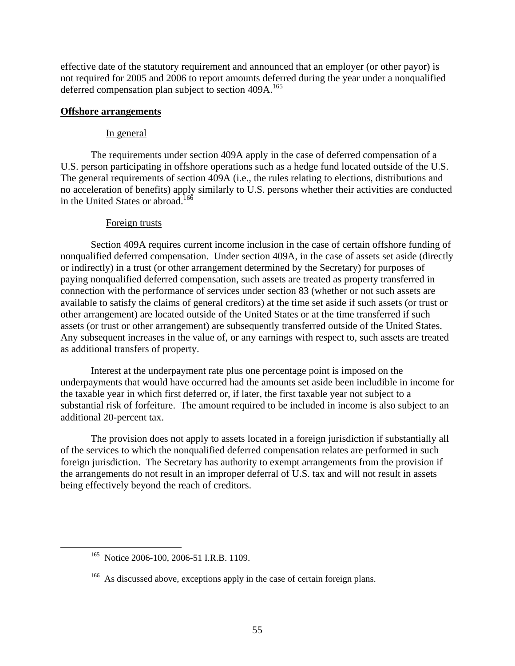effective date of the statutory requirement and announced that an employer (or other payor) is not required for 2005 and 2006 to report amounts deferred during the year under a nonqualified deferred compensation plan subject to section 409A.<sup>165</sup>

# **Offshore arrangements**

# In general

The requirements under section 409A apply in the case of deferred compensation of a U.S. person participating in offshore operations such as a hedge fund located outside of the U.S. The general requirements of section 409A (i.e., the rules relating to elections, distributions and no acceleration of benefits) apply similarly to U.S. persons whether their activities are conducted in the United States or abroad.<sup>166</sup>

# Foreign trusts

Section 409A requires current income inclusion in the case of certain offshore funding of nonqualified deferred compensation. Under section 409A, in the case of assets set aside (directly or indirectly) in a trust (or other arrangement determined by the Secretary) for purposes of paying nonqualified deferred compensation, such assets are treated as property transferred in connection with the performance of services under section 83 (whether or not such assets are available to satisfy the claims of general creditors) at the time set aside if such assets (or trust or other arrangement) are located outside of the United States or at the time transferred if such assets (or trust or other arrangement) are subsequently transferred outside of the United States. Any subsequent increases in the value of, or any earnings with respect to, such assets are treated as additional transfers of property.

Interest at the underpayment rate plus one percentage point is imposed on the underpayments that would have occurred had the amounts set aside been includible in income for the taxable year in which first deferred or, if later, the first taxable year not subject to a substantial risk of forfeiture. The amount required to be included in income is also subject to an additional 20-percent tax.

The provision does not apply to assets located in a foreign jurisdiction if substantially all of the services to which the nonqualified deferred compensation relates are performed in such foreign jurisdiction. The Secretary has authority to exempt arrangements from the provision if the arrangements do not result in an improper deferral of U.S. tax and will not result in assets being effectively beyond the reach of creditors.

<sup>&</sup>lt;sup>165</sup> Notice 2006-100, 2006-51 I.R.B. 1109.

<sup>&</sup>lt;sup>166</sup> As discussed above, exceptions apply in the case of certain foreign plans.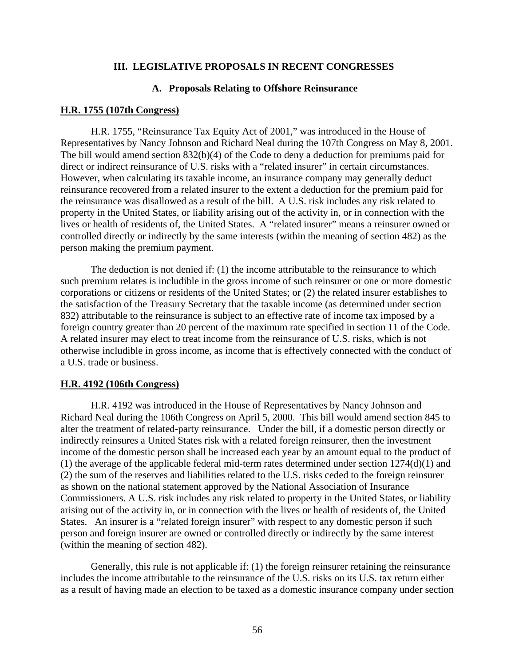## **III. LEGISLATIVE PROPOSALS IN RECENT CONGRESSES**

# **A. Proposals Relating to Offshore Reinsurance**

### **H.R. 1755 (107th Congress)**

H.R. 1755, "Reinsurance Tax Equity Act of 2001," was introduced in the House of Representatives by Nancy Johnson and Richard Neal during the 107th Congress on May 8, 2001. The bill would amend section 832(b)(4) of the Code to deny a deduction for premiums paid for direct or indirect reinsurance of U.S. risks with a "related insurer" in certain circumstances. However, when calculating its taxable income, an insurance company may generally deduct reinsurance recovered from a related insurer to the extent a deduction for the premium paid for the reinsurance was disallowed as a result of the bill. A U.S. risk includes any risk related to property in the United States, or liability arising out of the activity in, or in connection with the lives or health of residents of, the United States. A "related insurer" means a reinsurer owned or controlled directly or indirectly by the same interests (within the meaning of section 482) as the person making the premium payment.

The deduction is not denied if: (1) the income attributable to the reinsurance to which such premium relates is includible in the gross income of such reinsurer or one or more domestic corporations or citizens or residents of the United States; or (2) the related insurer establishes to the satisfaction of the Treasury Secretary that the taxable income (as determined under section 832) attributable to the reinsurance is subject to an effective rate of income tax imposed by a foreign country greater than 20 percent of the maximum rate specified in section 11 of the Code. A related insurer may elect to treat income from the reinsurance of U.S. risks, which is not otherwise includible in gross income, as income that is effectively connected with the conduct of a U.S. trade or business.

### **H.R. 4192 (106th Congress)**

H.R. 4192 was introduced in the House of Representatives by Nancy Johnson and Richard Neal during the 106th Congress on April 5, 2000. This bill would amend section 845 to alter the treatment of related-party reinsurance. Under the bill, if a domestic person directly or indirectly reinsures a United States risk with a related foreign reinsurer, then the investment income of the domestic person shall be increased each year by an amount equal to the product of (1) the average of the applicable federal mid-term rates determined under section 1274(d)(1) and (2) the sum of the reserves and liabilities related to the U.S. risks ceded to the foreign reinsurer as shown on the national statement approved by the National Association of Insurance Commissioners. A U.S. risk includes any risk related to property in the United States, or liability arising out of the activity in, or in connection with the lives or health of residents of, the United States. An insurer is a "related foreign insurer" with respect to any domestic person if such person and foreign insurer are owned or controlled directly or indirectly by the same interest (within the meaning of section 482).

Generally, this rule is not applicable if: (1) the foreign reinsurer retaining the reinsurance includes the income attributable to the reinsurance of the U.S. risks on its U.S. tax return either as a result of having made an election to be taxed as a domestic insurance company under section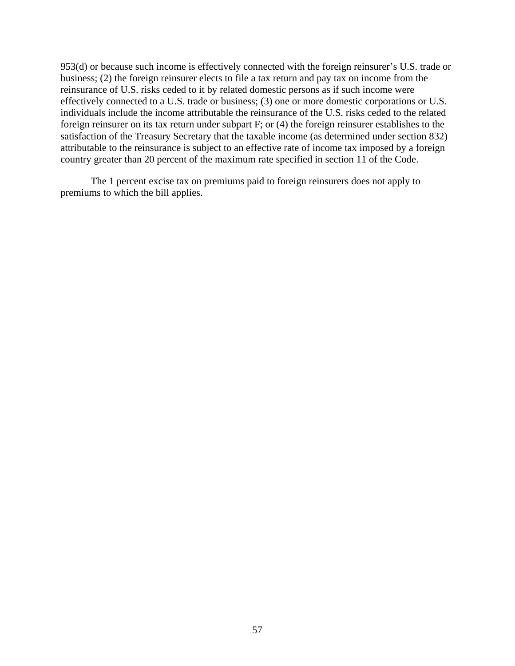953(d) or because such income is effectively connected with the foreign reinsurer's U.S. trade or business; (2) the foreign reinsurer elects to file a tax return and pay tax on income from the reinsurance of U.S. risks ceded to it by related domestic persons as if such income were effectively connected to a U.S. trade or business; (3) one or more domestic corporations or U.S. individuals include the income attributable the reinsurance of the U.S. risks ceded to the related foreign reinsurer on its tax return under subpart F; or (4) the foreign reinsurer establishes to the satisfaction of the Treasury Secretary that the taxable income (as determined under section 832) attributable to the reinsurance is subject to an effective rate of income tax imposed by a foreign country greater than 20 percent of the maximum rate specified in section 11 of the Code.

The 1 percent excise tax on premiums paid to foreign reinsurers does not apply to premiums to which the bill applies.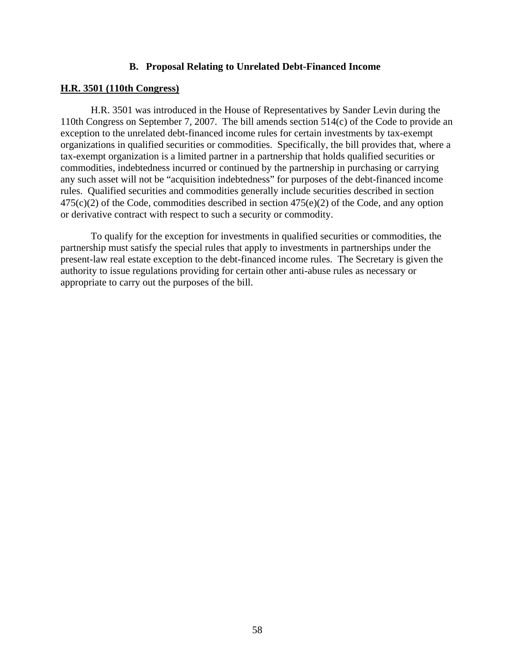### **B. Proposal Relating to Unrelated Debt-Financed Income**

### **H.R. 3501 (110th Congress)**

H.R. 3501 was introduced in the House of Representatives by Sander Levin during the 110th Congress on September 7, 2007. The bill amends section 514(c) of the Code to provide an exception to the unrelated debt-financed income rules for certain investments by tax-exempt organizations in qualified securities or commodities. Specifically, the bill provides that, where a tax-exempt organization is a limited partner in a partnership that holds qualified securities or commodities, indebtedness incurred or continued by the partnership in purchasing or carrying any such asset will not be "acquisition indebtedness" for purposes of the debt-financed income rules. Qualified securities and commodities generally include securities described in section 475(c)(2) of the Code, commodities described in section 475(e)(2) of the Code, and any option or derivative contract with respect to such a security or commodity.

To qualify for the exception for investments in qualified securities or commodities, the partnership must satisfy the special rules that apply to investments in partnerships under the present-law real estate exception to the debt-financed income rules. The Secretary is given the authority to issue regulations providing for certain other anti-abuse rules as necessary or appropriate to carry out the purposes of the bill.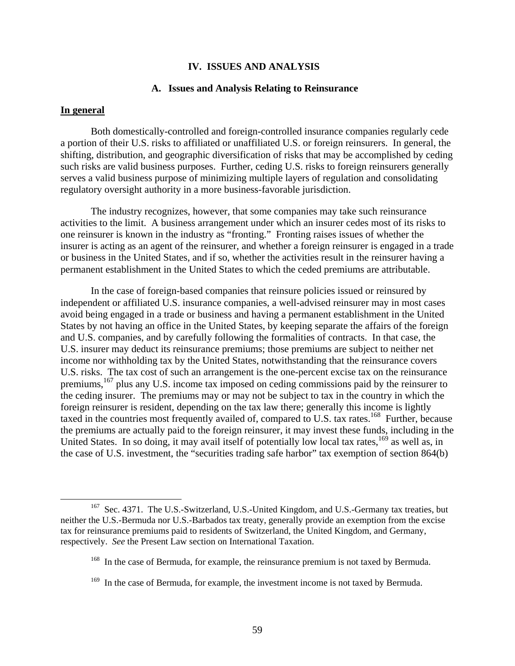### **IV. ISSUES AND ANALYSIS**

### **A. Issues and Analysis Relating to Reinsurance**

### **In general**

Both domestically-controlled and foreign-controlled insurance companies regularly cede a portion of their U.S. risks to affiliated or unaffiliated U.S. or foreign reinsurers. In general, the shifting, distribution, and geographic diversification of risks that may be accomplished by ceding such risks are valid business purposes. Further, ceding U.S. risks to foreign reinsurers generally serves a valid business purpose of minimizing multiple layers of regulation and consolidating regulatory oversight authority in a more business-favorable jurisdiction.

The industry recognizes, however, that some companies may take such reinsurance activities to the limit. A business arrangement under which an insurer cedes most of its risks to one reinsurer is known in the industry as "fronting." Fronting raises issues of whether the insurer is acting as an agent of the reinsurer, and whether a foreign reinsurer is engaged in a trade or business in the United States, and if so, whether the activities result in the reinsurer having a permanent establishment in the United States to which the ceded premiums are attributable.

In the case of foreign-based companies that reinsure policies issued or reinsured by independent or affiliated U.S. insurance companies, a well-advised reinsurer may in most cases avoid being engaged in a trade or business and having a permanent establishment in the United States by not having an office in the United States, by keeping separate the affairs of the foreign and U.S. companies, and by carefully following the formalities of contracts. In that case, the U.S. insurer may deduct its reinsurance premiums; those premiums are subject to neither net income nor withholding tax by the United States, notwithstanding that the reinsurance covers U.S. risks. The tax cost of such an arrangement is the one-percent excise tax on the reinsurance premiums,<sup>167</sup> plus any U.S. income tax imposed on ceding commissions paid by the reinsurer to the ceding insurer. The premiums may or may not be subject to tax in the country in which the foreign reinsurer is resident, depending on the tax law there; generally this income is lightly taxed in the countries most frequently availed of, compared to U.S. tax rates.<sup>168</sup> Further, because the premiums are actually paid to the foreign reinsurer, it may invest these funds, including in the United States. In so doing, it may avail itself of potentially low local tax rates,  $169$  as well as, in the case of U.S. investment, the "securities trading safe harbor" tax exemption of section 864(b)

<sup>&</sup>lt;sup>167</sup> Sec. 4371. The U.S.-Switzerland, U.S.-United Kingdom, and U.S.-Germany tax treaties, but neither the U.S.-Bermuda nor U.S.-Barbados tax treaty, generally provide an exemption from the excise tax for reinsurance premiums paid to residents of Switzerland, the United Kingdom, and Germany, respectively. *See* the Present Law section on International Taxation.

<sup>&</sup>lt;sup>168</sup> In the case of Bermuda, for example, the reinsurance premium is not taxed by Bermuda.

<sup>&</sup>lt;sup>169</sup> In the case of Bermuda, for example, the investment income is not taxed by Bermuda.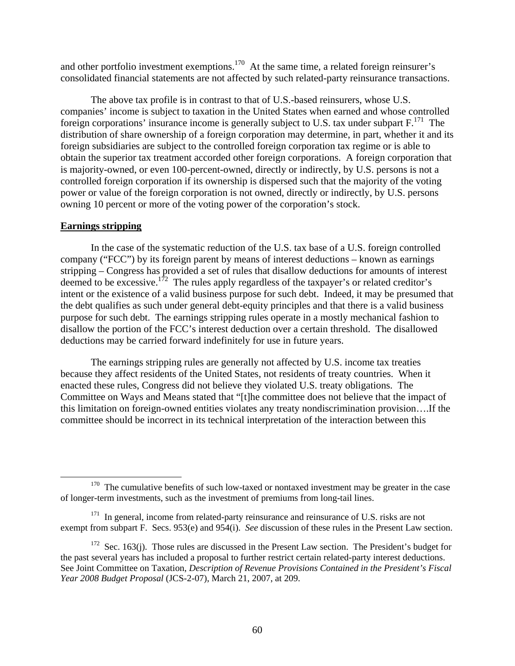and other portfolio investment exemptions.<sup>170</sup> At the same time, a related foreign reinsurer's consolidated financial statements are not affected by such related-party reinsurance transactions.

The above tax profile is in contrast to that of U.S.-based reinsurers, whose U.S. companies' income is subject to taxation in the United States when earned and whose controlled foreign corporations' insurance income is generally subject to U.S. tax under subpart  $F<sup>171</sup>$ . The distribution of share ownership of a foreign corporation may determine, in part, whether it and its foreign subsidiaries are subject to the controlled foreign corporation tax regime or is able to obtain the superior tax treatment accorded other foreign corporations. A foreign corporation that is majority-owned, or even 100-percent-owned, directly or indirectly, by U.S. persons is not a controlled foreign corporation if its ownership is dispersed such that the majority of the voting power or value of the foreign corporation is not owned, directly or indirectly, by U.S. persons owning 10 percent or more of the voting power of the corporation's stock.

# **Earnings stripping**

In the case of the systematic reduction of the U.S. tax base of a U.S. foreign controlled company ("FCC") by its foreign parent by means of interest deductions – known as earnings stripping – Congress has provided a set of rules that disallow deductions for amounts of interest deemed to be excessive.<sup>172</sup> The rules apply regardless of the taxpayer's or related creditor's intent or the existence of a valid business purpose for such debt. Indeed, it may be presumed that the debt qualifies as such under general debt-equity principles and that there is a valid business purpose for such debt. The earnings stripping rules operate in a mostly mechanical fashion to disallow the portion of the FCC's interest deduction over a certain threshold. The disallowed deductions may be carried forward indefinitely for use in future years.

The earnings stripping rules are generally not affected by U.S. income tax treaties because they affect residents of the United States, not residents of treaty countries. When it enacted these rules, Congress did not believe they violated U.S. treaty obligations. The Committee on Ways and Means stated that "[t]he committee does not believe that the impact of this limitation on foreign-owned entities violates any treaty nondiscrimination provision….If the committee should be incorrect in its technical interpretation of the interaction between this

<sup>&</sup>lt;sup>170</sup> The cumulative benefits of such low-taxed or nontaxed investment may be greater in the case of longer-term investments, such as the investment of premiums from long-tail lines.

 $171$  In general, income from related-party reinsurance and reinsurance of U.S. risks are not exempt from subpart F. Secs. 953(e) and 954(i). *See* discussion of these rules in the Present Law section.

<sup>&</sup>lt;sup>172</sup> Sec. 163(j). Those rules are discussed in the Present Law section. The President's budget for the past several years has included a proposal to further restrict certain related-party interest deductions. See Joint Committee on Taxation, *Description of Revenue Provisions Contained in the President's Fiscal Year 2008 Budget Proposal* (JCS-2-07), March 21, 2007, at 209.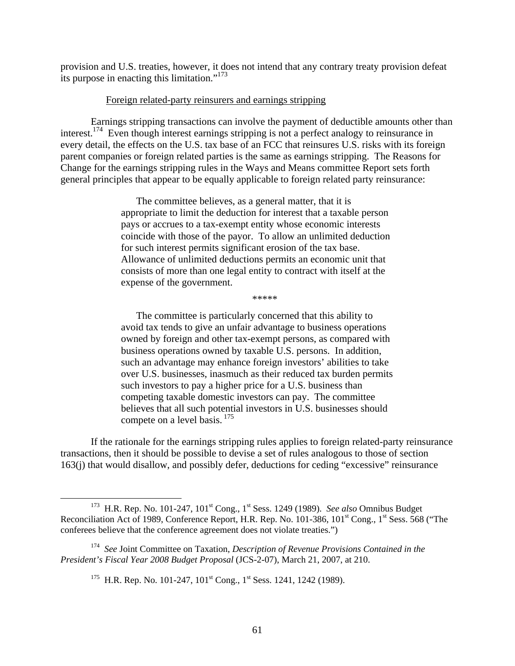provision and U.S. treaties, however, it does not intend that any contrary treaty provision defeat its purpose in enacting this limitation."173

### Foreign related-party reinsurers and earnings stripping

Earnings stripping transactions can involve the payment of deductible amounts other than interest.174 Even though interest earnings stripping is not a perfect analogy to reinsurance in every detail, the effects on the U.S. tax base of an FCC that reinsures U.S. risks with its foreign parent companies or foreign related parties is the same as earnings stripping. The Reasons for Change for the earnings stripping rules in the Ways and Means committee Report sets forth general principles that appear to be equally applicable to foreign related party reinsurance:

> The committee believes, as a general matter, that it is appropriate to limit the deduction for interest that a taxable person pays or accrues to a tax-exempt entity whose economic interests coincide with those of the payor. To allow an unlimited deduction for such interest permits significant erosion of the tax base. Allowance of unlimited deductions permits an economic unit that consists of more than one legal entity to contract with itself at the expense of the government.

> > \*\*\*\*\*

The committee is particularly concerned that this ability to avoid tax tends to give an unfair advantage to business operations owned by foreign and other tax-exempt persons, as compared with business operations owned by taxable U.S. persons. In addition, such an advantage may enhance foreign investors' abilities to take over U.S. businesses, inasmuch as their reduced tax burden permits such investors to pay a higher price for a U.S. business than competing taxable domestic investors can pay. The committee believes that all such potential investors in U.S. businesses should compete on a level basis.<sup>175</sup>

If the rationale for the earnings stripping rules applies to foreign related-party reinsurance transactions, then it should be possible to devise a set of rules analogous to those of section 163(j) that would disallow, and possibly defer, deductions for ceding "excessive" reinsurance

<sup>&</sup>lt;sup>173</sup> H.R. Rep. No. 101-247, 101<sup>st</sup> Cong., 1<sup>st</sup> Sess. 1249 (1989). *See also* Omnibus Budget Reconciliation Act of 1989, Conference Report, H.R. Rep. No. 101-386, 101<sup>st</sup> Cong., 1<sup>st</sup> Sess. 568 ("The conferees believe that the conference agreement does not violate treaties.")

<sup>174</sup> *See* Joint Committee on Taxation, *Description of Revenue Provisions Contained in the President's Fiscal Year 2008 Budget Proposal* (JCS-2-07), March 21, 2007, at 210.

<sup>&</sup>lt;sup>175</sup> H.R. Rep. No. 101-247,  $101<sup>st</sup>$  Cong.,  $1<sup>st</sup>$  Sess. 1241, 1242 (1989).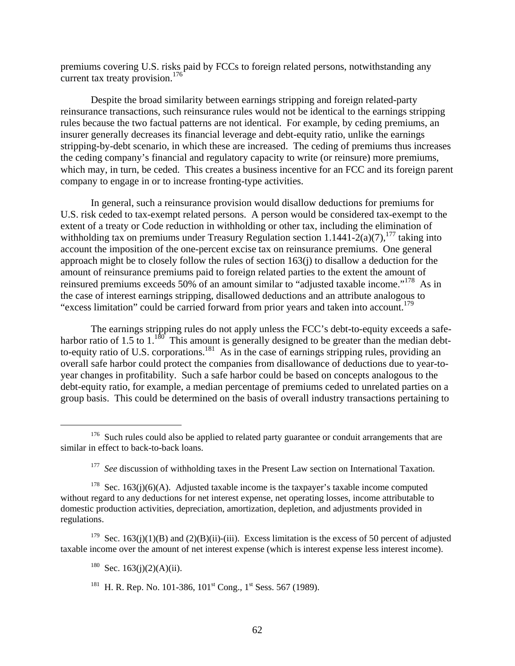premiums covering U.S. risks paid by FCCs to foreign related persons, notwithstanding any current tax treaty provision.<sup>176</sup>

Despite the broad similarity between earnings stripping and foreign related-party reinsurance transactions, such reinsurance rules would not be identical to the earnings stripping rules because the two factual patterns are not identical. For example, by ceding premiums, an insurer generally decreases its financial leverage and debt-equity ratio, unlike the earnings stripping-by-debt scenario, in which these are increased. The ceding of premiums thus increases the ceding company's financial and regulatory capacity to write (or reinsure) more premiums, which may, in turn, be ceded. This creates a business incentive for an FCC and its foreign parent company to engage in or to increase fronting-type activities.

In general, such a reinsurance provision would disallow deductions for premiums for U.S. risk ceded to tax-exempt related persons. A person would be considered tax-exempt to the extent of a treaty or Code reduction in withholding or other tax, including the elimination of withholding tax on premiums under Treasury Regulation section 1.1441-2(a)(7),<sup>177</sup> taking into account the imposition of the one-percent excise tax on reinsurance premiums. One general approach might be to closely follow the rules of section 163(j) to disallow a deduction for the amount of reinsurance premiums paid to foreign related parties to the extent the amount of reinsured premiums exceeds 50% of an amount similar to "adjusted taxable income."178 As in the case of interest earnings stripping, disallowed deductions and an attribute analogous to "excess limitation" could be carried forward from prior years and taken into account.<sup>179</sup>

The earnings stripping rules do not apply unless the FCC's debt-to-equity exceeds a safeharbor ratio of 1.5 to 1.<sup>180</sup> This amount is generally designed to be greater than the median debtto-equity ratio of U.S. corporations.<sup>181</sup> As in the case of earnings stripping rules, providing an overall safe harbor could protect the companies from disallowance of deductions due to year-toyear changes in profitability. Such a safe harbor could be based on concepts analogous to the debt-equity ratio, for example, a median percentage of premiums ceded to unrelated parties on a group basis. This could be determined on the basis of overall industry transactions pertaining to

<sup>&</sup>lt;sup>176</sup> Such rules could also be applied to related party guarantee or conduit arrangements that are similar in effect to back-to-back loans.

<sup>&</sup>lt;sup>177</sup> *See* discussion of withholding taxes in the Present Law section on International Taxation.

<sup>&</sup>lt;sup>178</sup> Sec. 163(j)(6)(A). Adjusted taxable income is the taxpayer's taxable income computed without regard to any deductions for net interest expense, net operating losses, income attributable to domestic production activities, depreciation, amortization, depletion, and adjustments provided in regulations.

<sup>&</sup>lt;sup>179</sup> Sec. 163(j)(1)(B) and (2)(B)(ii)-(iii). Excess limitation is the excess of 50 percent of adjusted taxable income over the amount of net interest expense (which is interest expense less interest income).

<sup>&</sup>lt;sup>180</sup> Sec. 163(j)(2)(A)(ii).

<sup>&</sup>lt;sup>181</sup> H. R. Rep. No. 101-386, 101<sup>st</sup> Cong., 1<sup>st</sup> Sess. 567 (1989).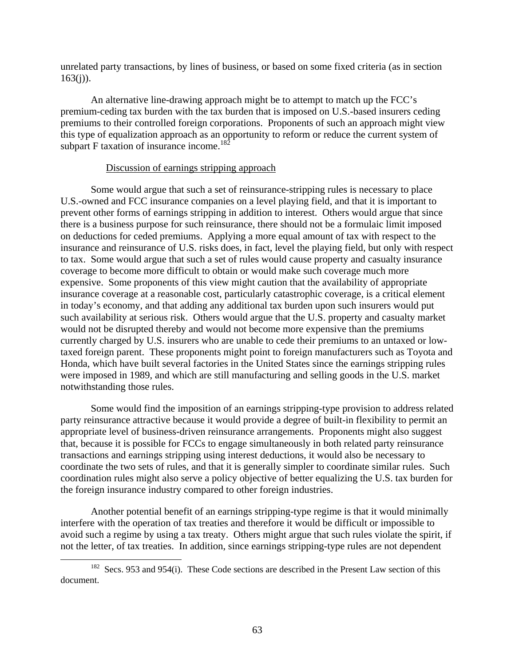unrelated party transactions, by lines of business, or based on some fixed criteria (as in section  $163(j)$ ).

An alternative line-drawing approach might be to attempt to match up the FCC's premium-ceding tax burden with the tax burden that is imposed on U.S.-based insurers ceding premiums to their controlled foreign corporations. Proponents of such an approach might view this type of equalization approach as an opportunity to reform or reduce the current system of subpart F taxation of insurance income.<sup>182</sup>

## Discussion of earnings stripping approach

Some would argue that such a set of reinsurance-stripping rules is necessary to place U.S.-owned and FCC insurance companies on a level playing field, and that it is important to prevent other forms of earnings stripping in addition to interest. Others would argue that since there is a business purpose for such reinsurance, there should not be a formulaic limit imposed on deductions for ceded premiums. Applying a more equal amount of tax with respect to the insurance and reinsurance of U.S. risks does, in fact, level the playing field, but only with respect to tax. Some would argue that such a set of rules would cause property and casualty insurance coverage to become more difficult to obtain or would make such coverage much more expensive. Some proponents of this view might caution that the availability of appropriate insurance coverage at a reasonable cost, particularly catastrophic coverage, is a critical element in today's economy, and that adding any additional tax burden upon such insurers would put such availability at serious risk. Others would argue that the U.S. property and casualty market would not be disrupted thereby and would not become more expensive than the premiums currently charged by U.S. insurers who are unable to cede their premiums to an untaxed or lowtaxed foreign parent. These proponents might point to foreign manufacturers such as Toyota and Honda, which have built several factories in the United States since the earnings stripping rules were imposed in 1989, and which are still manufacturing and selling goods in the U.S. market notwithstanding those rules.

Some would find the imposition of an earnings stripping-type provision to address related party reinsurance attractive because it would provide a degree of built-in flexibility to permit an appropriate level of business-driven reinsurance arrangements. Proponents might also suggest that, because it is possible for FCCs to engage simultaneously in both related party reinsurance transactions and earnings stripping using interest deductions, it would also be necessary to coordinate the two sets of rules, and that it is generally simpler to coordinate similar rules. Such coordination rules might also serve a policy objective of better equalizing the U.S. tax burden for the foreign insurance industry compared to other foreign industries.

Another potential benefit of an earnings stripping-type regime is that it would minimally interfere with the operation of tax treaties and therefore it would be difficult or impossible to avoid such a regime by using a tax treaty. Others might argue that such rules violate the spirit, if not the letter, of tax treaties. In addition, since earnings stripping-type rules are not dependent

 $182$  Secs. 953 and 954(i). These Code sections are described in the Present Law section of this document.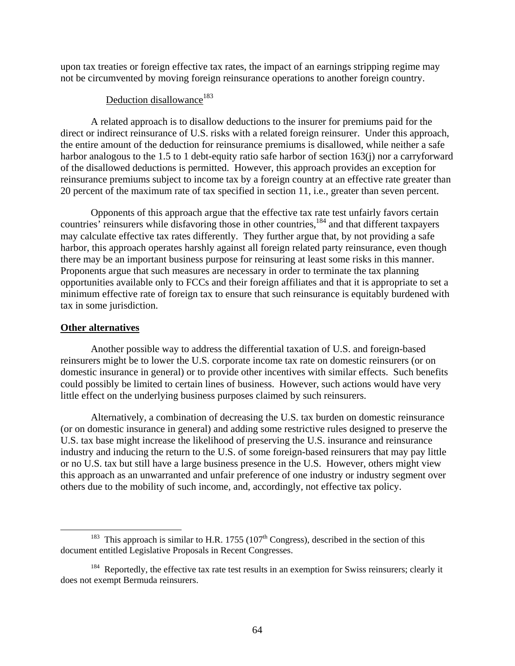upon tax treaties or foreign effective tax rates, the impact of an earnings stripping regime may not be circumvented by moving foreign reinsurance operations to another foreign country.

# Deduction disallowance<sup>183</sup>

A related approach is to disallow deductions to the insurer for premiums paid for the direct or indirect reinsurance of U.S. risks with a related foreign reinsurer. Under this approach, the entire amount of the deduction for reinsurance premiums is disallowed, while neither a safe harbor analogous to the 1.5 to 1 debt-equity ratio safe harbor of section 163(j) nor a carryforward of the disallowed deductions is permitted. However, this approach provides an exception for reinsurance premiums subject to income tax by a foreign country at an effective rate greater than 20 percent of the maximum rate of tax specified in section 11, i.e., greater than seven percent.

Opponents of this approach argue that the effective tax rate test unfairly favors certain countries' reinsurers while disfavoring those in other countries,<sup>184</sup> and that different taxpayers may calculate effective tax rates differently. They further argue that, by not providing a safe harbor, this approach operates harshly against all foreign related party reinsurance, even though there may be an important business purpose for reinsuring at least some risks in this manner. Proponents argue that such measures are necessary in order to terminate the tax planning opportunities available only to FCCs and their foreign affiliates and that it is appropriate to set a minimum effective rate of foreign tax to ensure that such reinsurance is equitably burdened with tax in some jurisdiction.

## **Other alternatives**

Another possible way to address the differential taxation of U.S. and foreign-based reinsurers might be to lower the U.S. corporate income tax rate on domestic reinsurers (or on domestic insurance in general) or to provide other incentives with similar effects. Such benefits could possibly be limited to certain lines of business. However, such actions would have very little effect on the underlying business purposes claimed by such reinsurers.

Alternatively, a combination of decreasing the U.S. tax burden on domestic reinsurance (or on domestic insurance in general) and adding some restrictive rules designed to preserve the U.S. tax base might increase the likelihood of preserving the U.S. insurance and reinsurance industry and inducing the return to the U.S. of some foreign-based reinsurers that may pay little or no U.S. tax but still have a large business presence in the U.S. However, others might view this approach as an unwarranted and unfair preference of one industry or industry segment over others due to the mobility of such income, and, accordingly, not effective tax policy.

<sup>&</sup>lt;sup>183</sup> This approach is similar to H.R. 1755 (107<sup>th</sup> Congress), described in the section of this document entitled Legislative Proposals in Recent Congresses.

<sup>&</sup>lt;sup>184</sup> Reportedly, the effective tax rate test results in an exemption for Swiss reinsurers; clearly it does not exempt Bermuda reinsurers.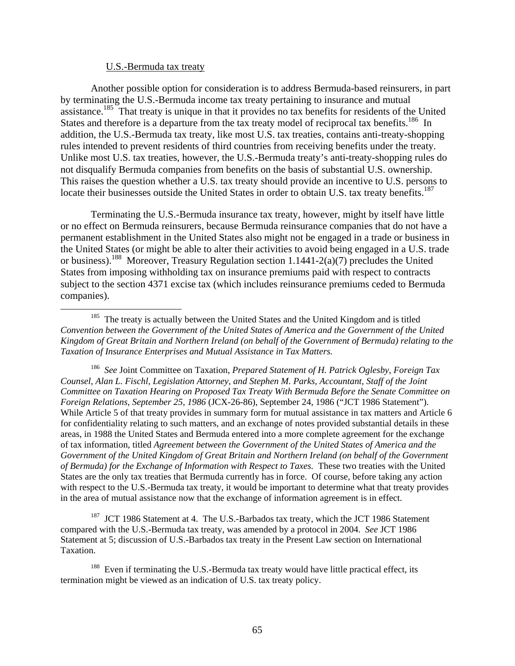### U.S.-Bermuda tax treaty

Another possible option for consideration is to address Bermuda-based reinsurers, in part by terminating the U.S.-Bermuda income tax treaty pertaining to insurance and mutual assistance.<sup>185</sup> That treaty is unique in that it provides no tax benefits for residents of the United States and therefore is a departure from the tax treaty model of reciprocal tax benefits.<sup>186</sup> In addition, the U.S.-Bermuda tax treaty, like most U.S. tax treaties, contains anti-treaty-shopping rules intended to prevent residents of third countries from receiving benefits under the treaty. Unlike most U.S. tax treaties, however, the U.S.-Bermuda treaty's anti-treaty-shopping rules do not disqualify Bermuda companies from benefits on the basis of substantial U.S. ownership. This raises the question whether a U.S. tax treaty should provide an incentive to U.S. persons to locate their businesses outside the United States in order to obtain U.S. tax treaty benefits.<sup>187</sup>

Terminating the U.S.-Bermuda insurance tax treaty, however, might by itself have little or no effect on Bermuda reinsurers, because Bermuda reinsurance companies that do not have a permanent establishment in the United States also might not be engaged in a trade or business in the United States (or might be able to alter their activities to avoid being engaged in a U.S. trade or business).<sup>188</sup> Moreover, Treasury Regulation section 1.1441-2(a)(7) precludes the United States from imposing withholding tax on insurance premiums paid with respect to contracts subject to the section 4371 excise tax (which includes reinsurance premiums ceded to Bermuda companies).

186 *See* Joint Committee on Taxation, *Prepared Statement of H. Patrick Oglesby, Foreign Tax Counsel, Alan L. Fischl, Legislation Attorney, and Stephen M. Parks, Accountant, Staff of the Joint Committee on Taxation Hearing on Proposed Tax Treaty With Bermuda Before the Senate Committee on Foreign Relations, September 25, 1986* (JCX-26-86), September 24, 1986 ("JCT 1986 Statement"). While Article 5 of that treaty provides in summary form for mutual assistance in tax matters and Article 6 for confidentiality relating to such matters, and an exchange of notes provided substantial details in these areas, in 1988 the United States and Bermuda entered into a more complete agreement for the exchange of tax information, titled *Agreement between the Government of the United States of America and the Government of the United Kingdom of Great Britain and Northern Ireland (on behalf of the Government of Bermuda) for the Exchange of Information with Respect to Taxes.* These two treaties with the United States are the only tax treaties that Bermuda currently has in force. Of course, before taking any action with respect to the U.S.-Bermuda tax treaty, it would be important to determine what that treaty provides in the area of mutual assistance now that the exchange of information agreement is in effect.

<sup>187</sup> JCT 1986 Statement at 4. The U.S.-Barbados tax treaty, which the JCT 1986 Statement compared with the U.S.-Bermuda tax treaty, was amended by a protocol in 2004. *See* JCT 1986 Statement at 5; discussion of U.S.-Barbados tax treaty in the Present Law section on International Taxation.

<sup>188</sup> Even if terminating the U.S.-Bermuda tax treaty would have little practical effect, its termination might be viewed as an indication of U.S. tax treaty policy.

<sup>&</sup>lt;sup>185</sup> The treaty is actually between the United States and the United Kingdom and is titled *Convention between the Government of the United States of America and the Government of the United Kingdom of Great Britain and Northern Ireland (on behalf of the Government of Bermuda) relating to the Taxation of Insurance Enterprises and Mutual Assistance in Tax Matters.*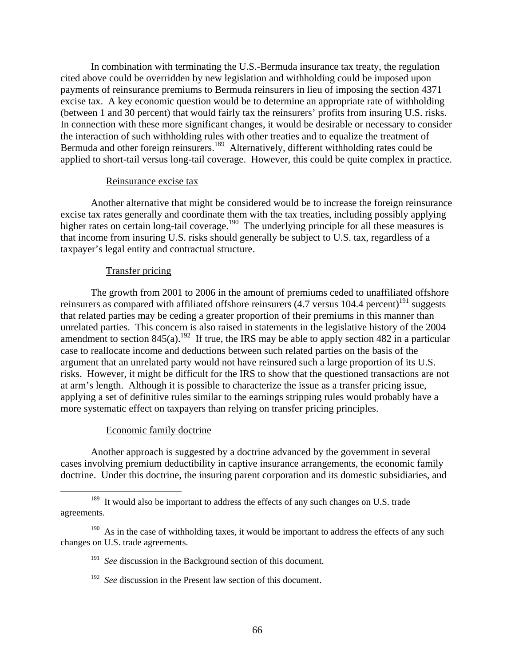In combination with terminating the U.S.-Bermuda insurance tax treaty, the regulation cited above could be overridden by new legislation and withholding could be imposed upon payments of reinsurance premiums to Bermuda reinsurers in lieu of imposing the section 4371 excise tax. A key economic question would be to determine an appropriate rate of withholding (between 1 and 30 percent) that would fairly tax the reinsurers' profits from insuring U.S. risks. In connection with these more significant changes, it would be desirable or necessary to consider the interaction of such withholding rules with other treaties and to equalize the treatment of Bermuda and other foreign reinsurers.<sup>189</sup> Alternatively, different withholding rates could be applied to short-tail versus long-tail coverage. However, this could be quite complex in practice.

### Reinsurance excise tax

Another alternative that might be considered would be to increase the foreign reinsurance excise tax rates generally and coordinate them with the tax treaties, including possibly applying higher rates on certain long-tail coverage.<sup>190</sup> The underlying principle for all these measures is that income from insuring U.S. risks should generally be subject to U.S. tax, regardless of a taxpayer's legal entity and contractual structure.

### Transfer pricing

The growth from 2001 to 2006 in the amount of premiums ceded to unaffiliated offshore reinsurers as compared with affiliated offshore reinsurers  $(4.7 \text{ versus } 104.4 \text{ percent})^{191}$  suggests that related parties may be ceding a greater proportion of their premiums in this manner than unrelated parties. This concern is also raised in statements in the legislative history of the 2004 amendment to section 845(a).<sup>192</sup> If true, the IRS may be able to apply section 482 in a particular case to reallocate income and deductions between such related parties on the basis of the argument that an unrelated party would not have reinsured such a large proportion of its U.S. risks. However, it might be difficult for the IRS to show that the questioned transactions are not at arm's length. Although it is possible to characterize the issue as a transfer pricing issue, applying a set of definitive rules similar to the earnings stripping rules would probably have a more systematic effect on taxpayers than relying on transfer pricing principles.

### Economic family doctrine

Another approach is suggested by a doctrine advanced by the government in several cases involving premium deductibility in captive insurance arrangements, the economic family doctrine. Under this doctrine, the insuring parent corporation and its domestic subsidiaries, and

<sup>&</sup>lt;sup>189</sup> It would also be important to address the effects of any such changes on U.S. trade agreements.

 $190$  As in the case of withholding taxes, it would be important to address the effects of any such changes on U.S. trade agreements.

<sup>&</sup>lt;sup>191</sup> *See* discussion in the Background section of this document.

<sup>&</sup>lt;sup>192</sup> See discussion in the Present law section of this document.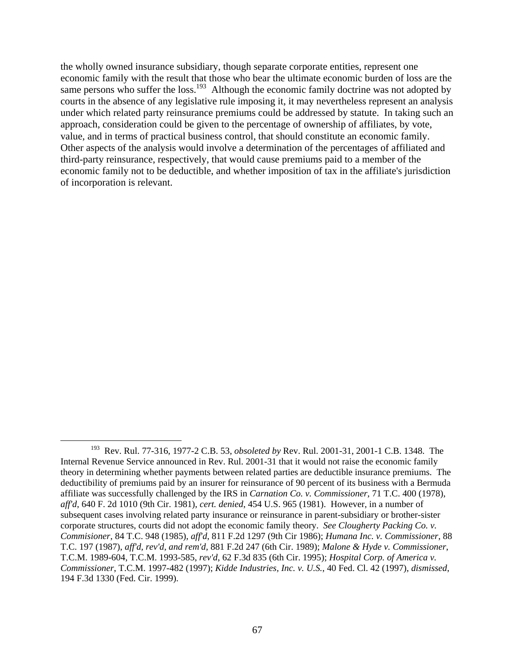the wholly owned insurance subsidiary, though separate corporate entities, represent one economic family with the result that those who bear the ultimate economic burden of loss are the same persons who suffer the  $loss$ <sup>193</sup> Although the economic family doctrine was not adopted by courts in the absence of any legislative rule imposing it, it may nevertheless represent an analysis under which related party reinsurance premiums could be addressed by statute. In taking such an approach, consideration could be given to the percentage of ownership of affiliates, by vote, value, and in terms of practical business control, that should constitute an economic family. Other aspects of the analysis would involve a determination of the percentages of affiliated and third-party reinsurance, respectively, that would cause premiums paid to a member of the economic family not to be deductible, and whether imposition of tax in the affiliate's jurisdiction of incorporation is relevant.

 <sup>193</sup> Rev. Rul. 77-316, 1977-2 C.B. 53, *obsoleted by* Rev. Rul. 2001-31, 2001-1 C.B. 1348. The Internal Revenue Service announced in Rev. Rul. 2001-31 that it would not raise the economic family theory in determining whether payments between related parties are deductible insurance premiums. The deductibility of premiums paid by an insurer for reinsurance of 90 percent of its business with a Bermuda affiliate was successfully challenged by the IRS in *Carnation Co. v. Commissioner*, 71 T.C. 400 (1978), *aff'd*, 640 F. 2d 1010 (9th Cir. 1981), *cert. denied*, 454 U.S. 965 (1981). However, in a number of subsequent cases involving related party insurance or reinsurance in parent-subsidiary or brother-sister corporate structures, courts did not adopt the economic family theory. *See Clougherty Packing Co. v. Commisioner*, 84 T.C. 948 (1985), *aff'd*, 811 F.2d 1297 (9th Cir 1986); *Humana Inc. v. Commissioner*, 88 T.C. 197 (1987), *aff'd, rev'd, and rem'd,* 881 F.2d 247 (6th Cir. 1989); *Malone & Hyde v. Commissioner*, T.C.M. 1989-604, T.C.M. 1993-585, *rev'd*, 62 F.3d 835 (6th Cir. 1995); *Hospital Corp. of America v. Commissioner*, T.C.M. 1997-482 (1997); *Kidde Industries, Inc. v. U.S.*, 40 Fed. Cl. 42 (1997), *dismissed*, 194 F.3d 1330 (Fed. Cir. 1999).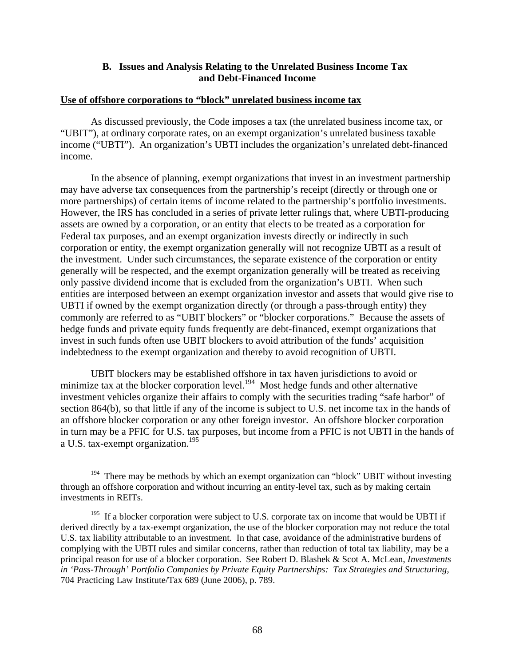# **B. Issues and Analysis Relating to the Unrelated Business Income Tax and Debt-Financed Income**

## **Use of offshore corporations to "block" unrelated business income tax**

As discussed previously, the Code imposes a tax (the unrelated business income tax, or "UBIT"), at ordinary corporate rates, on an exempt organization's unrelated business taxable income ("UBTI"). An organization's UBTI includes the organization's unrelated debt-financed income.

In the absence of planning, exempt organizations that invest in an investment partnership may have adverse tax consequences from the partnership's receipt (directly or through one or more partnerships) of certain items of income related to the partnership's portfolio investments. However, the IRS has concluded in a series of private letter rulings that, where UBTI-producing assets are owned by a corporation, or an entity that elects to be treated as a corporation for Federal tax purposes, and an exempt organization invests directly or indirectly in such corporation or entity, the exempt organization generally will not recognize UBTI as a result of the investment. Under such circumstances, the separate existence of the corporation or entity generally will be respected, and the exempt organization generally will be treated as receiving only passive dividend income that is excluded from the organization's UBTI. When such entities are interposed between an exempt organization investor and assets that would give rise to UBTI if owned by the exempt organization directly (or through a pass-through entity) they commonly are referred to as "UBIT blockers" or "blocker corporations." Because the assets of hedge funds and private equity funds frequently are debt-financed, exempt organizations that invest in such funds often use UBIT blockers to avoid attribution of the funds' acquisition indebtedness to the exempt organization and thereby to avoid recognition of UBTI.

UBIT blockers may be established offshore in tax haven jurisdictions to avoid or minimize tax at the blocker corporation level.<sup>194</sup> Most hedge funds and other alternative investment vehicles organize their affairs to comply with the securities trading "safe harbor" of section 864(b), so that little if any of the income is subject to U.S. net income tax in the hands of an offshore blocker corporation or any other foreign investor. An offshore blocker corporation in turn may be a PFIC for U.S. tax purposes, but income from a PFIC is not UBTI in the hands of a U.S. tax-exempt organization.<sup>195</sup>

<sup>&</sup>lt;sup>194</sup> There may be methods by which an exempt organization can "block" UBIT without investing through an offshore corporation and without incurring an entity-level tax, such as by making certain investments in REITs.

 $195$  If a blocker corporation were subject to U.S. corporate tax on income that would be UBTI if derived directly by a tax-exempt organization, the use of the blocker corporation may not reduce the total U.S. tax liability attributable to an investment. In that case, avoidance of the administrative burdens of complying with the UBTI rules and similar concerns, rather than reduction of total tax liability, may be a principal reason for use of a blocker corporation. See Robert D. Blashek & Scot A. McLean, *Investments in 'Pass-Through' Portfolio Companies by Private Equity Partnerships: Tax Strategies and Structuring*, 704 Practicing Law Institute/Tax 689 (June 2006), p. 789.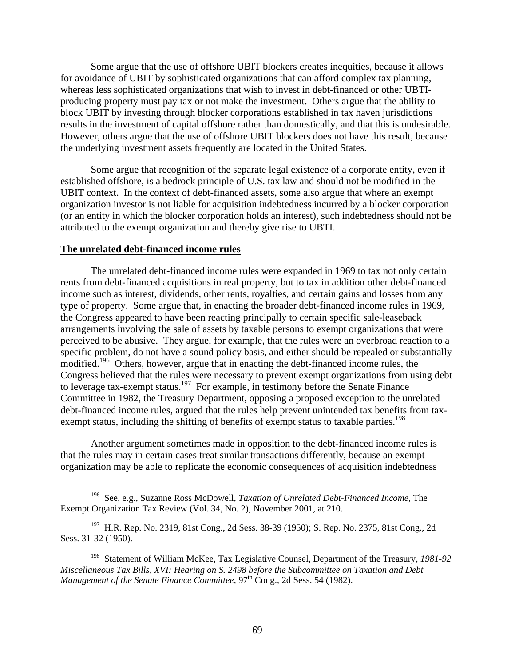Some argue that the use of offshore UBIT blockers creates inequities, because it allows for avoidance of UBIT by sophisticated organizations that can afford complex tax planning, whereas less sophisticated organizations that wish to invest in debt-financed or other UBTIproducing property must pay tax or not make the investment. Others argue that the ability to block UBIT by investing through blocker corporations established in tax haven jurisdictions results in the investment of capital offshore rather than domestically, and that this is undesirable. However, others argue that the use of offshore UBIT blockers does not have this result, because the underlying investment assets frequently are located in the United States.

Some argue that recognition of the separate legal existence of a corporate entity, even if established offshore, is a bedrock principle of U.S. tax law and should not be modified in the UBIT context. In the context of debt-financed assets, some also argue that where an exempt organization investor is not liable for acquisition indebtedness incurred by a blocker corporation (or an entity in which the blocker corporation holds an interest), such indebtedness should not be attributed to the exempt organization and thereby give rise to UBTI.

### **The unrelated debt-financed income rules**

The unrelated debt-financed income rules were expanded in 1969 to tax not only certain rents from debt-financed acquisitions in real property, but to tax in addition other debt-financed income such as interest, dividends, other rents, royalties, and certain gains and losses from any type of property. Some argue that, in enacting the broader debt-financed income rules in 1969, the Congress appeared to have been reacting principally to certain specific sale-leaseback arrangements involving the sale of assets by taxable persons to exempt organizations that were perceived to be abusive. They argue, for example, that the rules were an overbroad reaction to a specific problem, do not have a sound policy basis, and either should be repealed or substantially modified.<sup>196</sup> Others, however, argue that in enacting the debt-financed income rules, the Congress believed that the rules were necessary to prevent exempt organizations from using debt to leverage tax-exempt status.<sup>197</sup> For example, in testimony before the Senate Finance Committee in 1982, the Treasury Department, opposing a proposed exception to the unrelated debt-financed income rules, argued that the rules help prevent unintended tax benefits from taxexempt status, including the shifting of benefits of exempt status to taxable parties.<sup>198</sup>

Another argument sometimes made in opposition to the debt-financed income rules is that the rules may in certain cases treat similar transactions differently, because an exempt organization may be able to replicate the economic consequences of acquisition indebtedness

 <sup>196</sup> See, e.g., Suzanne Ross McDowell, *Taxation of Unrelated Debt-Financed Income*, The Exempt Organization Tax Review (Vol. 34, No. 2), November 2001, at 210.

<sup>&</sup>lt;sup>197</sup> H.R. Rep. No. 2319, 81st Cong., 2d Sess. 38-39 (1950); S. Rep. No. 2375, 81st Cong., 2d Sess. 31-32 (1950).

<sup>198</sup> Statement of William McKee, Tax Legislative Counsel, Department of the Treasury, *1981-92 Miscellaneous Tax Bills, XVI: Hearing on S. 2498 before the Subcommittee on Taxation and Debt Management of the Senate Finance Committee*, 97<sup>th</sup> Cong., 2d Sess. 54 (1982).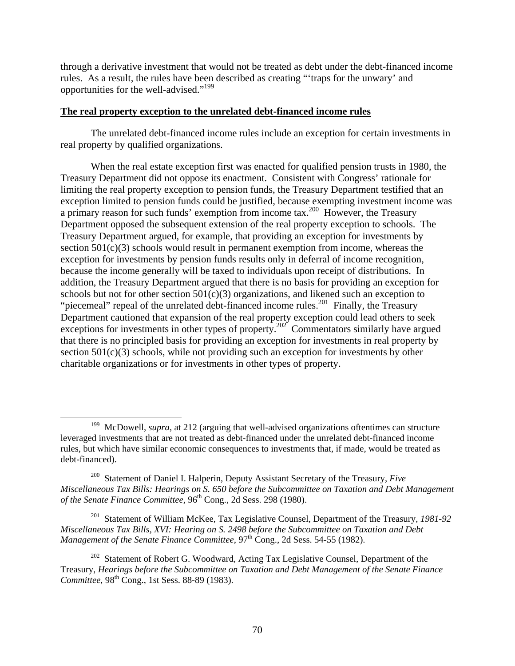through a derivative investment that would not be treated as debt under the debt-financed income rules. As a result, the rules have been described as creating "'traps for the unwary' and opportunities for the well-advised."199

## **The real property exception to the unrelated debt-financed income rules**

The unrelated debt-financed income rules include an exception for certain investments in real property by qualified organizations.

When the real estate exception first was enacted for qualified pension trusts in 1980, the Treasury Department did not oppose its enactment. Consistent with Congress' rationale for limiting the real property exception to pension funds, the Treasury Department testified that an exception limited to pension funds could be justified, because exempting investment income was a primary reason for such funds' exemption from income tax.200 However, the Treasury Department opposed the subsequent extension of the real property exception to schools. The Treasury Department argued, for example, that providing an exception for investments by section  $501(c)(3)$  schools would result in permanent exemption from income, whereas the exception for investments by pension funds results only in deferral of income recognition, because the income generally will be taxed to individuals upon receipt of distributions. In addition, the Treasury Department argued that there is no basis for providing an exception for schools but not for other section  $501(c)(3)$  organizations, and likened such an exception to "piecemeal" repeal of the unrelated debt-financed income rules.<sup>201</sup> Finally, the Treasury Department cautioned that expansion of the real property exception could lead others to seek exceptions for investments in other types of property.<sup>202</sup> Commentators similarly have argued that there is no principled basis for providing an exception for investments in real property by section  $501(c)(3)$  schools, while not providing such an exception for investments by other charitable organizations or for investments in other types of property.

201 Statement of William McKee, Tax Legislative Counsel, Department of the Treasury, *1981-92 Miscellaneous Tax Bills, XVI: Hearing on S. 2498 before the Subcommittee on Taxation and Debt Management of the Senate Finance Committee*, 97<sup>th</sup> Cong., 2d Sess. 54-55 (1982).

<sup>&</sup>lt;sup>199</sup> McDowell, *supra*, at 212 (arguing that well-advised organizations oftentimes can structure leveraged investments that are not treated as debt-financed under the unrelated debt-financed income rules, but which have similar economic consequences to investments that, if made, would be treated as debt-financed).

<sup>200</sup> Statement of Daniel I. Halperin, Deputy Assistant Secretary of the Treasury, *Five Miscellaneous Tax Bills: Hearings on S. 650 before the Subcommittee on Taxation and Debt Management of the Senate Finance Committee*,  $96<sup>th</sup>$  Cong., 2d Sess. 298 (1980).

 $202$  Statement of Robert G. Woodward, Acting Tax Legislative Counsel, Department of the Treasury, *Hearings before the Subcommittee on Taxation and Debt Management of the Senate Finance Committee*, 98<sup>th</sup> Cong., 1st Sess. 88-89 (1983).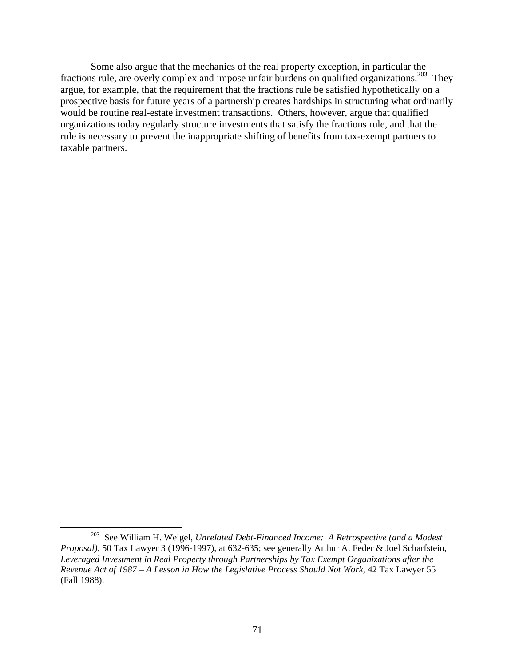Some also argue that the mechanics of the real property exception, in particular the fractions rule, are overly complex and impose unfair burdens on qualified organizations.<sup>203</sup> They argue, for example, that the requirement that the fractions rule be satisfied hypothetically on a prospective basis for future years of a partnership creates hardships in structuring what ordinarily would be routine real-estate investment transactions. Others, however, argue that qualified organizations today regularly structure investments that satisfy the fractions rule, and that the rule is necessary to prevent the inappropriate shifting of benefits from tax-exempt partners to taxable partners.

 <sup>203</sup> See William H. Weigel, *Unrelated Debt-Financed Income: A Retrospective (and a Modest Proposal)*, 50 Tax Lawyer 3 (1996-1997), at 632-635; see generally Arthur A. Feder & Joel Scharfstein, *Leveraged Investment in Real Property through Partnerships by Tax Exempt Organizations after the Revenue Act of 1987 – A Lesson in How the Legislative Process Should Not Work*, 42 Tax Lawyer 55 (Fall 1988).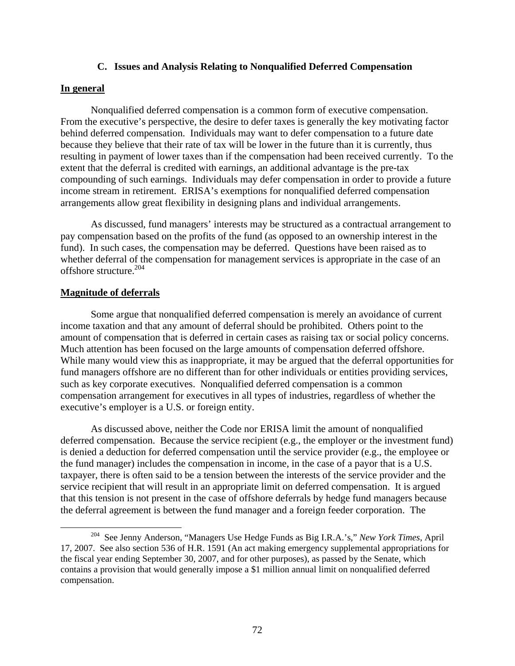#### **C. Issues and Analysis Relating to Nonqualified Deferred Compensation**

### **In general**

Nonqualified deferred compensation is a common form of executive compensation. From the executive's perspective, the desire to defer taxes is generally the key motivating factor behind deferred compensation. Individuals may want to defer compensation to a future date because they believe that their rate of tax will be lower in the future than it is currently, thus resulting in payment of lower taxes than if the compensation had been received currently. To the extent that the deferral is credited with earnings, an additional advantage is the pre-tax compounding of such earnings. Individuals may defer compensation in order to provide a future income stream in retirement. ERISA's exemptions for nonqualified deferred compensation arrangements allow great flexibility in designing plans and individual arrangements.

As discussed, fund managers' interests may be structured as a contractual arrangement to pay compensation based on the profits of the fund (as opposed to an ownership interest in the fund). In such cases, the compensation may be deferred. Questions have been raised as to whether deferral of the compensation for management services is appropriate in the case of an offshore structure.204

## **Magnitude of deferrals**

Some argue that nonqualified deferred compensation is merely an avoidance of current income taxation and that any amount of deferral should be prohibited. Others point to the amount of compensation that is deferred in certain cases as raising tax or social policy concerns. Much attention has been focused on the large amounts of compensation deferred offshore. While many would view this as inappropriate, it may be argued that the deferral opportunities for fund managers offshore are no different than for other individuals or entities providing services, such as key corporate executives. Nonqualified deferred compensation is a common compensation arrangement for executives in all types of industries, regardless of whether the executive's employer is a U.S. or foreign entity.

As discussed above, neither the Code nor ERISA limit the amount of nonqualified deferred compensation. Because the service recipient (e.g., the employer or the investment fund) is denied a deduction for deferred compensation until the service provider (e.g., the employee or the fund manager) includes the compensation in income, in the case of a payor that is a U.S. taxpayer, there is often said to be a tension between the interests of the service provider and the service recipient that will result in an appropriate limit on deferred compensation. It is argued that this tension is not present in the case of offshore deferrals by hedge fund managers because the deferral agreement is between the fund manager and a foreign feeder corporation. The

 <sup>204</sup> See Jenny Anderson, "Managers Use Hedge Funds as Big I.R.A.'s," *New York Times*, April 17, 2007. See also section 536 of H.R. 1591 (An act making emergency supplemental appropriations for the fiscal year ending September 30, 2007, and for other purposes), as passed by the Senate, which contains a provision that would generally impose a \$1 million annual limit on nonqualified deferred compensation.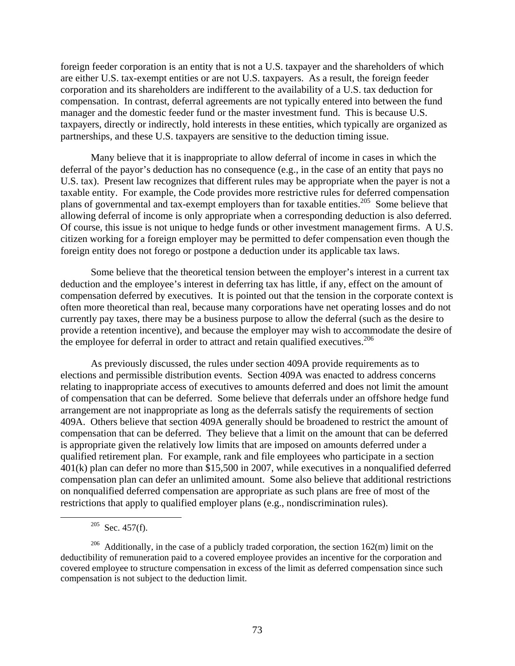foreign feeder corporation is an entity that is not a U.S. taxpayer and the shareholders of which are either U.S. tax-exempt entities or are not U.S. taxpayers. As a result, the foreign feeder corporation and its shareholders are indifferent to the availability of a U.S. tax deduction for compensation. In contrast, deferral agreements are not typically entered into between the fund manager and the domestic feeder fund or the master investment fund. This is because U.S. taxpayers, directly or indirectly, hold interests in these entities, which typically are organized as partnerships, and these U.S. taxpayers are sensitive to the deduction timing issue.

Many believe that it is inappropriate to allow deferral of income in cases in which the deferral of the payor's deduction has no consequence (e.g., in the case of an entity that pays no U.S. tax). Present law recognizes that different rules may be appropriate when the payer is not a taxable entity. For example, the Code provides more restrictive rules for deferred compensation plans of governmental and tax-exempt employers than for taxable entities.<sup>205</sup> Some believe that allowing deferral of income is only appropriate when a corresponding deduction is also deferred. Of course, this issue is not unique to hedge funds or other investment management firms. A U.S. citizen working for a foreign employer may be permitted to defer compensation even though the foreign entity does not forego or postpone a deduction under its applicable tax laws.

Some believe that the theoretical tension between the employer's interest in a current tax deduction and the employee's interest in deferring tax has little, if any, effect on the amount of compensation deferred by executives. It is pointed out that the tension in the corporate context is often more theoretical than real, because many corporations have net operating losses and do not currently pay taxes, there may be a business purpose to allow the deferral (such as the desire to provide a retention incentive), and because the employer may wish to accommodate the desire of the employee for deferral in order to attract and retain qualified executives.<sup>206</sup>

As previously discussed, the rules under section 409A provide requirements as to elections and permissible distribution events. Section 409A was enacted to address concerns relating to inappropriate access of executives to amounts deferred and does not limit the amount of compensation that can be deferred. Some believe that deferrals under an offshore hedge fund arrangement are not inappropriate as long as the deferrals satisfy the requirements of section 409A. Others believe that section 409A generally should be broadened to restrict the amount of compensation that can be deferred. They believe that a limit on the amount that can be deferred is appropriate given the relatively low limits that are imposed on amounts deferred under a qualified retirement plan. For example, rank and file employees who participate in a section 401(k) plan can defer no more than \$15,500 in 2007, while executives in a nonqualified deferred compensation plan can defer an unlimited amount. Some also believe that additional restrictions on nonqualified deferred compensation are appropriate as such plans are free of most of the restrictions that apply to qualified employer plans (e.g., nondiscrimination rules).

 $205$  Sec. 457(f).

<sup>&</sup>lt;sup>206</sup> Additionally, in the case of a publicly traded corporation, the section  $162(m)$  limit on the deductibility of remuneration paid to a covered employee provides an incentive for the corporation and covered employee to structure compensation in excess of the limit as deferred compensation since such compensation is not subject to the deduction limit.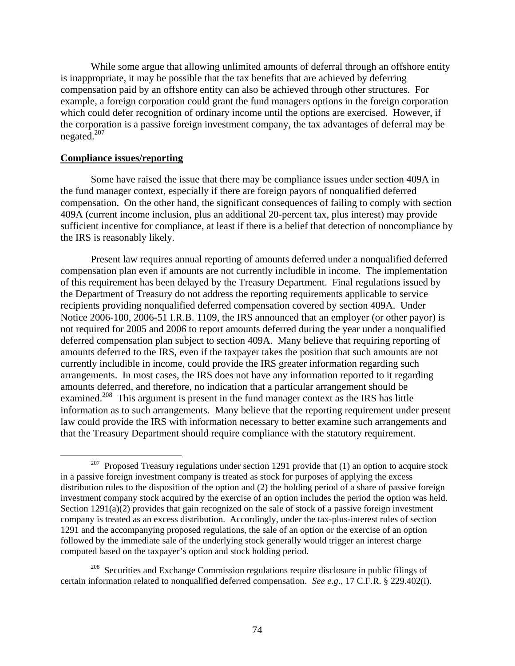While some argue that allowing unlimited amounts of deferral through an offshore entity is inappropriate, it may be possible that the tax benefits that are achieved by deferring compensation paid by an offshore entity can also be achieved through other structures. For example, a foreign corporation could grant the fund managers options in the foreign corporation which could defer recognition of ordinary income until the options are exercised. However, if the corporation is a passive foreign investment company, the tax advantages of deferral may be negated.207

# **Compliance issues/reporting**

Some have raised the issue that there may be compliance issues under section 409A in the fund manager context, especially if there are foreign payors of nonqualified deferred compensation. On the other hand, the significant consequences of failing to comply with section 409A (current income inclusion, plus an additional 20-percent tax, plus interest) may provide sufficient incentive for compliance, at least if there is a belief that detection of noncompliance by the IRS is reasonably likely.

Present law requires annual reporting of amounts deferred under a nonqualified deferred compensation plan even if amounts are not currently includible in income. The implementation of this requirement has been delayed by the Treasury Department. Final regulations issued by the Department of Treasury do not address the reporting requirements applicable to service recipients providing nonqualified deferred compensation covered by section 409A. Under Notice 2006-100, 2006-51 I.R.B. 1109, the IRS announced that an employer (or other payor) is not required for 2005 and 2006 to report amounts deferred during the year under a nonqualified deferred compensation plan subject to section 409A. Many believe that requiring reporting of amounts deferred to the IRS, even if the taxpayer takes the position that such amounts are not currently includible in income, could provide the IRS greater information regarding such arrangements. In most cases, the IRS does not have any information reported to it regarding amounts deferred, and therefore, no indication that a particular arrangement should be examined.<sup>208</sup> This argument is present in the fund manager context as the IRS has little information as to such arrangements. Many believe that the reporting requirement under present law could provide the IRS with information necessary to better examine such arrangements and that the Treasury Department should require compliance with the statutory requirement.

<sup>208</sup> Securities and Exchange Commission regulations require disclosure in public filings of certain information related to nonqualified deferred compensation. *See e.g*., 17 C.F.R. § 229.402(i).

<sup>&</sup>lt;sup>207</sup> Proposed Treasury regulations under section 1291 provide that (1) an option to acquire stock in a passive foreign investment company is treated as stock for purposes of applying the excess distribution rules to the disposition of the option and (2) the holding period of a share of passive foreign investment company stock acquired by the exercise of an option includes the period the option was held. Section 1291(a)(2) provides that gain recognized on the sale of stock of a passive foreign investment company is treated as an excess distribution. Accordingly, under the tax-plus-interest rules of section 1291 and the accompanying proposed regulations, the sale of an option or the exercise of an option followed by the immediate sale of the underlying stock generally would trigger an interest charge computed based on the taxpayer's option and stock holding period.